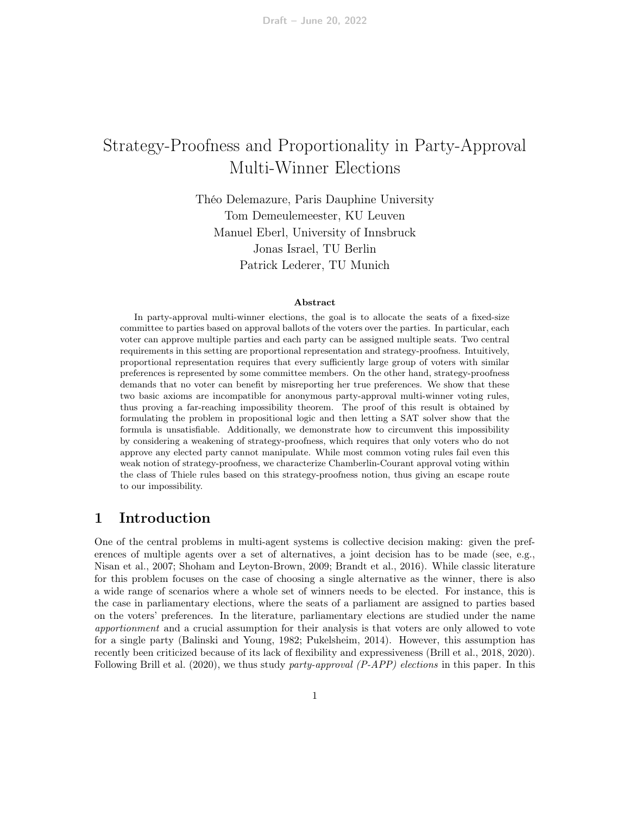# Strategy-Proofness and Proportionality in Party-Approval Multi-Winner Elections

Théo Delemazure, Paris Dauphine University Tom Demeulemeester, KU Leuven Manuel Eberl, University of Innsbruck Jonas Israel, TU Berlin Patrick Lederer, TU Munich

#### Abstract

In party-approval multi-winner elections, the goal is to allocate the seats of a fixed-size committee to parties based on approval ballots of the voters over the parties. In particular, each voter can approve multiple parties and each party can be assigned multiple seats. Two central requirements in this setting are proportional representation and strategy-proofness. Intuitively, proportional representation requires that every sufficiently large group of voters with similar preferences is represented by some committee members. On the other hand, strategy-proofness demands that no voter can benefit by misreporting her true preferences. We show that these two basic axioms are incompatible for anonymous party-approval multi-winner voting rules, thus proving a far-reaching impossibility theorem. The proof of this result is obtained by formulating the problem in propositional logic and then letting a SAT solver show that the formula is unsatisfiable. Additionally, we demonstrate how to circumvent this impossibility by considering a weakening of strategy-proofness, which requires that only voters who do not approve any elected party cannot manipulate. While most common voting rules fail even this weak notion of strategy-proofness, we characterize Chamberlin-Courant approval voting within the class of Thiele rules based on this strategy-proofness notion, thus giving an escape route to our impossibility.

# 1 Introduction

One of the central problems in multi-agent systems is collective decision making: given the preferences of multiple agents over a set of alternatives, a joint decision has to be made (see, e.g., [Nisan et al., 2007;](#page-25-0) [Shoham and Leyton-Brown, 2009;](#page-25-1) [Brandt et al., 2016\)](#page-24-0). While classic literature for this problem focuses on the case of choosing a single alternative as the winner, there is also a wide range of scenarios where a whole set of winners needs to be elected. For instance, this is the case in parliamentary elections, where the seats of a parliament are assigned to parties based on the voters' preferences. In the literature, parliamentary elections are studied under the name apportionment and a crucial assumption for their analysis is that voters are only allowed to vote for a single party [\(Balinski and Young, 1982;](#page-23-0) [Pukelsheim, 2014\)](#page-25-2). However, this assumption has recently been criticized because of its lack of flexibility and expressiveness [\(Brill et al., 2018,](#page-24-1) [2020\)](#page-24-2). Following [Brill et al.](#page-24-2) [\(2020\)](#page-24-2), we thus study party-approval  $(P-APP)$  elections in this paper. In this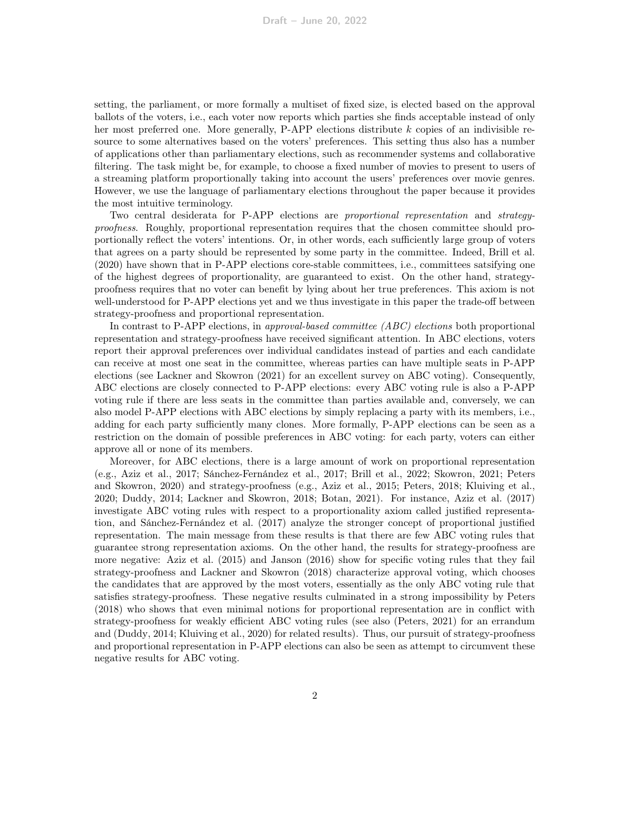setting, the parliament, or more formally a multiset of fixed size, is elected based on the approval ballots of the voters, i.e., each voter now reports which parties she finds acceptable instead of only her most preferred one. More generally,  $P-APP$  elections distribute k copies of an indivisible resource to some alternatives based on the voters' preferences. This setting thus also has a number of applications other than parliamentary elections, such as recommender systems and collaborative filtering. The task might be, for example, to choose a fixed number of movies to present to users of a streaming platform proportionally taking into account the users' preferences over movie genres. However, we use the language of parliamentary elections throughout the paper because it provides the most intuitive terminology.

Two central desiderata for P-APP elections are proportional representation and strategyproofness. Roughly, proportional representation requires that the chosen committee should proportionally reflect the voters' intentions. Or, in other words, each sufficiently large group of voters that agrees on a party should be represented by some party in the committee. Indeed, [Brill et al.](#page-24-2) [\(2020\)](#page-24-2) have shown that in P-APP elections core-stable committees, i.e., committees satsifying one of the highest degrees of proportionality, are guaranteed to exist. On the other hand, strategyproofness requires that no voter can benefit by lying about her true preferences. This axiom is not well-understood for P-APP elections yet and we thus investigate in this paper the trade-off between strategy-proofness and proportional representation.

In contrast to P-APP elections, in approval-based committee (ABC) elections both proportional representation and strategy-proofness have received significant attention. In ABC elections, voters report their approval preferences over individual candidates instead of parties and each candidate can receive at most one seat in the committee, whereas parties can have multiple seats in P-APP elections (see [Lackner and Skowron](#page-25-3) [\(2021\)](#page-25-3) for an excellent survey on ABC voting). Consequently, ABC elections are closely connected to P-APP elections: every ABC voting rule is also a P-APP voting rule if there are less seats in the committee than parties available and, conversely, we can also model P-APP elections with ABC elections by simply replacing a party with its members, i.e., adding for each party sufficiently many clones. More formally, P-APP elections can be seen as a restriction on the domain of possible preferences in ABC voting: for each party, voters can either approve all or none of its members.

Moreover, for ABC elections, there is a large amount of work on proportional representation (e.g., [Aziz et al., 2017;](#page-23-1) [Sánchez-Fernández et al., 2017;](#page-25-4) [Brill et al., 2022;](#page-24-3) [Skowron, 2021;](#page-25-5) [Peters](#page-25-6) [and Skowron, 2020\)](#page-25-6) and strategy-proofness (e.g., [Aziz et al., 2015;](#page-23-2) [Peters, 2018;](#page-25-7) [Kluiving et al.,](#page-24-4) [2020;](#page-24-4) [Duddy, 2014;](#page-24-5) [Lackner and Skowron, 2018;](#page-25-8) [Botan, 2021\)](#page-23-3). For instance, [Aziz et al.](#page-23-1) [\(2017\)](#page-23-1) investigate ABC voting rules with respect to a proportionality axiom called justified representation, and [Sánchez-Fernández et al.](#page-25-4) [\(2017\)](#page-25-4) analyze the stronger concept of proportional justified representation. The main message from these results is that there are few ABC voting rules that guarantee strong representation axioms. On the other hand, the results for strategy-proofness are more negative: [Aziz et al.](#page-23-2) [\(2015\)](#page-23-2) and [Janson](#page-24-6) [\(2016\)](#page-24-6) show for specific voting rules that they fail strategy-proofness and [Lackner and Skowron](#page-25-8) [\(2018\)](#page-25-8) characterize approval voting, which chooses the candidates that are approved by the most voters, essentially as the only ABC voting rule that satisfies strategy-proofness. These negative results culminated in a strong impossibility by [Peters](#page-25-7) [\(2018\)](#page-25-7) who shows that even minimal notions for proportional representation are in conflict with strategy-proofness for weakly efficient ABC voting rules (see also [\(Peters, 2021\)](#page-25-9) for an errandum and [\(Duddy, 2014;](#page-24-5) [Kluiving et al., 2020\)](#page-24-4) for related results). Thus, our pursuit of strategy-proofness and proportional representation in P-APP elections can also be seen as attempt to circumvent these negative results for ABC voting.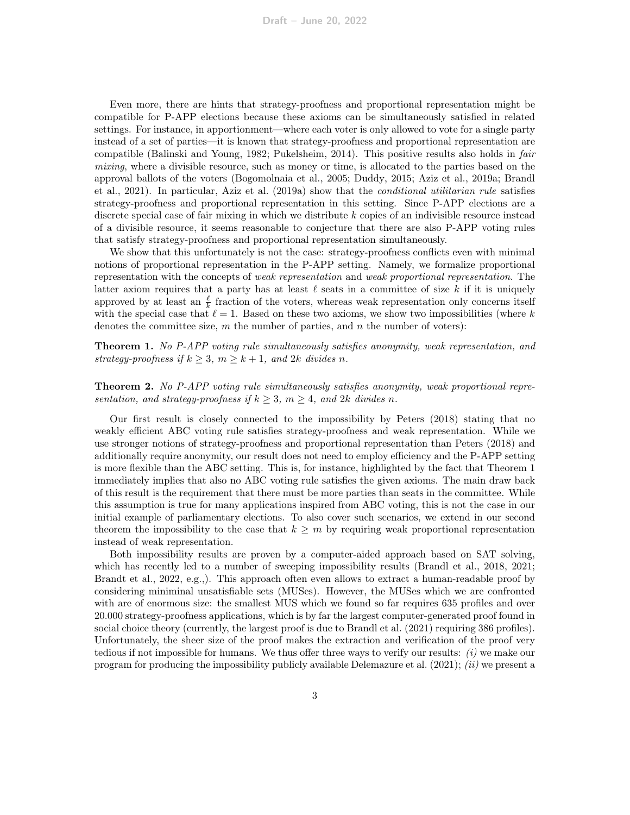Even more, there are hints that strategy-proofness and proportional representation might be compatible for P-APP elections because these axioms can be simultaneously satisfied in related settings. For instance, in apportionment—where each voter is only allowed to vote for a single party instead of a set of parties—it is known that strategy-proofness and proportional representation are compatible [\(Balinski and Young, 1982;](#page-23-0) [Pukelsheim, 2014\)](#page-25-2). This positive results also holds in fair mixing, where a divisible resource, such as money or time, is allocated to the parties based on the approval ballots of the voters [\(Bogomolnaia et al., 2005;](#page-23-4) [Duddy, 2015;](#page-24-7) [Aziz et al., 2019a;](#page-23-5) [Brandl](#page-23-6) [et al., 2021\)](#page-23-6). In particular, [Aziz et al.](#page-23-5) [\(2019a\)](#page-23-5) show that the conditional utilitarian rule satisfies strategy-proofness and proportional representation in this setting. Since P-APP elections are a discrete special case of fair mixing in which we distribute  $k$  copies of an indivisible resource instead of a divisible resource, it seems reasonable to conjecture that there are also P-APP voting rules that satisfy strategy-proofness and proportional representation simultaneously.

We show that this unfortunately is not the case: strategy-proofness conflicts even with minimal notions of proportional representation in the P-APP setting. Namely, we formalize proportional representation with the concepts of weak representation and weak proportional representation. The latter axiom requires that a party has at least  $\ell$  seats in a committee of size k if it is uniquely approved by at least an  $\frac{\ell}{k}$  fraction of the voters, whereas weak representation only concerns itself with the special case that  $\ell = 1$ . Based on these two axioms, we show two impossibilities (where k denotes the committee size,  $m$  the number of parties, and  $n$  the number of voters):

<span id="page-2-0"></span>Theorem 1. No P-APP voting rule simultaneously satisfies anonymity, weak representation, and strategy-proofness if  $k \geq 3$ ,  $m \geq k+1$ , and  $2k$  divides n.

<span id="page-2-1"></span>Theorem 2. No P-APP voting rule simultaneously satisfies anonymity, weak proportional representation, and strategy-proofness if  $k \geq 3$ ,  $m \geq 4$ , and  $2k$  divides n.

Our first result is closely connected to the impossibility by [Peters](#page-25-7) [\(2018\)](#page-25-7) stating that no weakly efficient ABC voting rule satisfies strategy-proofness and weak representation. While we use stronger notions of strategy-proofness and proportional representation than [Peters](#page-25-7) [\(2018\)](#page-25-7) and additionally require anonymity, our result does not need to employ efficiency and the P-APP setting is more flexible than the ABC setting. This is, for instance, highlighted by the fact that Theorem [1](#page-2-0) immediately implies that also no ABC voting rule satisfies the given axioms. The main draw back of this result is the requirement that there must be more parties than seats in the committee. While this assumption is true for many applications inspired from ABC voting, this is not the case in our initial example of parliamentary elections. To also cover such scenarios, we extend in our second theorem the impossibility to the case that  $k \geq m$  by requiring weak proportional representation instead of weak representation.

Both impossibility results are proven by a computer-aided approach based on SAT solving, which has recently led to a number of sweeping impossibility results [\(Brandl et al., 2018,](#page-23-7) [2021;](#page-23-6) [Brandt et al., 2022,](#page-24-8) e.g.,). This approach often even allows to extract a human-readable proof by considering miniminal unsatisfiable sets (MUSes). However, the MUSes which we are confronted with are of enormous size: the smallest MUS which we found so far requires 635 profiles and over 20.000 strategy-proofness applications, which is by far the largest computer-generated proof found in social choice theory (currently, the largest proof is due to [Brandl et al.](#page-23-6) [\(2021\)](#page-23-6) requiring 386 profiles). Unfortunately, the sheer size of the proof makes the extraction and verification of the proof very tedious if not impossible for humans. We thus offer three ways to verify our results:  $(i)$  we make our program for producing the impossibility publicly available [Delemazure et al.](#page-24-9)  $(2021)$ ;  $(ii)$  we present a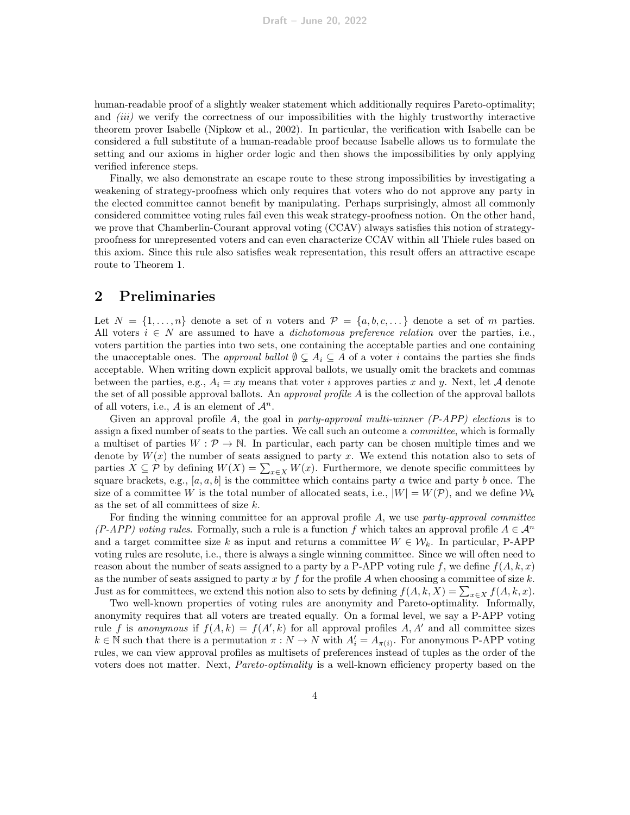human-readable proof of a slightly weaker statement which additionally requires Pareto-optimality; and *(iii)* we verify the correctness of our impossibilities with the highly trustworthy interactive theorem prover Isabelle [\(Nipkow et al., 2002\)](#page-25-10). In particular, the verification with Isabelle can be considered a full substitute of a human-readable proof because Isabelle allows us to formulate the setting and our axioms in higher order logic and then shows the impossibilities by only applying verified inference steps.

Finally, we also demonstrate an escape route to these strong impossibilities by investigating a weakening of strategy-proofness which only requires that voters who do not approve any party in the elected committee cannot benefit by manipulating. Perhaps surprisingly, almost all commonly considered committee voting rules fail even this weak strategy-proofness notion. On the other hand, we prove that Chamberlin-Courant approval voting (CCAV) always satisfies this notion of strategyproofness for unrepresented voters and can even characterize CCAV within all Thiele rules based on this axiom. Since this rule also satisfies weak representation, this result offers an attractive escape route to Theorem [1.](#page-2-0)

## <span id="page-3-0"></span>2 Preliminaries

Let  $N = \{1, \ldots, n\}$  denote a set of n voters and  $\mathcal{P} = \{a, b, c, \ldots\}$  denote a set of m parties. All voters  $i \in N$  are assumed to have a *dichotomous preference relation* over the parties, i.e., voters partition the parties into two sets, one containing the acceptable parties and one containing the unacceptable ones. The *approval ballot*  $\emptyset \subsetneq A_i \subseteq A$  of a voter i contains the parties she finds acceptable. When writing down explicit approval ballots, we usually omit the brackets and commas between the parties, e.g.,  $A_i = xy$  means that voter i approves parties x and y. Next, let A denote the set of all possible approval ballots. An *approval profile A* is the collection of the approval ballots of all voters, i.e., A is an element of  $\mathcal{A}^n$ .

Given an approval profile A, the goal in party-approval multi-winner  $(P-APP)$  elections is to assign a fixed number of seats to the parties. We call such an outcome a committee, which is formally a multiset of parties  $W : \mathcal{P} \to \mathbb{N}$ . In particular, each party can be chosen multiple times and we denote by  $W(x)$  the number of seats assigned to party x. We extend this notation also to sets of parties  $X \subseteq \mathcal{P}$  by defining  $W(X) = \sum_{x \in X} W(x)$ . Furthermore, we denote specific committees by square brackets, e.g.,  $[a, a, b]$  is the committee which contains party a twice and party b once. The size of a committee W is the total number of allocated seats, i.e.,  $|W| = W(\mathcal{P})$ , and we define  $\mathcal{W}_k$ as the set of all committees of size k.

For finding the winning committee for an approval profile  $A$ , we use party-approval committee (P-APP) voting rules. Formally, such a rule is a function f which takes an approval profile  $A \in \mathcal{A}^n$ and a target committee size k as input and returns a committee  $W \in \mathcal{W}_k$ . In particular, P-APP voting rules are resolute, i.e., there is always a single winning committee. Since we will often need to reason about the number of seats assigned to a party by a P-APP voting rule f, we define  $f(A, k, x)$ as the number of seats assigned to party x by f for the profile A when choosing a committee of size  $k$ . Just as for committees, we extend this notion also to sets by defining  $f(A, k, X) = \sum_{x \in X} f(A, k, x)$ .

Two well-known properties of voting rules are anonymity and Pareto-optimality. Informally, anonymity requires that all voters are treated equally. On a formal level, we say a P-APP voting rule f is anonymous if  $f(A, k) = f(A', k)$  for all approval profiles A, A' and all committee sizes  $k \in \mathbb{N}$  such that there is a permutation  $\pi : N \to N$  with  $A'_i = A_{\pi(i)}$ . For anonymous P-APP voting rules, we can view approval profiles as multisets of preferences instead of tuples as the order of the voters does not matter. Next, Pareto-optimality is a well-known efficiency property based on the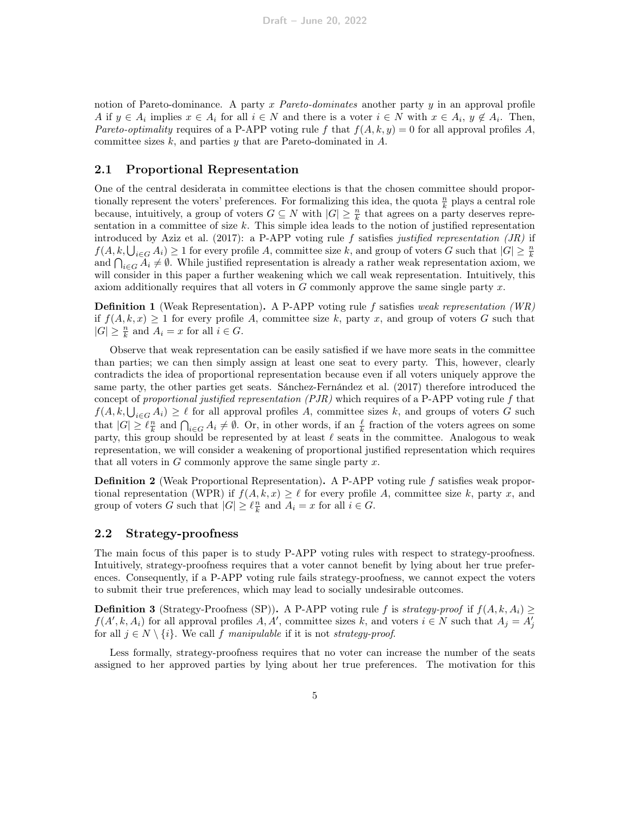notion of Pareto-dominance. A party x Pareto-dominates another party  $y$  in an approval profile A if  $y \in A_i$  implies  $x \in A_i$  for all  $i \in N$  and there is a voter  $i \in N$  with  $x \in A_i$ ,  $y \notin A_i$ . Then, Pareto-optimality requires of a P-APP voting rule f that  $f(A, k, y) = 0$  for all approval profiles A, committee sizes  $k$ , and parties  $y$  that are Pareto-dominated in  $A$ .

#### 2.1 Proportional Representation

One of the central desiderata in committee elections is that the chosen committee should proportionally represent the voters' preferences. For formalizing this idea, the quota  $\frac{n}{k}$  plays a central role because, intuitively, a group of voters  $G \subseteq N$  with  $|G| \geq \frac{n}{k}$  that agrees on a party deserves representation in a committee of size  $k$ . This simple idea leads to the notion of justified representation introduced by [Aziz et al.](#page-23-1) [\(2017\)](#page-23-1): a P-APP voting rule f satisfies justified representation  $(JR)$  if  $f(A, k, \bigcup_{i \in G} A_i) \ge 1$  for every profile A, committee size k, and group of voters G such that  $|G| \ge \frac{n}{k}$ and  $\bigcap_{i\in G} A_i \neq \emptyset$ . While justified representation is already a rather weak representation axiom, we will consider in this paper a further weakening which we call weak representation. Intuitively, this axiom additionally requires that all voters in  $G$  commonly approve the same single party  $x$ .

**Definition 1** (Weak Representation). A P-APP voting rule f satisfies weak representation (WR) if  $f(A, k, x) \geq 1$  for every profile A, committee size k, party x, and group of voters G such that  $|G| \geq \frac{n}{k}$  and  $A_i = x$  for all  $i \in G$ .

Observe that weak representation can be easily satisfied if we have more seats in the committee than parties; we can then simply assign at least one seat to every party. This, however, clearly contradicts the idea of proportional representation because even if all voters uniquely approve the same party, the other parties get seats. [Sánchez-Fernández et al.](#page-25-4) [\(2017\)](#page-25-4) therefore introduced the concept of proportional justified representation  $(PIR)$  which requires of a P-APP voting rule f that  $f(A, k, \bigcup_{i \in G} A_i) \geq \ell$  for all approval profiles A, committee sizes k, and groups of voters G such that  $|G| \geq \ell \frac{n}{k}$  and  $\bigcap_{i \in G} A_i \neq \emptyset$ . Or, in other words, if an  $\frac{\ell}{k}$  fraction of the voters agrees on some party, this group should be represented by at least  $\ell$  seats in the committee. Analogous to weak representation, we will consider a weakening of proportional justified representation which requires that all voters in  $G$  commonly approve the same single party  $x$ .

**Definition 2** (Weak Proportional Representation). A P-APP voting rule  $f$  satisfies weak proportional representation (WPR) if  $f(A, k, x) \geq \ell$  for every profile A, committee size k, party x, and group of voters G such that  $|G| \geq \ell \frac{n}{k}$  and  $A_i = x$  for all  $i \in G$ .

#### 2.2 Strategy-proofness

The main focus of this paper is to study P-APP voting rules with respect to strategy-proofness. Intuitively, strategy-proofness requires that a voter cannot benefit by lying about her true preferences. Consequently, if a P-APP voting rule fails strategy-proofness, we cannot expect the voters to submit their true preferences, which may lead to socially undesirable outcomes.

**Definition 3** (Strategy-Proofness (SP)). A P-APP voting rule f is strategy-proof if  $f(A, k, A_i) \geq$  $f(A', k, A_i)$  for all approval profiles  $A, A'$ , committee sizes k, and voters  $i \in N$  such that  $A_j = A'_j$ for all  $j \in N \setminus \{i\}$ . We call f manipulable if it is not strategy-proof.

Less formally, strategy-proofness requires that no voter can increase the number of the seats assigned to her approved parties by lying about her true preferences. The motivation for this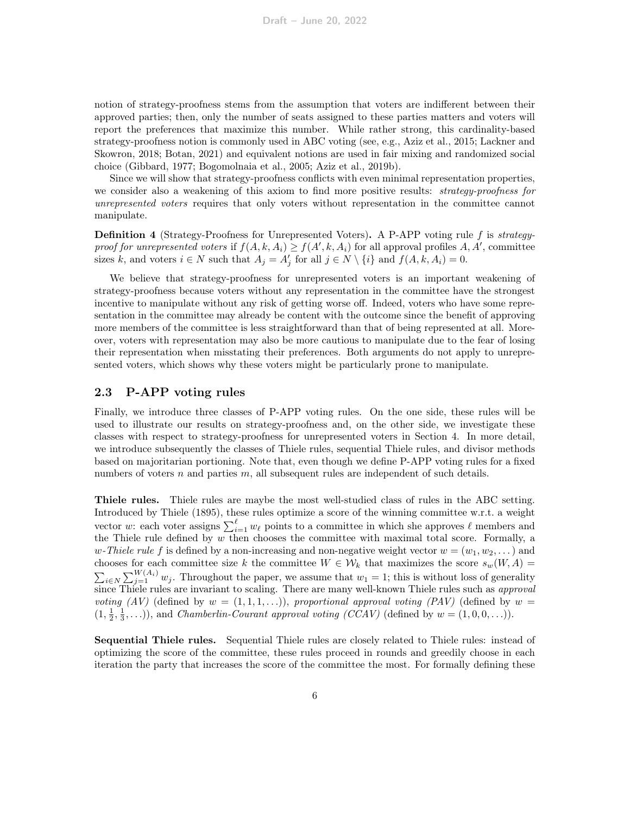notion of strategy-proofness stems from the assumption that voters are indifferent between their approved parties; then, only the number of seats assigned to these parties matters and voters will report the preferences that maximize this number. While rather strong, this cardinality-based strategy-proofness notion is commonly used in ABC voting (see, e.g., [Aziz et al., 2015;](#page-23-2) [Lackner and](#page-25-8) [Skowron, 2018;](#page-25-8) [Botan, 2021\)](#page-23-3) and equivalent notions are used in fair mixing and randomized social choice [\(Gibbard, 1977;](#page-24-10) [Bogomolnaia et al., 2005;](#page-23-4) [Aziz et al., 2019b\)](#page-23-8).

Since we will show that strategy-proofness conflicts with even minimal representation properties, we consider also a weakening of this axiom to find more positive results: *strategy-proofness for* unrepresented voters requires that only voters without representation in the committee cannot manipulate.

<span id="page-5-0"></span>Definition 4 (Strategy-Proofness for Unrepresented Voters). A P-APP voting rule f is strategyproof for unrepresented voters if  $f(A, k, A_i) \ge f(A', k, A_i)$  for all approval profiles A, A', committee sizes k, and voters  $i \in N$  such that  $A_j = A'_j$  for all  $j \in N \setminus \{i\}$  and  $f(A, k, A_i) = 0$ .

We believe that strategy-proofness for unrepresented voters is an important weakening of strategy-proofness because voters without any representation in the committee have the strongest incentive to manipulate without any risk of getting worse off. Indeed, voters who have some representation in the committee may already be content with the outcome since the benefit of approving more members of the committee is less straightforward than that of being represented at all. Moreover, voters with representation may also be more cautious to manipulate due to the fear of losing their representation when misstating their preferences. Both arguments do not apply to unrepresented voters, which shows why these voters might be particularly prone to manipulate.

### 2.3 P-APP voting rules

Finally, we introduce three classes of P-APP voting rules. On the one side, these rules will be used to illustrate our results on strategy-proofness and, on the other side, we investigate these classes with respect to strategy-proofness for unrepresented voters in Section [4.](#page-16-0) In more detail, we introduce subsequently the classes of Thiele rules, sequential Thiele rules, and divisor methods based on majoritarian portioning. Note that, even though we define P-APP voting rules for a fixed numbers of voters  $n$  and parties  $m$ , all subsequent rules are independent of such details.

Thiele rules. Thiele rules are maybe the most well-studied class of rules in the ABC setting. Introduced by [Thiele](#page-25-11) [\(1895\)](#page-25-11), these rules optimize a score of the winning committee w.r.t. a weight vector w: each voter assigns  $\sum_{i=1}^{\ell} w_{\ell}$  points to a committee in which she approves  $\ell$  members and the Thiele rule defined by  $w$  then chooses the committee with maximal total score. Formally, a w-Thiele rule f is defined by a non-increasing and non-negative weight vector  $w = (w_1, w_2, \dots)$  and chooses for each committee size k the committee  $W \in \mathcal{W}_k$  that maximizes the score  $s_w(W, A)$  $\sum_{i\in N}\sum_{j=1}^{W(A_i)} w_j$ . Throughout the paper, we assume that  $w_1 = 1$ ; this is without loss of generality since Thiele rules are invariant to scaling. There are many well-known Thiele rules such as approval voting (AV) (defined by  $w = (1, 1, 1, ...)$ ), proportional approval voting (PAV) (defined by  $w =$  $(1, \frac{1}{2}, \frac{1}{3}, \ldots)$ , and *Chamberlin-Courant approval voting (CCAV)* (defined by  $w = (1, 0, 0, \ldots)$ ).

Sequential Thiele rules. Sequential Thiele rules are closely related to Thiele rules: instead of optimizing the score of the committee, these rules proceed in rounds and greedily choose in each iteration the party that increases the score of the committee the most. For formally defining these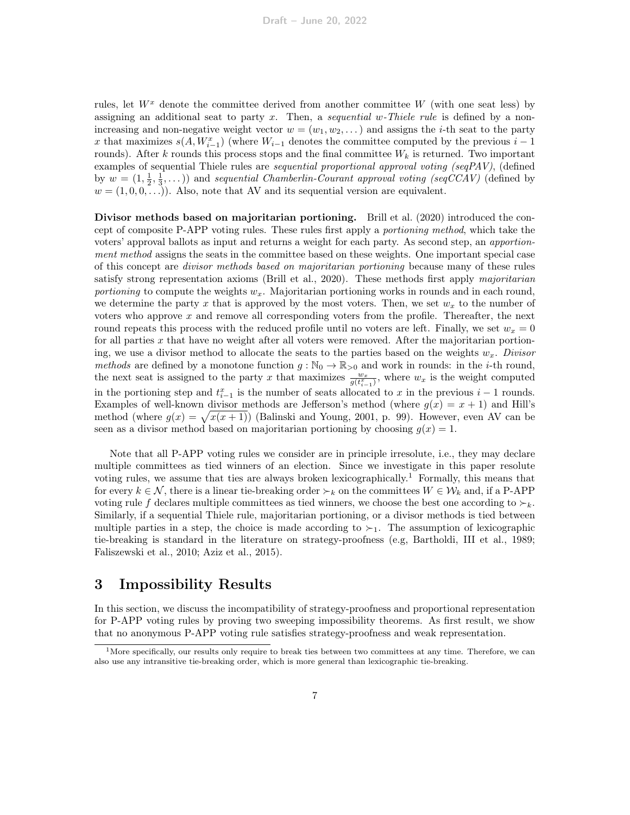rules, let  $W^x$  denote the committee derived from another committee W (with one seat less) by assigning an additional seat to party x. Then, a sequential w-Thiele rule is defined by a nonincreasing and non-negative weight vector  $w = (w_1, w_2, \dots)$  and assigns the *i*-th seat to the party x that maximizes  $s(A, W_{i-1}^x)$  (where  $W_{i-1}$  denotes the committee computed by the previous  $i-1$ rounds). After k rounds this process stops and the final committee  $W_k$  is returned. Two important examples of sequential Thiele rules are *sequential proportional approval voting (seqPAV)*, (defined by  $w = (1, \frac{1}{2}, \frac{1}{3}, \dots)$  and sequential Chamberlin-Courant approval voting (seqCCAV) (defined by  $w = (1, 0, 0, \ldots)$ . Also, note that AV and its sequential version are equivalent.

Divisor methods based on majoritarian portioning. [Brill et al.](#page-24-2) [\(2020\)](#page-24-2) introduced the concept of composite P-APP voting rules. These rules first apply a portioning method, which take the voters' approval ballots as input and returns a weight for each party. As second step, an apportionment method assigns the seats in the committee based on these weights. One important special case of this concept are divisor methods based on majoritarian portioning because many of these rules satisfy strong representation axioms [\(Brill et al., 2020\)](#page-24-2). These methods first apply majoritarian portioning to compute the weights  $w_x$ . Majoritarian portioning works in rounds and in each round, we determine the party x that is approved by the most voters. Then, we set  $w_x$  to the number of voters who approve x and remove all corresponding voters from the profile. Thereafter, the next round repeats this process with the reduced profile until no voters are left. Finally, we set  $w_x = 0$ for all parties  $x$  that have no weight after all voters were removed. After the majoritarian portioning, we use a divisor method to allocate the seats to the parties based on the weights  $w_x$ . Divisor methods are defined by a monotone function  $g : \mathbb{N}_0 \to \mathbb{R}_{>0}$  and work in rounds: in the *i*-th round, the next seat is assigned to the party x that maximizes  $\frac{w_x}{g(t_{i-1}^x)}$ , where  $w_x$  is the weight computed in the portioning step and  $t_{i-1}^x$  is the number of seats allocated to x in the previous  $i-1$  rounds. Examples of well-known divisor methods are Jefferson's method (where  $g(x) = x + 1$ ) and Hill's method (where  $g(x) = \sqrt{x(x+1)}$ ) [\(Balinski and Young, 2001,](#page-23-9) p. 99). However, even AV can be seen as a divisor method based on majoritarian portioning by choosing  $g(x) = 1$ .

Note that all P-APP voting rules we consider are in principle irresolute, i.e., they may declare multiple committees as tied winners of an election. Since we investigate in this paper resolute voting rules, we assume that ties are always broken lexicographically.<sup>[1](#page-6-0)</sup> Formally, this means that for every  $k \in \mathcal{N}$ , there is a linear tie-breaking order  $\succ_k$  on the committees  $W \in \mathcal{W}_k$  and, if a P-APP voting rule f declares multiple committees as tied winners, we choose the best one according to  $\succ_k$ . Similarly, if a sequential Thiele rule, majoritarian portioning, or a divisor methods is tied between multiple parties in a step, the choice is made according to  $\succ_1$ . The assumption of lexicographic tie-breaking is standard in the literature on strategy-proofness (e.g, [Bartholdi, III et al., 1989;](#page-23-10) [Faliszewski et al., 2010;](#page-24-11) [Aziz et al., 2015\)](#page-23-2).

# <span id="page-6-1"></span>3 Impossibility Results

In this section, we discuss the incompatibility of strategy-proofness and proportional representation for P-APP voting rules by proving two sweeping impossibility theorems. As first result, we show that no anonymous P-APP voting rule satisfies strategy-proofness and weak representation.

<span id="page-6-0"></span><sup>&</sup>lt;sup>1</sup>More specifically, our results only require to break ties between two committees at any time. Therefore, we can also use any intransitive tie-breaking order, which is more general than lexicographic tie-breaking.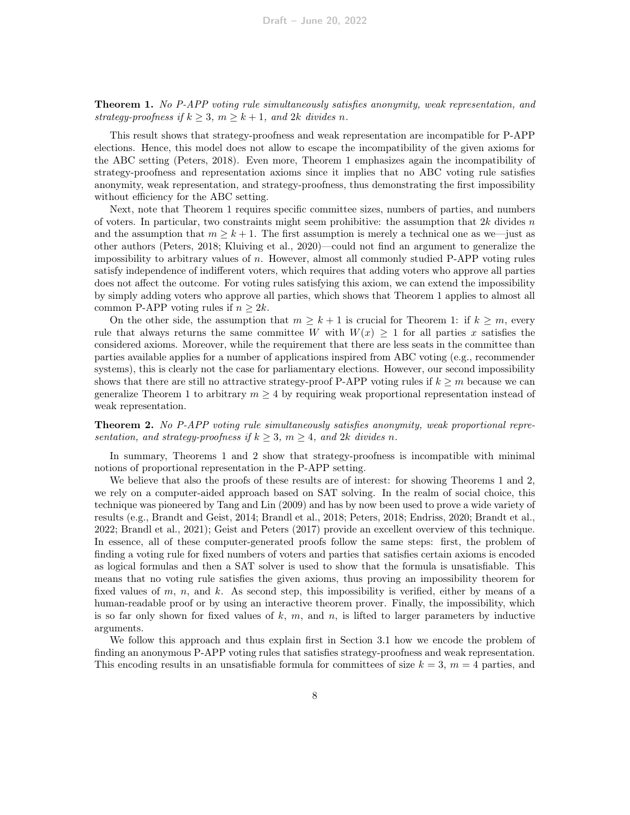**Theorem 1.** No P-APP voting rule simultaneously satisfies anonymity, weak representation, and strategy-proofness if  $k \geq 3$ ,  $m \geq k+1$ , and  $2k$  divides n.

This result shows that strategy-proofness and weak representation are incompatible for P-APP elections. Hence, this model does not allow to escape the incompatibility of the given axioms for the ABC setting [\(Peters, 2018\)](#page-25-7). Even more, Theorem [1](#page-2-0) emphasizes again the incompatibility of strategy-proofness and representation axioms since it implies that no ABC voting rule satisfies anonymity, weak representation, and strategy-proofness, thus demonstrating the first impossibility without efficiency for the ABC setting.

Next, note that Theorem [1](#page-2-0) requires specific committee sizes, numbers of parties, and numbers of voters. In particular, two constraints might seem prohibitive: the assumption that  $2k$  divides n and the assumption that  $m \geq k+1$ . The first assumption is merely a technical one as we—just as other authors [\(Peters, 2018;](#page-25-7) [Kluiving et al., 2020\)](#page-24-4)—could not find an argument to generalize the impossibility to arbitrary values of n. However, almost all commonly studied P-APP voting rules satisfy independence of indifferent voters, which requires that adding voters who approve all parties does not affect the outcome. For voting rules satisfying this axiom, we can extend the impossibility by simply adding voters who approve all parties, which shows that Theorem [1](#page-2-0) applies to almost all common P-APP voting rules if  $n \geq 2k$ .

On the other side, the assumption that  $m \geq k+1$  is crucial for Theorem [1:](#page-2-0) if  $k \geq m$ , every rule that always returns the same committee W with  $W(x) \geq 1$  for all parties x satisfies the considered axioms. Moreover, while the requirement that there are less seats in the committee than parties available applies for a number of applications inspired from ABC voting (e.g., recommender systems), this is clearly not the case for parliamentary elections. However, our second impossibility shows that there are still no attractive strategy-proof P-APP voting rules if  $k \geq m$  because we can generalize Theorem [1](#page-2-0) to arbitrary  $m \geq 4$  by requiring weak proportional representation instead of weak representation.

**Theorem 2.** No P-APP voting rule simultaneously satisfies anonymity, weak proportional representation, and strategy-proofness if  $k \geq 3$ ,  $m \geq 4$ , and  $2k$  divides n.

In summary, Theorems [1](#page-2-0) and [2](#page-2-1) show that strategy-proofness is incompatible with minimal notions of proportional representation in the P-APP setting.

We believe that also the proofs of these results are of interest: for showing Theorems [1](#page-2-0) and [2,](#page-2-1) we rely on a computer-aided approach based on SAT solving. In the realm of social choice, this technique was pioneered by [Tang and Lin](#page-25-12) [\(2009\)](#page-25-12) and has by now been used to prove a wide variety of results (e.g., [Brandt and Geist, 2014;](#page-23-11) [Brandl et al., 2018;](#page-23-7) [Peters, 2018;](#page-25-7) [Endriss, 2020;](#page-24-12) [Brandt et al.,](#page-24-8) [2022;](#page-24-8) [Brandl et al., 2021\)](#page-23-6); [Geist and Peters](#page-24-13) [\(2017\)](#page-24-13) provide an excellent overview of this technique. In essence, all of these computer-generated proofs follow the same steps: first, the problem of finding a voting rule for fixed numbers of voters and parties that satisfies certain axioms is encoded as logical formulas and then a SAT solver is used to show that the formula is unsatisfiable. This means that no voting rule satisfies the given axioms, thus proving an impossibility theorem for fixed values of m, n, and k. As second step, this impossibility is verified, either by means of a human-readable proof or by using an interactive theorem prover. Finally, the impossibility, which is so far only shown for fixed values of  $k$ ,  $m$ , and  $n$ , is lifted to larger parameters by inductive arguments.

We follow this approach and thus explain first in Section [3.1](#page-8-0) how we encode the problem of finding an anonymous P-APP voting rules that satisfies strategy-proofness and weak representation. This encoding results in an unsatisfiable formula for committees of size  $k = 3$ ,  $m = 4$  parties, and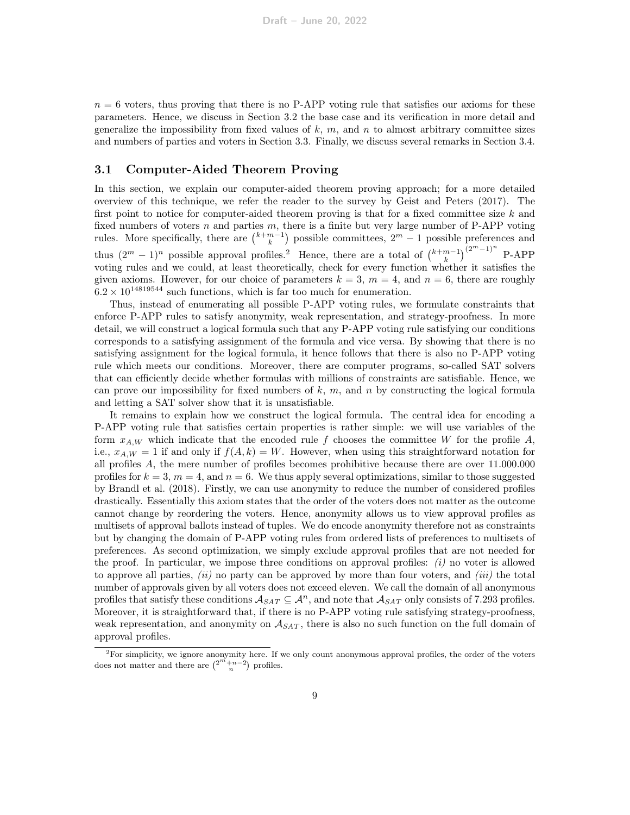$n = 6$  voters, thus proving that there is no P-APP voting rule that satisfies our axioms for these parameters. Hence, we discuss in Section [3.2](#page-10-0) the base case and its verification in more detail and generalize the impossibility from fixed values of  $k, m$ , and n to almost arbitrary committee sizes and numbers of parties and voters in Section [3.3.](#page-13-0) Finally, we discuss several remarks in Section [3.4.](#page-15-0)

#### <span id="page-8-0"></span>3.1 Computer-Aided Theorem Proving

In this section, we explain our computer-aided theorem proving approach; for a more detailed overview of this technique, we refer the reader to the survey by [Geist and Peters](#page-24-13) [\(2017\)](#page-24-13). The first point to notice for computer-aided theorem proving is that for a fixed committee size  $k$  and fixed numbers of voters  $n$  and parties  $m$ , there is a finite but very large number of P-APP voting rules. More specifically, there are  $\binom{k+m-1}{k}$  possible committees,  $2^m - 1$  possible preferences and thus  $(2^m - 1)^n$  $(2^m - 1)^n$  $(2^m - 1)^n$  possible approval profiles.<sup>2</sup> Hence, there are a total of  $\binom{k+m-1}{k}^{(2^m-1)^n}$  P-APP voting rules and we could, at least theoretically, check for every function whether it satisfies the given axioms. However, for our choice of parameters  $k = 3$ ,  $m = 4$ , and  $n = 6$ , there are roughly  $6.2 \times 10^{14819544}$  such functions, which is far too much for enumeration.

Thus, instead of enumerating all possible P-APP voting rules, we formulate constraints that enforce P-APP rules to satisfy anonymity, weak representation, and strategy-proofness. In more detail, we will construct a logical formula such that any P-APP voting rule satisfying our conditions corresponds to a satisfying assignment of the formula and vice versa. By showing that there is no satisfying assignment for the logical formula, it hence follows that there is also no P-APP voting rule which meets our conditions. Moreover, there are computer programs, so-called SAT solvers that can efficiently decide whether formulas with millions of constraints are satisfiable. Hence, we can prove our impossibility for fixed numbers of  $k$ ,  $m$ , and  $n$  by constructing the logical formula and letting a SAT solver show that it is unsatisfiable.

It remains to explain how we construct the logical formula. The central idea for encoding a P-APP voting rule that satisfies certain properties is rather simple: we will use variables of the form  $x_{A,W}$  which indicate that the encoded rule f chooses the committee W for the profile A, i.e.,  $x_{A,W} = 1$  if and only if  $f(A, k) = W$ . However, when using this straightforward notation for all profiles A, the mere number of profiles becomes prohibitive because there are over 11.000.000 profiles for  $k = 3$ ,  $m = 4$ , and  $n = 6$ . We thus apply several optimizations, similar to those suggested by [Brandl et al.](#page-23-7) [\(2018\)](#page-23-7). Firstly, we can use anonymity to reduce the number of considered profiles drastically. Essentially this axiom states that the order of the voters does not matter as the outcome cannot change by reordering the voters. Hence, anonymity allows us to view approval profiles as multisets of approval ballots instead of tuples. We do encode anonymity therefore not as constraints but by changing the domain of P-APP voting rules from ordered lists of preferences to multisets of preferences. As second optimization, we simply exclude approval profiles that are not needed for the proof. In particular, we impose three conditions on approval profiles:  $(i)$  no voter is allowed to approve all parties,  $(ii)$  no party can be approved by more than four voters, and  $(iii)$  the total number of approvals given by all voters does not exceed eleven. We call the domain of all anonymous profiles that satisfy these conditions  $A_{SAT} \subseteq A^n$ , and note that  $A_{SAT}$  only consists of 7.293 profiles. Moreover, it is straightforward that, if there is no P-APP voting rule satisfying strategy-proofness, weak representation, and anonymity on  $A_{SAT}$ , there is also no such function on the full domain of approval profiles.

<span id="page-8-1"></span><sup>2</sup>For simplicity, we ignore anonymity here. If we only count anonymous approval profiles, the order of the voters does not matter and there are  $\binom{2^m+n-2}{n}$  profiles.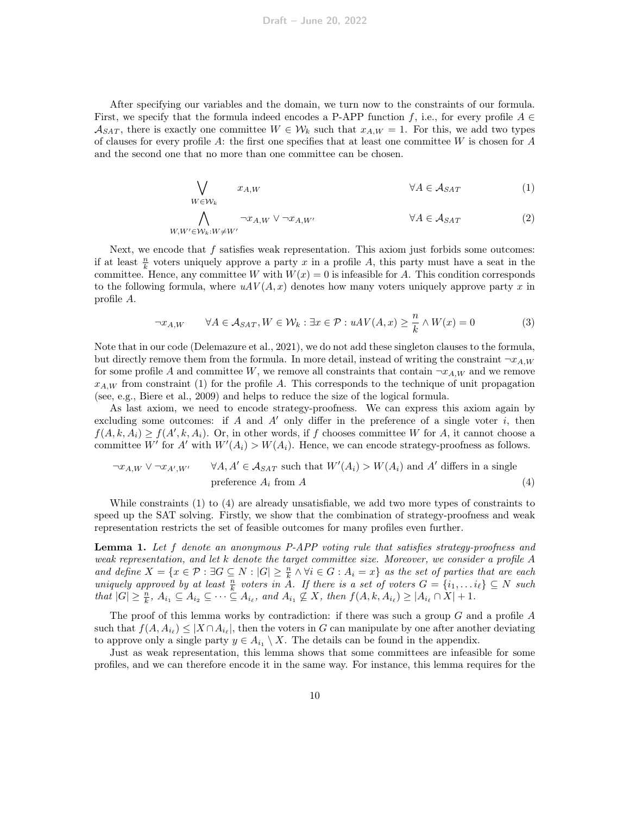After specifying our variables and the domain, we turn now to the constraints of our formula. First, we specify that the formula indeed encodes a P-APP function f, i.e., for every profile  $A \in$  $\mathcal{A}_{SAT}$ , there is exactly one committee  $W \in \mathcal{W}_k$  such that  $x_{A,W} = 1$ . For this, we add two types of clauses for every profile  $A$ : the first one specifies that at least one committee  $W$  is chosen for  $A$ and the second one that no more than one committee can be chosen.

<span id="page-9-0"></span>
$$
\bigvee_{W \in \mathcal{W}_k} x_{A,W} \qquad \forall A \in \mathcal{A}_{SAT} \qquad (1)
$$

$$
\bigwedge_{W,W' \in \mathcal{W}_k: W \neq W'} \neg x_{A,W} \lor \neg x_{A,W'} \qquad \forall A \in \mathcal{A}_{SAT} \tag{2}
$$

Next, we encode that  $f$  satisfies weak representation. This axiom just forbids some outcomes: if at least  $\frac{n}{k}$  voters uniquely approve a party x in a profile A, this party must have a seat in the committee. Hence, any committee W with  $W(x) = 0$  is infeasible for A. This condition corresponds to the following formula, where  $uAV(A, x)$  denotes how many voters uniquely approve party x in profile A.

<span id="page-9-1"></span>
$$
\neg x_{A,W} \qquad \forall A \in \mathcal{A}_{SAT}, W \in \mathcal{W}_k : \exists x \in \mathcal{P} : uAV(A, x) \ge \frac{n}{k} \land W(x) = 0 \tag{3}
$$

Note that in our code [\(Delemazure et al., 2021\)](#page-24-9), we do not add these singleton clauses to the formula, but directly remove them from the formula. In more detail, instead of writing the constraint  $\neg x_{A,W}$ for some profile A and committee W, we remove all constraints that contain  $\neg x_{A,W}$  and we remove  $x_{A,W}$  from constraint [\(1\)](#page-9-0) for the profile A. This corresponds to the technique of unit propagation (see, e.g., [Biere et al., 2009\)](#page-23-12) and helps to reduce the size of the logical formula.

As last axiom, we need to encode strategy-proofness. We can express this axiom again by excluding some outcomes: if A and A' only differ in the preference of a single voter i, then  $f(A, k, A_i) \ge f(A', k, A_i)$ . Or, in other words, if f chooses committee W for A, it cannot choose a committee W' for A' with  $W'(A_i) > W(A_i)$ . Hence, we can encode strategy-proofness as follows.

$$
\neg x_{A,W} \lor \neg x_{A',W'} \qquad \forall A, A' \in \mathcal{A}_{SAT} \text{ such that } W'(A_i) > W(A_i) \text{ and } A' \text{ differs in a single}
$$
  
preference  $A_i$  from A (4)

While constraints [\(1\)](#page-9-0) to [\(4\)](#page-9-1) are already unsatisfiable, we add two more types of constraints to speed up the SAT solving. Firstly, we show that the combination of strategy-proofness and weak representation restricts the set of feasible outcomes for many profiles even further.

<span id="page-9-2"></span>Lemma 1. Let f denote an anonymous P-APP voting rule that satisfies strategy-proofness and weak representation, and let k denote the target committee size. Moreover, we consider a profile A and define  $X = \{x \in \mathcal{P} : \exists G \subseteq N : |G| \geq \frac{n}{k} \land \forall i \in G : A_i = x\}$  as the set of parties that are each uniquely approved by at least  $\frac{n}{k}$  voters in A. If there is a set of voters  $G = \{i_1, \ldots, i_\ell\} \subseteq N$  such that  $|G| \geq \frac{n}{k}$ ,  $A_{i_1} \subseteq A_{i_2} \subseteq \cdots \subseteq A_{i_\ell}$ , and  $A_{i_1} \not\subseteq X$ , then  $f(A, k, A_{i_\ell}) \geq |A_{i_\ell} \cap X| + 1$ .

The proof of this lemma works by contradiction: if there was such a group  $G$  and a profile  $A$ such that  $f(A, A_{i_{\ell}}) \leq |X \cap A_{i_{\ell}}|$ , then the voters in G can manipulate by one after another deviating to approve only a single party  $y \in A_{i_1} \setminus X$ . The details can be found in the appendix.

Just as weak representation, this lemma shows that some committees are infeasible for some profiles, and we can therefore encode it in the same way. For instance, this lemma requires for the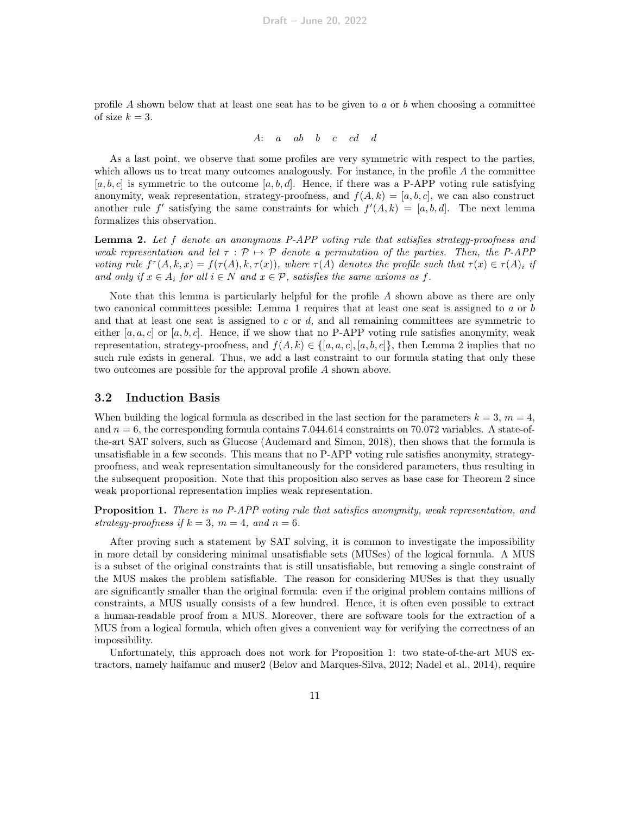profile A shown below that at least one seat has to be given to a or b when choosing a committee of size  $k = 3$ .

$$
A: \quad a \quad ab \quad b \quad c \quad cd \quad d
$$

As a last point, we observe that some profiles are very symmetric with respect to the parties, which allows us to treat many outcomes analogously. For instance, in the profile  $A$  the committee  $[a, b, c]$  is symmetric to the outcome  $[a, b, d]$ . Hence, if there was a P-APP voting rule satisfying anonymity, weak representation, strategy-proofness, and  $f(A, k) = [a, b, c]$ , we can also construct another rule f' satisfying the same constraints for which  $f'(A, k) = [a, b, d]$ . The next lemma formalizes this observation.

<span id="page-10-1"></span>Lemma 2. Let f denote an anonymous P-APP voting rule that satisfies strategy-proofness and weak representation and let  $\tau : \mathcal{P} \mapsto \mathcal{P}$  denote a permutation of the parties. Then, the P-APP voting rule  $f^{\tau}(A, k, x) = f(\tau(A), k, \tau(x))$ , where  $\tau(A)$  denotes the profile such that  $\tau(x) \in \tau(A)_i$  if and only if  $x \in A_i$  for all  $i \in N$  and  $x \in \mathcal{P}$ , satisfies the same axioms as f.

Note that this lemma is particularly helpful for the profile  $A$  shown above as there are only two canonical committees possible: Lemma [1](#page-9-2) requires that at least one seat is assigned to a or b and that at least one seat is assigned to  $c$  or  $d$ , and all remaining committees are symmetric to either [a, a, c] or [a, b, c]. Hence, if we show that no P-APP voting rule satisfies anonymity, weak representation, strategy-proofness, and  $f(A, k) \in \{[a, a, c], [a, b, c]\}$ , then Lemma [2](#page-10-1) implies that no such rule exists in general. Thus, we add a last constraint to our formula stating that only these two outcomes are possible for the approval profile A shown above.

#### <span id="page-10-0"></span>3.2 Induction Basis

When building the logical formula as described in the last section for the parameters  $k = 3, m = 4$ , and  $n = 6$ , the corresponding formula contains 7.044.614 constraints on 70.072 variables. A state-ofthe-art SAT solvers, such as Glucose [\(Audemard and Simon, 2018\)](#page-23-13), then shows that the formula is unsatisfiable in a few seconds. This means that no P-APP voting rule satisfies anonymity, strategyproofness, and weak representation simultaneously for the considered parameters, thus resulting in the subsequent proposition. Note that this proposition also serves as base case for Theorem [2](#page-2-1) since weak proportional representation implies weak representation.

<span id="page-10-2"></span>**Proposition 1.** There is no P-APP voting rule that satisfies anonymity, weak representation, and strategy-proofness if  $k = 3$ ,  $m = 4$ , and  $n = 6$ .

After proving such a statement by SAT solving, it is common to investigate the impossibility in more detail by considering minimal unsatisfiable sets (MUSes) of the logical formula. A MUS is a subset of the original constraints that is still unsatisfiable, but removing a single constraint of the MUS makes the problem satisfiable. The reason for considering MUSes is that they usually are significantly smaller than the original formula: even if the original problem contains millions of constraints, a MUS usually consists of a few hundred. Hence, it is often even possible to extract a human-readable proof from a MUS. Moreover, there are software tools for the extraction of a MUS from a logical formula, which often gives a convenient way for verifying the correctness of an impossibility.

Unfortunately, this approach does not work for Proposition [1:](#page-10-2) two state-of-the-art MUS extractors, namely haifamuc and muser2 [\(Belov and Marques-Silva, 2012;](#page-23-14) [Nadel et al., 2014\)](#page-25-13), require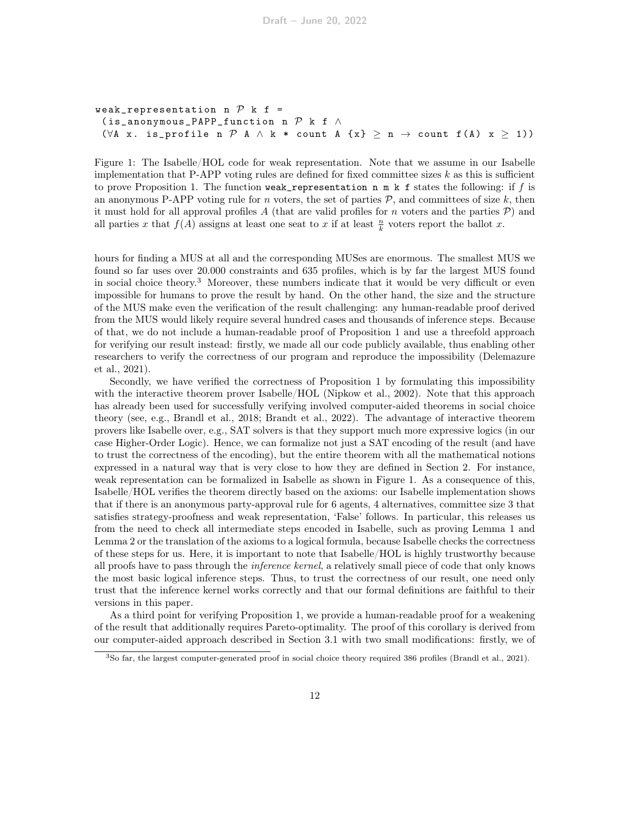```
weak_representation n P k f =
 (is_anonymous_PAPP_function n \mathcal P k f \wedge(\forall A x. is_profile n P A \land k * count A {x} \geq n \rightarrow count f(A) x \geq 1))
```
<span id="page-11-1"></span>Figure 1: The Isabelle/HOL code for weak representation. Note that we assume in our Isabelle implementation that P-APP voting rules are defined for fixed committee sizes  $k$  as this is sufficient to prove Proposition [1.](#page-10-2) The function weak\_representation n m k f states the following: if f is an anonymous P-APP voting rule for n voters, the set of parties  $P$ , and committees of size k, then it must hold for all approval profiles A (that are valid profiles for n voters and the parties  $P$ ) and all parties x that  $f(A)$  assigns at least one seat to x if at least  $\frac{n}{k}$  voters report the ballot x.

hours for finding a MUS at all and the corresponding MUSes are enormous. The smallest MUS we found so far uses over 20.000 constraints and 635 profiles, which is by far the largest MUS found in social choice theory.[3](#page-11-0) Moreover, these numbers indicate that it would be very difficult or even impossible for humans to prove the result by hand. On the other hand, the size and the structure of the MUS make even the verification of the result challenging: any human-readable proof derived from the MUS would likely require several hundred cases and thousands of inference steps. Because of that, we do not include a human-readable proof of Proposition [1](#page-10-2) and use a threefold approach for verifying our result instead: firstly, we made all our code publicly available, thus enabling other researchers to verify the correctness of our program and reproduce the impossibility [\(Delemazure](#page-24-9) [et al., 2021\)](#page-24-9).

Secondly, we have verified the correctness of Proposition [1](#page-10-2) by formulating this impossibility with the interactive theorem prover Isabelle/HOL [\(Nipkow et al., 2002\)](#page-25-10). Note that this approach has already been used for successfully verifying involved computer-aided theorems in social choice theory (see, e.g., [Brandl et al., 2018;](#page-23-7) [Brandt et al., 2022\)](#page-24-8). The advantage of interactive theorem provers like Isabelle over, e.g., SAT solvers is that they support much more expressive logics (in our case Higher-Order Logic). Hence, we can formalize not just a SAT encoding of the result (and have to trust the correctness of the encoding), but the entire theorem with all the mathematical notions expressed in a natural way that is very close to how they are defined in Section [2.](#page-3-0) For instance, weak representation can be formalized in Isabelle as shown in Figure [1.](#page-11-1) As a consequence of this, Isabelle/HOL verifies the theorem directly based on the axioms: our Isabelle implementation shows that if there is an anonymous party-approval rule for 6 agents, 4 alternatives, committee size 3 that satisfies strategy-proofness and weak representation, 'False' follows. In particular, this releases us from the need to check all intermediate steps encoded in Isabelle, such as proving Lemma [1](#page-9-2) and Lemma [2](#page-10-1) or the translation of the axioms to a logical formula, because Isabelle checks the correctness of these steps for us. Here, it is important to note that Isabelle/HOL is highly trustworthy because all proofs have to pass through the inference kernel, a relatively small piece of code that only knows the most basic logical inference steps. Thus, to trust the correctness of our result, one need only trust that the inference kernel works correctly and that our formal definitions are faithful to their versions in this paper.

As a third point for verifying Proposition [1,](#page-10-2) we provide a human-readable proof for a weakening of the result that additionally requires Pareto-optimality. The proof of this corollary is derived from our computer-aided approach described in Section [3.1](#page-8-0) with two small modifications: firstly, we of

<span id="page-11-0"></span><sup>3</sup>So far, the largest computer-generated proof in social choice theory required 386 profiles [\(Brandl et al., 2021\)](#page-23-6).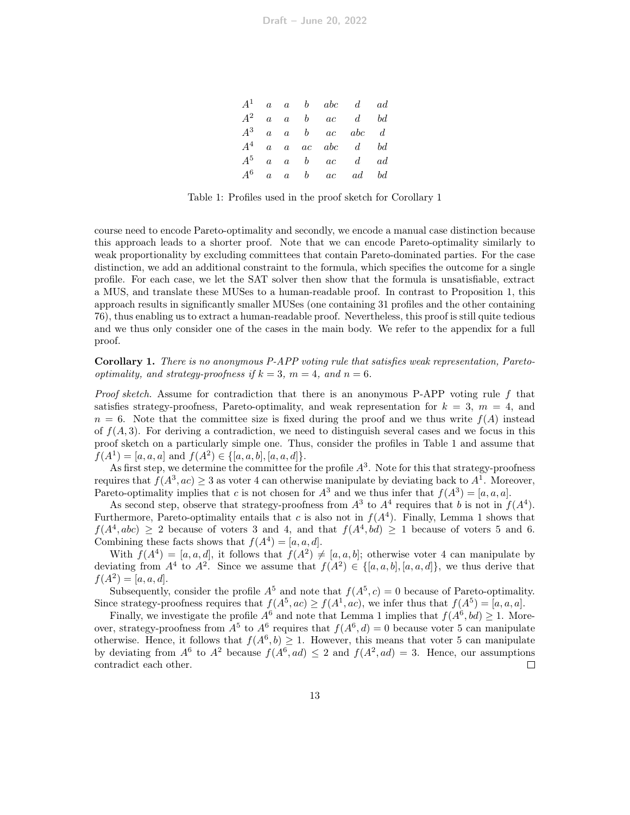|       |  | $A^1$ a a b abc d ad                           |  |
|-------|--|------------------------------------------------|--|
| $A^2$ |  | $a \quad a \quad b \quad ac \quad d \quad bd$  |  |
|       |  | $A^3$ a a b ac abc d                           |  |
|       |  | $A^4$ a a ac abc d bd                          |  |
| $A^5$ |  | $a \quad a \quad b \quad ac \quad d \quad ad$  |  |
| $A^6$ |  | $a \quad a \quad b \quad ac \quad ad \quad bd$ |  |

<span id="page-12-1"></span>Table 1: Profiles used in the proof sketch for Corollary [1](#page-12-0)

course need to encode Pareto-optimality and secondly, we encode a manual case distinction because this approach leads to a shorter proof. Note that we can encode Pareto-optimality similarly to weak proportionality by excluding committees that contain Pareto-dominated parties. For the case distinction, we add an additional constraint to the formula, which specifies the outcome for a single profile. For each case, we let the SAT solver then show that the formula is unsatisfiable, extract a MUS, and translate these MUSes to a human-readable proof. In contrast to Proposition [1,](#page-10-2) this approach results in significantly smaller MUSes (one containing 31 profiles and the other containing 76), thus enabling us to extract a human-readable proof. Nevertheless, this proof is still quite tedious and we thus only consider one of the cases in the main body. We refer to the appendix for a full proof.

<span id="page-12-0"></span>Corollary 1. There is no anonymous P-APP voting rule that satisfies weak representation, Paretooptimality, and strategy-proofness if  $k = 3$ ,  $m = 4$ , and  $n = 6$ .

*Proof sketch.* Assume for contradiction that there is an anonymous P-APP voting rule  $f$  that satisfies strategy-proofness, Pareto-optimality, and weak representation for  $k = 3$ ,  $m = 4$ , and  $n = 6$ . Note that the committee size is fixed during the proof and we thus write  $f(A)$  instead of  $f(A, 3)$ . For deriving a contradiction, we need to distinguish several cases and we focus in this proof sketch on a particularly simple one. Thus, consider the profiles in Table [1](#page-12-1) and assume that  $f(A^1) = [a, a, a]$  and  $f(A^2) \in \{[a, a, b], [a, a, d]\}.$ 

As first step, we determine the committee for the profile  $A<sup>3</sup>$ . Note for this that strategy-proofness requires that  $f(A^3, ac) \geq 3$  as voter 4 can otherwise manipulate by deviating back to  $A^1$ . Moreover, Pareto-optimality implies that c is not chosen for  $A^3$  and we thus infer that  $f(A^3) = [a, a, a]$ .

As second step, observe that strategy-proofness from  $A^3$  to  $A^4$  requires that b is not in  $f(A^4)$ . Furthermore, Pareto-optimality entails that c is also not in  $f(A<sup>4</sup>)$ . Finally, Lemma [1](#page-9-2) shows that  $f(A^4, abc) \geq 2$  because of voters 3 and 4, and that  $f(A^4, bd) \geq 1$  because of voters 5 and 6. Combining these facts shows that  $f(A^4) = [a, a, d]$ .

With  $f(A^4) = [a, a, d]$ , it follows that  $f(A^2) \neq [a, a, b]$ ; otherwise voter 4 can manipulate by deviating from  $A^4$  to  $A^2$ . Since we assume that  $f(A^2) \in \{[a, a, b], [a, a, d]\},$  we thus derive that  $f(A^2) = [a, a, d].$ 

Subsequently, consider the profile  $A^5$  and note that  $f(A^5, c) = 0$  because of Pareto-optimality. Since strategy-proofness requires that  $f(A^5, ac) \ge f(A^1, ac)$ , we infer thus that  $f(A^5) = [a, a, a]$ .

Finally, we investigate the profile  $A^6$  and note that Lemma [1](#page-9-2) implies that  $f(A^6, bd) \geq 1$ . Moreover, strategy-proofness from  $A^5$  to  $A^6$  requires that  $f(A^6, d) = 0$  because voter 5 can manipulate otherwise. Hence, it follows that  $f(A^6, b) \geq 1$ . However, this means that voter 5 can manipulate by deviating from  $A^6$  to  $A^2$  because  $f(A^6, ad) \leq 2$  and  $f(A^2, ad) = 3$ . Hence, our assumptions contradict each other.  $\Box$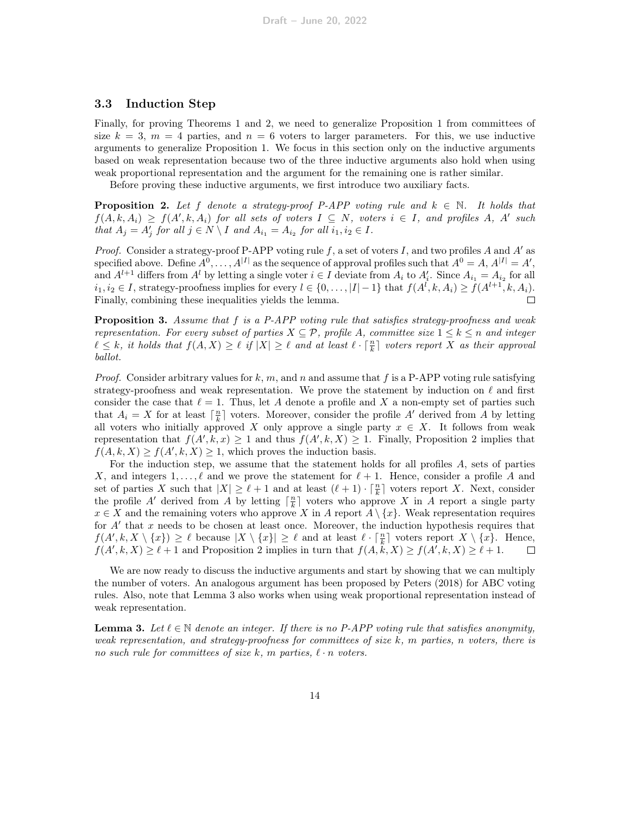#### <span id="page-13-0"></span>3.3 Induction Step

Finally, for proving Theorems [1](#page-2-0) and [2,](#page-2-1) we need to generalize Proposition [1](#page-10-2) from committees of size  $k = 3$ ,  $m = 4$  parties, and  $n = 6$  voters to larger parameters. For this, we use inductive arguments to generalize Proposition [1.](#page-10-2) We focus in this section only on the inductive arguments based on weak representation because two of the three inductive arguments also hold when using weak proportional representation and the argument for the remaining one is rather similar.

Before proving these inductive arguments, we first introduce two auxiliary facts.

<span id="page-13-1"></span>**Proposition 2.** Let f denote a strategy-proof P-APP voting rule and  $k \in \mathbb{N}$ . It holds that  $f(A, k, A_i) \ge f(A', k, A_i)$  for all sets of voters  $I \subseteq N$ , voters  $i \in I$ , and profiles A, A' such that  $A_j = A'_j$  for all  $j \in N \setminus I$  and  $A_{i_1} = A_{i_2}$  for all  $i_1, i_2 \in I$ .

*Proof.* Consider a strategy-proof P-APP voting rule  $f$ , a set of voters I, and two profiles A and  $A'$  as specified above. Define  $A^0, \ldots, A^{|I|}$  as the sequence of approval profiles such that  $A^0 = A, A^{|I|} = A'$ , and  $A^{l+1}$  differs from  $A^l$  by letting a single voter  $i \in I$  deviate from  $A_i$  to  $A'_i$ . Since  $A_{i_1} = A_{i_2}$  for all  $i_1, i_2 \in I$ , strategy-proofness implies for every  $l \in \{0, \ldots, |I|-1\}$  that  $f(A^l, k, A_i) \ge f(A^{l+1}, k, A_i)$ . Finally, combining these inequalities yields the lemma.  $\Box$ 

<span id="page-13-3"></span>**Proposition 3.** Assume that  $f$  is a P-APP voting rule that satisfies strategy-proofness and weak representation. For every subset of parties  $X \subseteq \mathcal{P}$ , profile A, committee size  $1 \leq k \leq n$  and integer  $\ell \leq k$ , it holds that  $f(A, X) \geq \ell$  if  $|X| \geq \ell$  and at least  $\ell \cdot \lceil \frac{n}{k} \rceil$  voters report X as their approval ballot.

*Proof.* Consider arbitrary values for k, m, and n and assume that f is a P-APP voting rule satisfying strategy-proofness and weak representation. We prove the statement by induction on  $\ell$  and first consider the case that  $\ell = 1$ . Thus, let A denote a profile and X a non-empty set of parties such that  $A_i = X$  for at least  $\lceil \frac{n}{k} \rceil$  voters. Moreover, consider the profile A' derived from A by letting all voters who initially approved X only approve a single party  $x \in X$ . It follows from weak representation that  $f(A', k, x) \geq 1$  and thus  $f(A', k, X) \geq 1$ . Finally, Proposition [2](#page-13-1) implies that  $f(A, k, X) \ge f(A', k, X) \ge 1$ , which proves the induction basis.

For the induction step, we assume that the statement holds for all profiles A, sets of parties X, and integers  $1, \ldots, \ell$  and we prove the statement for  $\ell + 1$ . Hence, consider a profile A and set of parties X such that  $|X| \geq \ell + 1$  and at least  $(\ell + 1) \cdot \lceil \frac{n}{k} \rceil$  voters report X. Next, consider the profile A' derived from A by letting  $\lceil \frac{n}{k} \rceil$  voters who approve X in A report a single party  $x \in X$  and the remaining voters who approve X in A report  $A \setminus \{x\}$ . Weak representation requires for  $A'$  that  $x$  needs to be chosen at least once. Moreover, the induction hypothesis requires that  $f(A', k, X \setminus \{x\}) \geq \ell$  because  $|X \setminus \{x\}| \geq \ell$  and at least  $\ell \cdot \lceil \frac{n}{k} \rceil$  voters report  $X \setminus \{x\}$ . Hence,  $f(A', k, X) \ge \ell + 1$  and Proposition [2](#page-13-1) implies in turn that  $f(A, \tilde{k}, X) \ge f(A', k, X) \ge \ell + 1$ .  $\Box$ 

We are now ready to discuss the inductive arguments and start by showing that we can multiply the number of voters. An analogous argument has been proposed by [Peters](#page-25-7) [\(2018\)](#page-25-7) for ABC voting rules. Also, note that Lemma [3](#page-13-2) also works when using weak proportional representation instead of weak representation.

<span id="page-13-2"></span>**Lemma 3.** Let  $\ell \in \mathbb{N}$  denote an integer. If there is no P-APP voting rule that satisfies anonymity, weak representation, and strategy-proofness for committees of size k, m parties, n voters, there is no such rule for committees of size k, m parties,  $\ell \cdot n$  voters.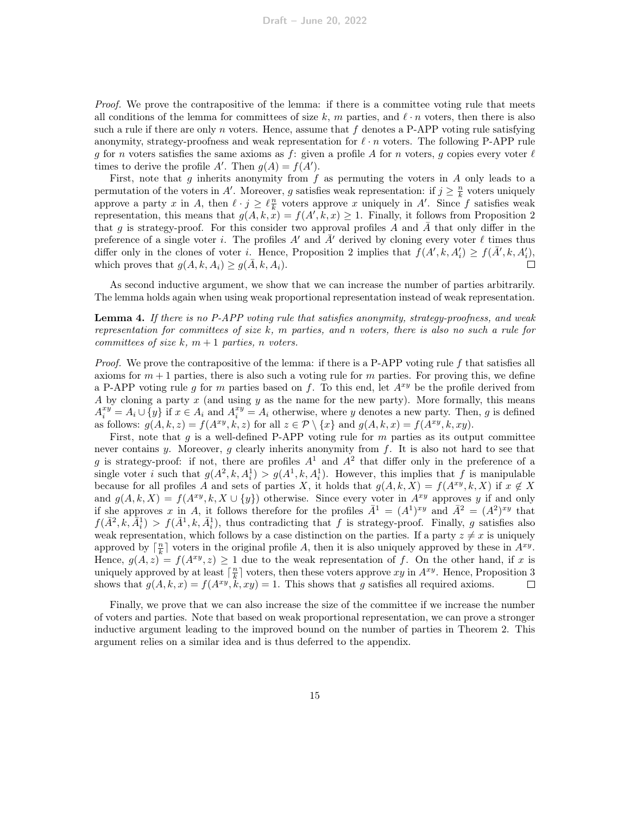Proof. We prove the contrapositive of the lemma: if there is a committee voting rule that meets all conditions of the lemma for committees of size k, m parties, and  $\ell \cdot n$  voters, then there is also such a rule if there are only n voters. Hence, assume that  $f$  denotes a P-APP voting rule satisfying anonymity, strategy-proofness and weak representation for  $\ell \cdot n$  voters. The following P-APP rule g for n voters satisfies the same axioms as f: given a profile A for n voters, g copies every voter  $\ell$ times to derive the profile A'. Then  $g(A) = f(A')$ .

First, note that g inherits anonymity from  $f$  as permuting the voters in  $A$  only leads to a permutation of the voters in A'. Moreover, g satisfies weak representation: if  $j \geq \frac{n}{k}$  voters uniquely approve a party x in A, then  $\ell \cdot j \geq \ell \frac{n}{k}$  voters approve x uniquely in A'. Since f satisfies weak representation, this means that  $g(A, k, \tilde{x}) = f(A', k, x) \geq 1$ . Finally, it follows from Proposition [2](#page-13-1) that g is strategy-proof. For this consider two approval profiles A and A that only differ in the preference of a single voter i. The profiles A' and  $\bar{A}'$  derived by cloning every voter  $\ell$  times thus differ only in the clones of voter *i*. Hence, Proposition [2](#page-13-1) implies that  $f(A', k, A'_i) \ge f(A', k, A'_i)$ , which proves that  $g(A, k, A_i) \ge g(\overline{A}, k, A_i)$ .

As second inductive argument, we show that we can increase the number of parties arbitrarily. The lemma holds again when using weak proportional representation instead of weak representation.

<span id="page-14-0"></span>Lemma 4. If there is no P-APP voting rule that satisfies anonymity, strategy-proofness, and weak representation for committees of size  $k$ , m parties, and n voters, there is also no such a rule for committees of size k,  $m + 1$  parties, n voters.

Proof. We prove the contrapositive of the lemma: if there is a P-APP voting rule f that satisfies all axioms for  $m+1$  parties, there is also such a voting rule for m parties. For proving this, we define a P-APP voting rule g for m parties based on f. To this end, let  $A^{xy}$  be the profile derived from A by cloning a party  $x$  (and using  $y$  as the name for the new party). More formally, this means  $A_i^{xy} = A_i \cup \{y\}$  if  $x \in A_i$  and  $A_i^{xy} = A_i$  otherwise, where y denotes a new party. Then, g is defined as follows:  $g(A, k, z) = f(A^{xy}, k, z)$  for all  $z \in \mathcal{P} \setminus \{x\}$  and  $g(A, k, x) = f(A^{xy}, k, xy)$ .

First, note that q is a well-defined P-APP voting rule for  $m$  parties as its output committee never contains y. Moreover,  $g$  clearly inherits anonymity from  $f$ . It is also not hard to see that g is strategy-proof: if not, there are profiles  $A<sup>1</sup>$  and  $A<sup>2</sup>$  that differ only in the preference of a single voter *i* such that  $g(A^2, k, A_i^1) > g(A^1, k, A_i^1)$ . However, this implies that *f* is manipulable because for all profiles A and sets of parties X, it holds that  $g(A, k, X) = f(A^{xy}, k, X)$  if  $x \notin X$ and  $g(A, k, X) = f(A^{xy}, k, X \cup \{y\})$  otherwise. Since every voter in  $A^{xy}$  approves y if and only if she approves x in A, it follows therefore for the profiles  $\bar{A}^1 = (A^1)^{xy}$  and  $\bar{A}^2 = (A^2)^{xy}$  that  $f(\bar{A}^2, k, \bar{A}^1_i) > f(\bar{A}^1, k, \bar{A}^1_i)$ , thus contradicting that f is strategy-proof. Finally, g satisfies also weak representation, which follows by a case distinction on the parties. If a party  $z \neq x$  is uniquely approved by  $\lceil \frac{n}{k} \rceil$  voters in the original profile A, then it is also uniquely approved by these in  $A^{xy}$ . Hence,  $g(A, z) = f(A^{xy}, z) \ge 1$  due to the weak representation of f. On the other hand, if x is uniquely approved by at least  $\lceil \frac{n}{k} \rceil$  voters, then these voters approve  $xy$  in  $A^{xy}$ . Hence, Proposition [3](#page-13-3) shows that  $g(A, k, x) = f(A^{xy}, k, xy) = 1$ . This shows that g satisfies all required axioms.  $\Box$ 

Finally, we prove that we can also increase the size of the committee if we increase the number of voters and parties. Note that based on weak proportional representation, we can prove a stronger inductive argument leading to the improved bound on the number of parties in Theorem [2.](#page-2-1) This argument relies on a similar idea and is thus deferred to the appendix.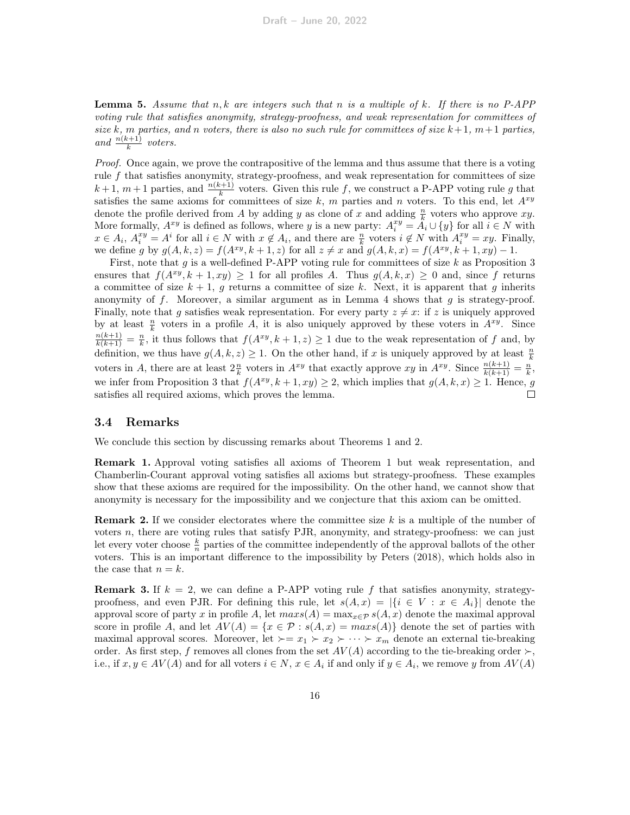**Lemma 5.** Assume that n, k are integers such that n is a multiple of k. If there is no P-APP voting rule that satisfies anonymity, strategy-proofness, and weak representation for committees of size k, m parties, and n voters, there is also no such rule for committees of size  $k+1$ ,  $m+1$  parties, and  $\frac{n(k+1)}{k}$  voters.

Proof. Once again, we prove the contrapositive of the lemma and thus assume that there is a voting rule  $f$  that satisfies anonymity, strategy-proofness, and weak representation for committees of size  $k+1$ ,  $m+1$  parties, and  $\frac{n(k+1)}{k}$  voters. Given this rule f, we construct a P-APP voting rule g that satisfies the same axioms for committees of size  $k$ , m parties and n voters. To this end, let  $A^{xy}$ denote the profile derived from A by adding y as clone of x and adding  $\frac{n}{k}$  voters who approve xy. More formally,  $A^{xy}$  is defined as follows, where y is a new party:  $A_i^{xy} = A_i \cup \{y\}$  for all  $i \in N$  with  $x \in A_i$ ,  $A_i^{xy} = A^i$  for all  $i \in N$  with  $x \notin A_i$ , and there are  $\frac{n}{k}$  voters  $i \notin N$  with  $A_i^{xy} = xy$ . Finally, we define g by  $g(A, k, z) = f(A^{xy}, k + 1, z)$  for all  $z \neq x$  and  $g(A, k, x) = f(A^{xy}, k + 1, xy) - 1$ .

First, note that g is a well-defined P-APP voting rule for committees of size k as Proposition [3](#page-13-3) ensures that  $f(A^{xy}, k + 1, xy) \ge 1$  for all profiles A. Thus  $g(A, k, x) \ge 0$  and, since f returns a committee of size  $k + 1$ , g returns a committee of size k. Next, it is apparent that g inherits anonymity of  $f$ . Moreover, a similar argument as in Lemma [4](#page-14-0) shows that  $g$  is strategy-proof. Finally, note that g satisfies weak representation. For every party  $z \neq x$ : if z is uniquely approved by at least  $\frac{n}{k}$  voters in a profile A, it is also uniquely approved by these voters in  $A^{xy}$ . Since  $\frac{n(k+1)}{k(k+1)} = \frac{n}{k}$ , it thus follows that  $f(A^{xy}, k+1, z) \geq 1$  due to the weak representation of f and, by definition, we thus have  $g(A, k, z) \geq 1$ . On the other hand, if x is uniquely approved by at least  $\frac{n}{k}$ voters in A, there are at least  $2\frac{n}{k}$  voters in  $A^{xy}$  that exactly approve xy in  $A^{xy}$ . Since  $\frac{n(k+1)}{k(k+1)} = \frac{n}{k}$ , we infer from Proposition [3](#page-13-3) that  $f(A^{xy}, k+1, xy) \geq 2$ , which implies that  $g(A, k, x) \geq 1$ . Hence, g satisfies all required axioms, which proves the lemma.

#### <span id="page-15-0"></span>3.4 Remarks

We conclude this section by discussing remarks about Theorems [1](#page-2-0) and [2.](#page-2-1)

Remark 1. Approval voting satisfies all axioms of Theorem [1](#page-2-0) but weak representation, and Chamberlin-Courant approval voting satisfies all axioms but strategy-proofness. These examples show that these axioms are required for the impossibility. On the other hand, we cannot show that anonymity is necessary for the impossibility and we conjecture that this axiom can be omitted.

**Remark 2.** If we consider electorates where the committee size  $k$  is a multiple of the number of voters n, there are voting rules that satisfy PJR, anonymity, and strategy-proofness: we can just let every voter choose  $\frac{k}{n}$  parties of the committee independently of the approval ballots of the other voters. This is an important difference to the impossibility by [Peters](#page-25-7) [\(2018\)](#page-25-7), which holds also in the case that  $n = k$ .

**Remark 3.** If  $k = 2$ , we can define a P-APP voting rule f that satisfies anonymity, strategyproofness, and even PJR. For defining this rule, let  $s(A, x) = |\{i \in V : x \in A_i\}|$  denote the approval score of party x in profile A, let  $max(s(A) = max_{x \in \mathcal{P}} s(A, x)$  denote the maximal approval score in profile A, and let  $AV(A) = \{x \in \mathcal{P} : s(A, x) = max(s(A))\}$  denote the set of parties with maximal approval scores. Moreover, let  $\succ = x_1 \succ x_2 \succ \cdots \succ x_m$  denote an external tie-breaking order. As first step, f removes all clones from the set  $AV(A)$  according to the tie-breaking order  $\succ$ , i.e., if  $x, y \in AV(A)$  and for all voters  $i \in N$ ,  $x \in A_i$  if and only if  $y \in A_i$ , we remove y from  $AV(A)$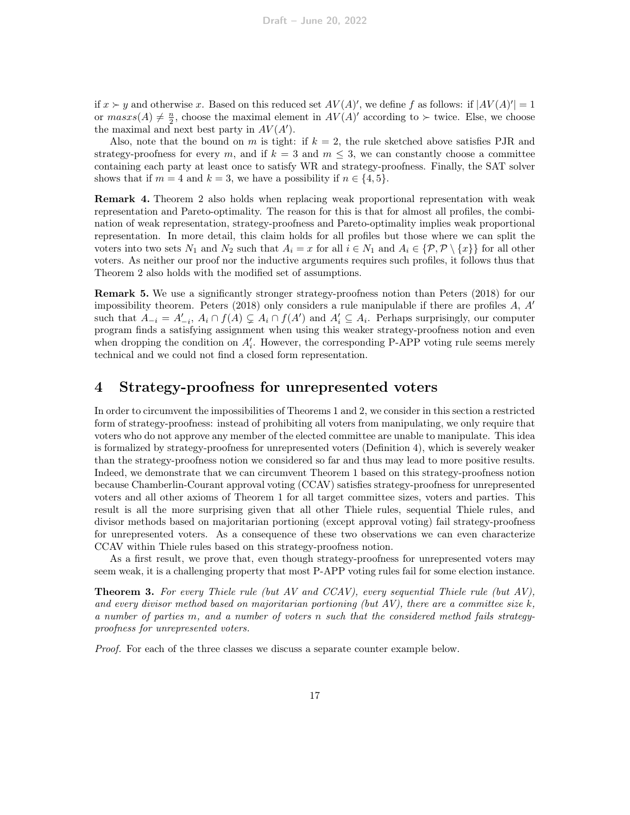if  $x \succ y$  and otherwise x. Based on this reduced set  $AV(A)'$ , we define f as follows: if  $|AV(A)'| = 1$ or  $mass(A) \neq \frac{n}{2}$ , choose the maximal element in  $AV(A)$ ' according to  $\succ$  twice. Else, we choose the maximal and next best party in  $AV(A')$ .

Also, note that the bound on m is tight: if  $k = 2$ , the rule sketched above satisfies PJR and strategy-proofness for every m, and if  $k = 3$  and  $m \leq 3$ , we can constantly choose a committee containing each party at least once to satisfy WR and strategy-proofness. Finally, the SAT solver shows that if  $m = 4$  and  $k = 3$ , we have a possibility if  $n \in \{4, 5\}.$ 

Remark 4. Theorem [2](#page-2-1) also holds when replacing weak proportional representation with weak representation and Pareto-optimality. The reason for this is that for almost all profiles, the combination of weak representation, strategy-proofness and Pareto-optimality implies weak proportional representation. In more detail, this claim holds for all profiles but those where we can split the voters into two sets  $N_1$  and  $N_2$  such that  $A_i = x$  for all  $i \in N_1$  and  $A_i \in \{P, P \setminus \{x\}\}\)$  for all other voters. As neither our proof nor the inductive arguments requires such profiles, it follows thus that Theorem [2](#page-2-1) also holds with the modified set of assumptions.

Remark 5. We use a significantly stronger strategy-proofness notion than [Peters](#page-25-7) [\(2018\)](#page-25-7) for our impossibility theorem. [Peters](#page-25-7) [\(2018\)](#page-25-7) only considers a rule manipulable if there are profiles  $A, A'$ such that  $A_{-i} = A'_{-i}$ ,  $A_i \cap f(A) \subsetneq A_i \cap f(A')$  and  $A'_i \subseteq A_i$ . Perhaps surprisingly, our computer program finds a satisfying assignment when using this weaker strategy-proofness notion and even when dropping the condition on  $A'_{i}$ . However, the corresponding P-APP voting rule seems merely technical and we could not find a closed form representation.

# <span id="page-16-0"></span>4 Strategy-proofness for unrepresented voters

In order to circumvent the impossibilities of Theorems [1](#page-2-0) and [2,](#page-2-1) we consider in this section a restricted form of strategy-proofness: instead of prohibiting all voters from manipulating, we only require that voters who do not approve any member of the elected committee are unable to manipulate. This idea is formalized by strategy-proofness for unrepresented voters (Definition [4\)](#page-5-0), which is severely weaker than the strategy-proofness notion we considered so far and thus may lead to more positive results. Indeed, we demonstrate that we can circumvent Theorem [1](#page-2-0) based on this strategy-proofness notion because Chamberlin-Courant approval voting (CCAV) satisfies strategy-proofness for unrepresented voters and all other axioms of Theorem [1](#page-2-0) for all target committee sizes, voters and parties. This result is all the more surprising given that all other Thiele rules, sequential Thiele rules, and divisor methods based on majoritarian portioning (except approval voting) fail strategy-proofness for unrepresented voters. As a consequence of these two observations we can even characterize CCAV within Thiele rules based on this strategy-proofness notion.

As a first result, we prove that, even though strategy-proofness for unrepresented voters may seem weak, it is a challenging property that most P-APP voting rules fail for some election instance.

<span id="page-16-1"></span>Theorem 3. For every Thiele rule (but AV and CCAV), every sequential Thiele rule (but AV), and every divisor method based on majoritarian portioning (but AV), there are a committee size  $k$ , a number of parties m, and a number of voters n such that the considered method fails strategyproofness for unrepresented voters.

Proof. For each of the three classes we discuss a separate counter example below.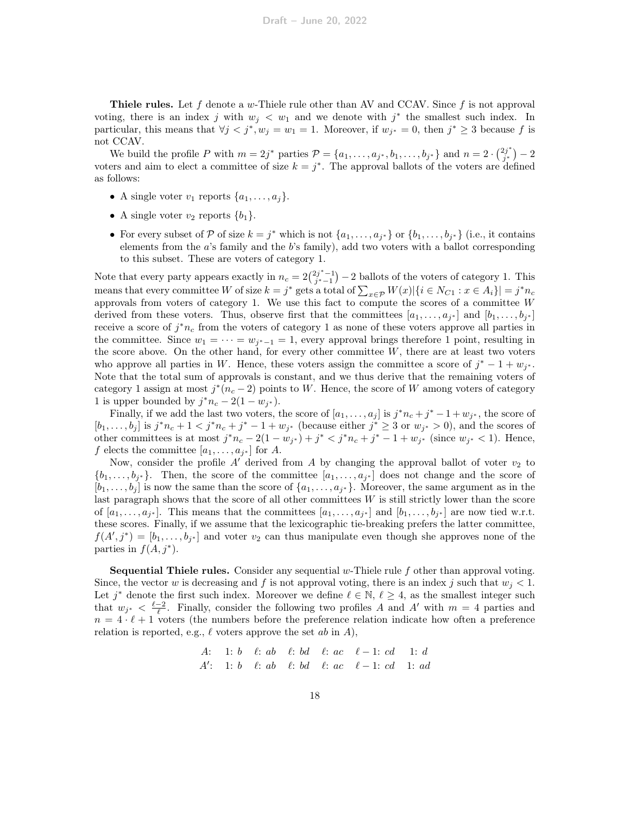**Thiele rules.** Let f denote a w-Thiele rule other than AV and CCAV. Since f is not approval voting, there is an index j with  $w_j \langle w_1 \rangle$  and we denote with j<sup>\*</sup> the smallest such index. In particular, this means that  $\forall j < j^*, w_j = w_1 = 1$ . Moreover, if  $w_{j^*} = 0$ , then  $j^* \geq 3$  because f is not CCAV.

We build the profile P with  $m = 2j^*$  parties  $\mathcal{P} = \{a_1, \ldots, a_{j^*}, b_1, \ldots, b_{j^*}\}\$  and  $n = 2 \cdot \binom{2j^*}{j^*}$  $\binom{2j^*}{j^*} - 2$ voters and aim to elect a committee of size  $k = j^*$ . The approval ballots of the voters are defined as follows:

- A single voter  $v_1$  reports  $\{a_1, \ldots, a_j\}$ .
- A single voter  $v_2$  reports  $\{b_1\}$ .
- For every subset of P of size  $k = j^*$  which is not  $\{a_1, \ldots, a_{j^*}\}$  or  $\{b_1, \ldots, b_{j^*}\}$  (i.e., it contains elements from the a's family and the b's family), add two voters with a ballot corresponding to this subset. These are voters of category 1.

Note that every party appears exactly in  $n_c = 2\binom{2j^*-1}{j^*-1} - 2$  ballots of the voters of category 1. This means that every committee W of size  $k = j^*$  gets a total of  $\sum_{x \in \mathcal{P}} W(x) | \{ i \in N_{C_1} : x \in A_i \} | = j^* n_c$ approvals from voters of category 1. We use this fact to compute the scores of a committee  $W$ derived from these voters. Thus, observe first that the committees  $[a_1, \ldots, a_{j^*}]$  and  $[b_1, \ldots, b_{j^*}]$ receive a score of  $j^*n_c$  from the voters of category 1 as none of these voters approve all parties in the committee. Since  $w_1 = \cdots = w_{j^*-1} = 1$ , every approval brings therefore 1 point, resulting in the score above. On the other hand, for every other committee  $W$ , there are at least two voters who approve all parties in W. Hence, these voters assign the committee a score of  $j^* - 1 + w_{j^*}$ . Note that the total sum of approvals is constant, and we thus derive that the remaining voters of category 1 assign at most  $j^*(n_c-2)$  points to W. Hence, the score of W among voters of category 1 is upper bounded by  $j^* n_c - 2(1 - w_{j^*}).$ 

Finally, if we add the last two voters, the score of  $[a_1, \ldots, a_j]$  is  $j^*n_c + j^* - 1 + w_{j^*}$ , the score of  $[b_1,\ldots,b_j]$  is  $j^*n_c+1 < j^*n_c+j^*-1+w_{j^*}$  (because either  $j^* \geq 3$  or  $w_{j^*} > 0$ ), and the scores of other committees is at most  $j^*n_c - 2(1 - w_{j^*}) + j^* < j^*n_c + j^* - 1 + w_{j^*}$  (since  $w_{j^*} < 1$ ). Hence, f elects the committee  $[a_1, \ldots, a_{j^*}]$  for A.

Now, consider the profile  $A'$  derived from  $A$  by changing the approval ballot of voter  $v_2$  to  $\{b_1,\ldots,b_{j^*}\}.$  Then, the score of the committee  $[a_1,\ldots,a_{j^*}]$  does not change and the score of  $[b_1, \ldots, b_j]$  is now the same than the score of  $\{a_1, \ldots, a_{j^*}\}\$ . Moreover, the same argument as in the last paragraph shows that the score of all other committees  $W$  is still strictly lower than the score of  $[a_1, \ldots, a_{j^*}]$ . This means that the committees  $[a_1, \ldots, a_{j^*}]$  and  $[b_1, \ldots, b_{j^*}]$  are now tied w.r.t. these scores. Finally, if we assume that the lexicographic tie-breaking prefers the latter committee,  $f(A',j^*) = [b_1,\ldots,b_{j^*}]$  and voter  $v_2$  can thus manipulate even though she approves none of the parties in  $f(A, j^*)$ .

**Sequential Thiele rules.** Consider any sequential  $w$ -Thiele rule  $f$  other than approval voting. Since, the vector w is decreasing and f is not approval voting, there is an index j such that  $w_j < 1$ . Let  $j^*$  denote the first such index. Moreover we define  $\ell \in \mathbb{N}, \ell \geq 4$ , as the smallest integer such that  $w_{j^*} < \frac{\ell-2}{\ell}$ . Finally, consider the following two profiles A and A' with  $m = 4$  parties and  $n = 4 \cdot \ell + 1$  voters (the numbers before the preference relation indicate how often a preference relation is reported, e.g.,  $\ell$  voters approve the set ab in A),

A: 1: b 
$$
\ell
$$
: ab  $\ell$ : bd  $\ell$ : ac  $\ell - 1$ : cd 1: d  
A': 1: b  $\ell$ : ab  $\ell$ : bd  $\ell$ : ac  $\ell - 1$ : cd 1: ad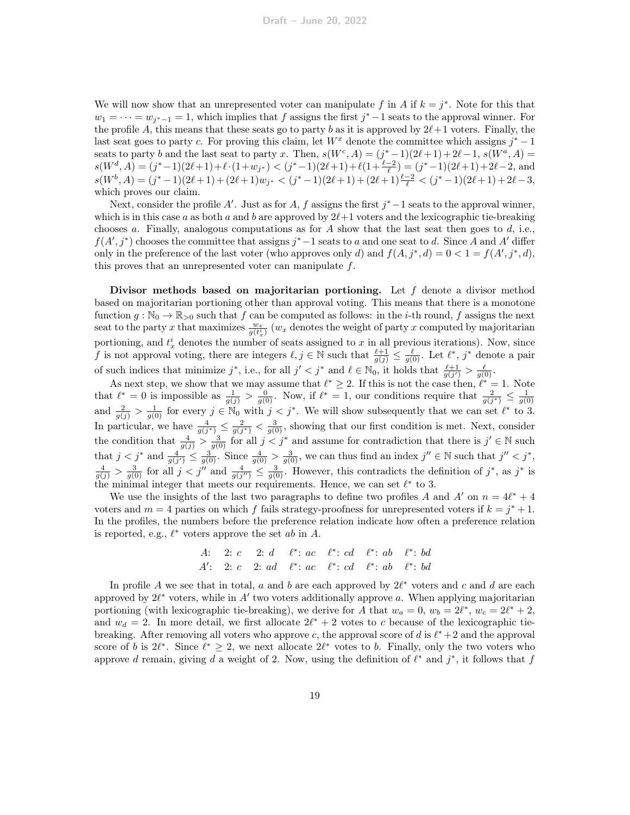We will now show that an unrepresented voter can manipulate f in A if  $k = j^*$ . Note for this that  $w_1 = \cdots = w_{j^*-1} = 1$ , which implies that f assigns the first  $j^*-1$  seats to the approval winner. For the profile A, this means that these seats go to party b as it is approved by  $2\ell+1$  voters. Finally, the last seat goes to party c. For proving this claim, let  $W^x$  denote the committee which assigns  $j^* - 1$ seats to party b and the last seat to party x. Then,  $s(W^c, A) = (j^* - 1)(2\ell + 1) + 2\ell - 1$ ,  $s(W^a, A) =$  $s(W<sup>d</sup>, A) = (j^*-1)(2\ell+1) + \ell \cdot (1+w_{j^*}) < (j^*-1)(2\ell+1) + \ell(1+\frac{\ell-2}{\ell}) = (j^*-1)(2\ell+1) + 2\ell-2$ , and  $s(W^b, A) = (j^* - 1)(2\ell + 1) + (2\ell + 1)w_{j^*} < (j^* - 1)(2\ell + 1) + (2\ell + 1)\frac{\ell - 2}{\ell} < (j^* - 1)(2\ell + 1) + 2\ell - 3,$ which proves our claim.

Next, consider the profile A'. Just as for A, f assigns the first  $j^*$  –1 seats to the approval winner, which is in this case a as both a and b are approved by  $2\ell+1$  voters and the lexicographic tie-breaking chooses a. Finally, analogous computations as for  $A$  show that the last seat then goes to  $d$ , i.e.,  $f(A', j^*)$  chooses the committee that assigns  $j^*-1$  seats to a and one seat to d. Since A and A' differ only in the preference of the last voter (who approves only d) and  $f(A, j^*, d) = 0 < 1 = f(A', j^*, d)$ , this proves that an unrepresented voter can manipulate  $f$ .

Divisor methods based on majoritarian portioning. Let f denote a divisor method based on majoritarian portioning other than approval voting. This means that there is a monotone function  $g : \mathbb{N}_0 \to \mathbb{R}_{>0}$  such that f can be computed as follows: in the *i*-th round, f assigns the next seat to the party x that maximizes  $\frac{w_x}{g(t_x^i)}(w_x)$  denotes the weight of party x computed by majoritarian portioning, and  $t_x^i$  denotes the number of seats assigned to x in all previous iterations). Now, since f is not approval voting, there are integers  $\ell, j \in \mathbb{N}$  such that  $\frac{\ell+1}{g(j)} \leq \frac{\ell}{g(0)}$ . Let  $\ell^*, j^*$  denote a pair of such indices that minimize  $j^*$ , i.e., for all  $j' < j^*$  and  $\ell \in \mathbb{N}_0$ , it holds that  $\frac{\ell+1}{g(j')} > \frac{\ell}{g(0)}$ .

As next step, we show that we may assume that  $\ell^* \geq 2$ . If this is not the case then,  $\ell^* = 1$ . Note that  $\ell^* = 0$  is impossible as  $\frac{1}{g(j)} > \frac{0}{g(0)}$ . Now, if  $\ell^* = 1$ , our conditions require that  $\frac{2}{g(j^*)} \leq \frac{1}{g(0)}$ and  $\frac{2}{g(j)} > \frac{1}{g(0)}$  for every  $j \in \mathbb{N}_0$  with  $j < j^*$ . We will show subsequently that we can set  $\ell^*$  to 3. In particular, we have  $\frac{4}{g(j^*)} \leq \frac{2}{g(j^*)} < \frac{3}{g(0)}$ , showing that our first condition is met. Next, consider the condition that  $\frac{4}{g(j)} > \frac{3}{g(0)}$  for all  $j < j^*$  and assume for contradiction that there is  $j' \in \mathbb{N}$  such that  $j < j^*$  and  $\frac{4}{g(j')}\n\t\leq \frac{3}{g(0)}$ . Since  $\frac{4}{g(0)} > \frac{3}{g(0)}$ , we can thus find an index  $j'' \in \mathbb{N}$  such that  $j'' < j^*$ ,  $\frac{4}{g(j)} > \frac{3}{g(0)}$  for all  $j < j''$  and  $\frac{4}{g(j'')} \leq \frac{3}{g(0)}$ . However, this contradicts the definition of  $j^*$ , as  $j^*$  is the minimal integer that meets our requirements. Hence, we can set  $\ell^*$  to 3.

We use the insights of the last two paragraphs to define two profiles A and A' on  $n = 4\ell^* + 4$ voters and  $m = 4$  parties on which f fails strategy-proofness for unrepresented voters if  $k = j^* + 1$ . In the profiles, the numbers before the preference relation indicate how often a preference relation is reported, e.g.,  $\ell^*$  voters approve the set ab in A.

A: 2: c 2: d 
$$
\ell^*
$$
: ac  $\ell^*$ : cd  $\ell^*$ : ab  $\ell^*$ : bd  
A': 2: c 2: ad  $\ell^*$ : ac  $\ell^*$ : cd  $\ell^*$ : ab  $\ell^*$ : bd

In profile A we see that in total, a and b are each approved by  $2\ell^*$  voters and c and d are each approved by  $2\ell^*$  voters, while in  $A'$  two voters additionally approve a. When applying majoritarian portioning (with lexicographic tie-breaking), we derive for A that  $w_a = 0$ ,  $w_b = 2\ell^*$ ,  $w_c = 2\ell^* + 2$ , and  $w_d = 2$ . In more detail, we first allocate  $2\ell^* + 2$  votes to c because of the lexicographic tiebreaking. After removing all voters who approve c, the approval score of  $d$  is  $\ell^* + 2$  and the approval score of b is  $2\ell^*$ . Since  $\ell^* \geq 2$ , we next allocate  $2\ell^*$  votes to b. Finally, only the two voters who approve d remain, giving d a weight of 2. Now, using the definition of  $\ell^*$  and  $j^*$ , it follows that f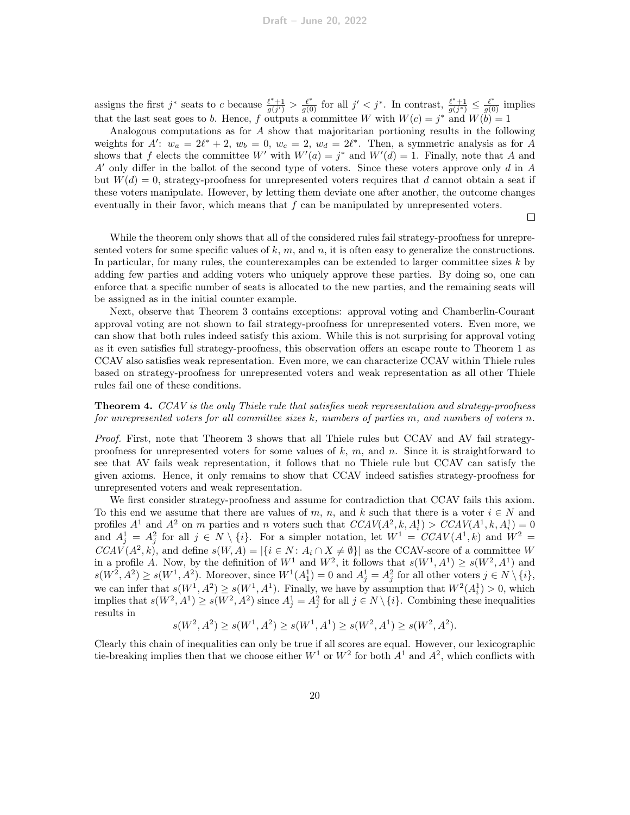assigns the first j<sup>\*</sup> seats to c because  $\frac{\ell^*+1}{g(j')} > \frac{\ell^*}{g(0)}$  for all  $j' < j^*$ . In contrast,  $\frac{\ell^*+1}{g(j^*)} \leq \frac{\ell^*}{g(0)}$  implies that the last seat goes to b. Hence, f outputs a committee W with  $W(c) = j^*$  and  $W(b) = 1$ 

Analogous computations as for A show that majoritarian portioning results in the following weights for A':  $w_a = 2\ell^* + 2$ ,  $w_b = 0$ ,  $w_c = 2$ ,  $w_d = 2\ell^*$ . Then, a symmetric analysis as for A shows that f elects the committee W' with  $W'(a) = j^*$  and  $W'(d) = 1$ . Finally, note that A and  $A'$  only differ in the ballot of the second type of voters. Since these voters approve only d in A but  $W(d) = 0$ , strategy-proofness for unrepresented voters requires that d cannot obtain a seat if these voters manipulate. However, by letting them deviate one after another, the outcome changes eventually in their favor, which means that f can be manipulated by unrepresented voters.

 $\Box$ 

While the theorem only shows that all of the considered rules fail strategy-proofness for unrepresented voters for some specific values of  $k, m$ , and n, it is often easy to generalize the constructions. In particular, for many rules, the counterexamples can be extended to larger committee sizes  $k$  by adding few parties and adding voters who uniquely approve these parties. By doing so, one can enforce that a specific number of seats is allocated to the new parties, and the remaining seats will be assigned as in the initial counter example.

Next, observe that Theorem [3](#page-16-1) contains exceptions: approval voting and Chamberlin-Courant approval voting are not shown to fail strategy-proofness for unrepresented voters. Even more, we can show that both rules indeed satisfy this axiom. While this is not surprising for approval voting as it even satisfies full strategy-proofness, this observation offers an escape route to Theorem [1](#page-2-0) as CCAV also satisfies weak representation. Even more, we can characterize CCAV within Thiele rules based on strategy-proofness for unrepresented voters and weak representation as all other Thiele rules fail one of these conditions.

#### <span id="page-19-0"></span>**Theorem 4.** CCAV is the only Thiele rule that satisfies weak representation and strategy-proofness for unrepresented voters for all committee sizes  $k$ , numbers of parties  $m$ , and numbers of voters  $n$ .

Proof. First, note that Theorem [3](#page-16-1) shows that all Thiele rules but CCAV and AV fail strategyproofness for unrepresented voters for some values of  $k, m$ , and n. Since it is straightforward to see that AV fails weak representation, it follows that no Thiele rule but CCAV can satisfy the given axioms. Hence, it only remains to show that CCAV indeed satisfies strategy-proofness for unrepresented voters and weak representation.

We first consider strategy-proofness and assume for contradiction that CCAV fails this axiom. To this end we assume that there are values of m, n, and k such that there is a voter  $i \in N$  and profiles  $A^1$  and  $A^2$  on m parties and n voters such that  $CCAV(A^2, k, A_i^1) > CCAV(A^1, k, A_i^1) = 0$ and  $A_j^1 = A_j^2$  for all  $j \in N \setminus \{i\}$ . For a simpler notation, let  $W^1 = CCAV(A^1, k)$  and  $W^2 =$  $CCAV(A^2, k)$ , and define  $s(W, A) = |\{i \in N : A_i \cap X \neq \emptyset\}|$  as the CCAV-score of a committee W in a profile A. Now, by the definition of  $W^1$  and  $W^2$ , it follows that  $s(W^1, A^1) \geq s(W^2, A^1)$  and  $s(W^2, A^2) \geq s(W^1, A^2)$ . Moreover, since  $W^1(A_1^1) = 0$  and  $A_j^1 = A_j^2$  for all other voters  $j \in N \setminus \{i\}$ , we can infer that  $s(W^1, A^2) \ge s(W^1, A^1)$ . Finally, we have by assumption that  $W^2(A_i^1) > 0$ , which implies that  $s(W^2, A^1) \geq s(W^2, A^2)$  since  $A_j^1 = A_j^2$  for all  $j \in N \setminus \{i\}$ . Combining these inequalities results in

$$
s(W^2, A^2) \ge s(W^1, A^2) \ge s(W^1, A^1) \ge s(W^2, A^1) \ge s(W^2, A^2).
$$

Clearly this chain of inequalities can only be true if all scores are equal. However, our lexicographic tie-breaking implies then that we choose either  $W^1$  or  $W^2$  for both  $A^1$  and  $A^2$ , which conflicts with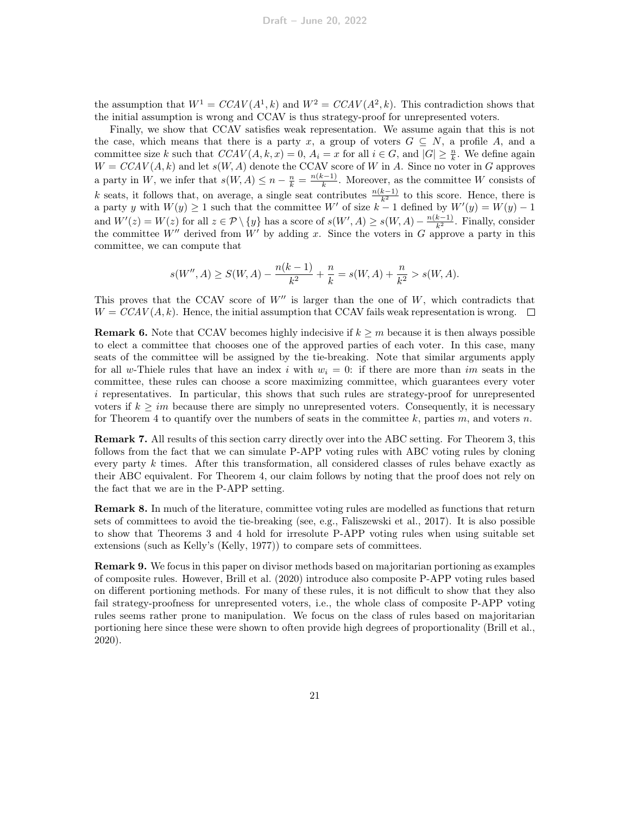the assumption that  $W^1 = CCAV(A^1, k)$  and  $W^2 = CCAV(A^2, k)$ . This contradiction shows that the initial assumption is wrong and CCAV is thus strategy-proof for unrepresented voters.

Finally, we show that CCAV satisfies weak representation. We assume again that this is not the case, which means that there is a party x, a group of voters  $G \subseteq N$ , a profile A, and a committee size k such that  $CCAV(A, k, x) = 0$ ,  $A_i = x$  for all  $i \in G$ , and  $|G| \geq \frac{n}{k}$ . We define again  $W = CCAV(A, k)$  and let  $s(W, A)$  denote the CCAV score of W in A. Since no voter in G approves a party in W, we infer that  $s(W, A) \leq n - \frac{n}{k} = \frac{n(k-1)}{k}$  $\frac{k^{2}-1}{k}$ . Moreover, as the committee W consists of k seats, it follows that, on average, a single seat contributes  $\frac{n(k-1)}{k^2}$  to this score. Hence, there is a party y with  $W(y) \ge 1$  such that the committee W' of size  $k-1$  defined by  $W'(y) = W(y) - 1$ and  $W'(z) = W(z)$  for all  $z \in \mathcal{P} \setminus \{y\}$  has a score of  $s(W', A) \geq s(W, A) - \frac{n(k-1)}{k^2}$ . Finally, consider the committee W'' derived from W' by adding x. Since the voters in G approve a party in this committee, we can compute that

$$
s(W'', A) \ge S(W, A) - \frac{n(k-1)}{k^2} + \frac{n}{k} = s(W, A) + \frac{n}{k^2} > s(W, A).
$$

This proves that the CCAV score of  $W''$  is larger than the one of  $W$ , which contradicts that  $W = CCAV(A, k)$ . Hence, the initial assumption that CCAV fails weak representation is wrong.  $\Box$ 

**Remark 6.** Note that CCAV becomes highly indecisive if  $k \geq m$  because it is then always possible to elect a committee that chooses one of the approved parties of each voter. In this case, many seats of the committee will be assigned by the tie-breaking. Note that similar arguments apply for all w-Thiele rules that have an index i with  $w_i = 0$ : if there are more than im seats in the committee, these rules can choose a score maximizing committee, which guarantees every voter i representatives. In particular, this shows that such rules are strategy-proof for unrepresented voters if  $k \geq im$  because there are simply no unrepresented voters. Consequently, it is necessary for Theorem [4](#page-19-0) to quantify over the numbers of seats in the committee  $k$ , parties  $m$ , and voters  $n$ .

Remark 7. All results of this section carry directly over into the ABC setting. For Theorem [3,](#page-16-1) this follows from the fact that we can simulate P-APP voting rules with ABC voting rules by cloning every party  $k$  times. After this transformation, all considered classes of rules behave exactly as their ABC equivalent. For Theorem [4,](#page-19-0) our claim follows by noting that the proof does not rely on the fact that we are in the P-APP setting.

Remark 8. In much of the literature, committee voting rules are modelled as functions that return sets of committees to avoid the tie-breaking (see, e.g., [Faliszewski et al., 2017\)](#page-24-14). It is also possible to show that Theorems [3](#page-16-1) and [4](#page-19-0) hold for irresolute P-APP voting rules when using suitable set extensions (such as Kelly's [\(Kelly, 1977\)](#page-24-15)) to compare sets of committees.

Remark 9. We focus in this paper on divisor methods based on majoritarian portioning as examples of composite rules. However, [Brill et al.](#page-24-2) [\(2020\)](#page-24-2) introduce also composite P-APP voting rules based on different portioning methods. For many of these rules, it is not difficult to show that they also fail strategy-proofness for unrepresented voters, i.e., the whole class of composite P-APP voting rules seems rather prone to manipulation. We focus on the class of rules based on majoritarian portioning here since these were shown to often provide high degrees of proportionality [\(Brill et al.,](#page-24-2) [2020\)](#page-24-2).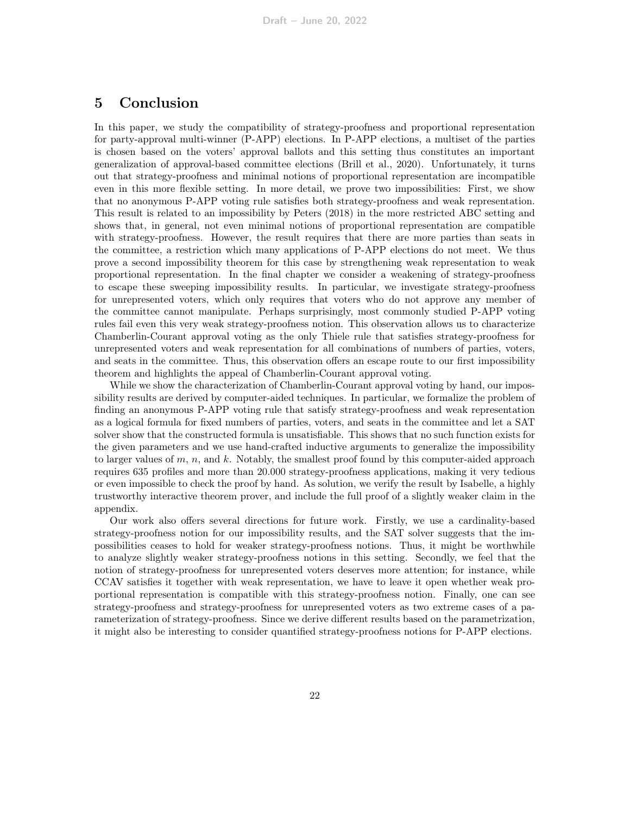# 5 Conclusion

In this paper, we study the compatibility of strategy-proofness and proportional representation for party-approval multi-winner (P-APP) elections. In P-APP elections, a multiset of the parties is chosen based on the voters' approval ballots and this setting thus constitutes an important generalization of approval-based committee elections [\(Brill et al., 2020\)](#page-24-2). Unfortunately, it turns out that strategy-proofness and minimal notions of proportional representation are incompatible even in this more flexible setting. In more detail, we prove two impossibilities: First, we show that no anonymous P-APP voting rule satisfies both strategy-proofness and weak representation. This result is related to an impossibility by [Peters](#page-25-7) [\(2018\)](#page-25-7) in the more restricted ABC setting and shows that, in general, not even minimal notions of proportional representation are compatible with strategy-proofness. However, the result requires that there are more parties than seats in the committee, a restriction which many applications of P-APP elections do not meet. We thus prove a second impossibility theorem for this case by strengthening weak representation to weak proportional representation. In the final chapter we consider a weakening of strategy-proofness to escape these sweeping impossibility results. In particular, we investigate strategy-proofness for unrepresented voters, which only requires that voters who do not approve any member of the committee cannot manipulate. Perhaps surprisingly, most commonly studied P-APP voting rules fail even this very weak strategy-proofness notion. This observation allows us to characterize Chamberlin-Courant approval voting as the only Thiele rule that satisfies strategy-proofness for unrepresented voters and weak representation for all combinations of numbers of parties, voters, and seats in the committee. Thus, this observation offers an escape route to our first impossibility theorem and highlights the appeal of Chamberlin-Courant approval voting.

While we show the characterization of Chamberlin-Courant approval voting by hand, our impossibility results are derived by computer-aided techniques. In particular, we formalize the problem of finding an anonymous P-APP voting rule that satisfy strategy-proofness and weak representation as a logical formula for fixed numbers of parties, voters, and seats in the committee and let a SAT solver show that the constructed formula is unsatisfiable. This shows that no such function exists for the given parameters and we use hand-crafted inductive arguments to generalize the impossibility to larger values of  $m$ ,  $n$ , and  $k$ . Notably, the smallest proof found by this computer-aided approach requires 635 profiles and more than 20.000 strategy-proofness applications, making it very tedious or even impossible to check the proof by hand. As solution, we verify the result by Isabelle, a highly trustworthy interactive theorem prover, and include the full proof of a slightly weaker claim in the appendix.

Our work also offers several directions for future work. Firstly, we use a cardinality-based strategy-proofness notion for our impossibility results, and the SAT solver suggests that the impossibilities ceases to hold for weaker strategy-proofness notions. Thus, it might be worthwhile to analyze slightly weaker strategy-proofness notions in this setting. Secondly, we feel that the notion of strategy-proofness for unrepresented voters deserves more attention; for instance, while CCAV satisfies it together with weak representation, we have to leave it open whether weak proportional representation is compatible with this strategy-proofness notion. Finally, one can see strategy-proofness and strategy-proofness for unrepresented voters as two extreme cases of a parameterization of strategy-proofness. Since we derive different results based on the parametrization, it might also be interesting to consider quantified strategy-proofness notions for P-APP elections.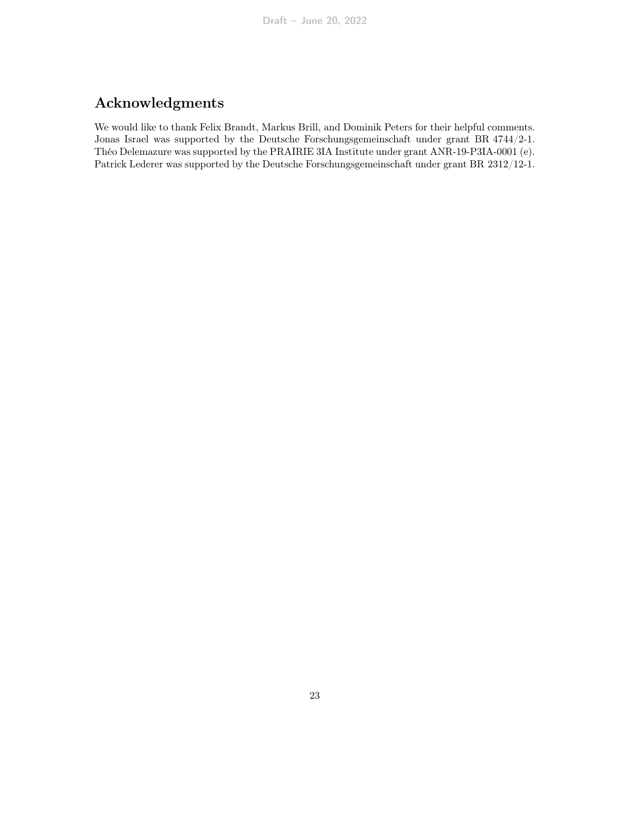# Acknowledgments

We would like to thank Felix Brandt, Markus Brill, and Dominik Peters for their helpful comments. Jonas Israel was supported by the Deutsche Forschungsgemeinschaft under grant BR 4744/2-1. Théo Delemazure was supported by the PRAIRIE 3IA Institute under grant ANR-19-P3IA-0001 (e). Patrick Lederer was supported by the Deutsche Forschungsgemeinschaft under grant BR 2312/12-1.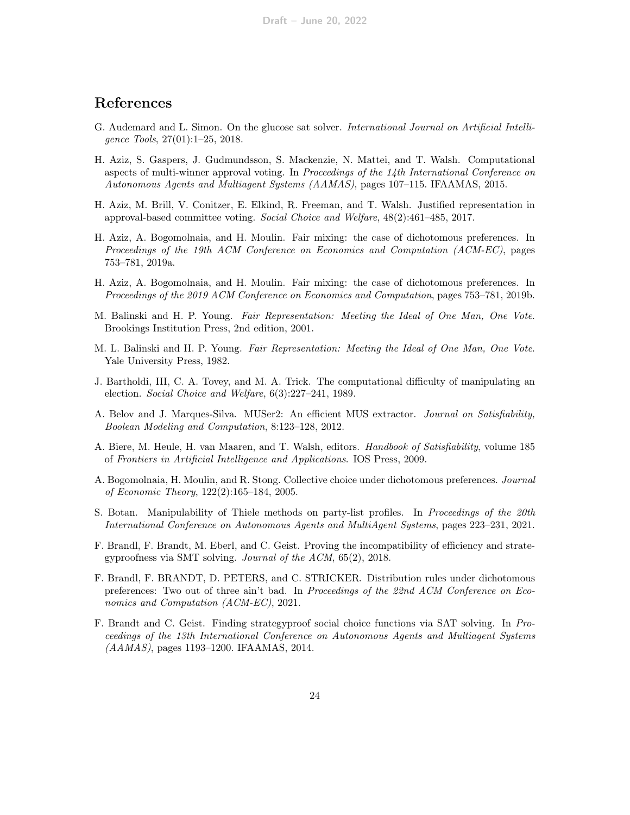# References

- <span id="page-23-13"></span>G. Audemard and L. Simon. On the glucose sat solver. International Journal on Artificial Intelligence Tools, 27(01):1–25, 2018.
- <span id="page-23-2"></span>H. Aziz, S. Gaspers, J. Gudmundsson, S. Mackenzie, N. Mattei, and T. Walsh. Computational aspects of multi-winner approval voting. In Proceedings of the 14th International Conference on Autonomous Agents and Multiagent Systems (AAMAS), pages 107–115. IFAAMAS, 2015.
- <span id="page-23-1"></span>H. Aziz, M. Brill, V. Conitzer, E. Elkind, R. Freeman, and T. Walsh. Justified representation in approval-based committee voting. Social Choice and Welfare, 48(2):461–485, 2017.
- <span id="page-23-5"></span>H. Aziz, A. Bogomolnaia, and H. Moulin. Fair mixing: the case of dichotomous preferences. In Proceedings of the 19th ACM Conference on Economics and Computation (ACM-EC), pages 753–781, 2019a.
- <span id="page-23-8"></span>H. Aziz, A. Bogomolnaia, and H. Moulin. Fair mixing: the case of dichotomous preferences. In Proceedings of the 2019 ACM Conference on Economics and Computation, pages 753–781, 2019b.
- <span id="page-23-9"></span>M. Balinski and H. P. Young. Fair Representation: Meeting the Ideal of One Man, One Vote. Brookings Institution Press, 2nd edition, 2001.
- <span id="page-23-0"></span>M. L. Balinski and H. P. Young. Fair Representation: Meeting the Ideal of One Man, One Vote. Yale University Press, 1982.
- <span id="page-23-10"></span>J. Bartholdi, III, C. A. Tovey, and M. A. Trick. The computational difficulty of manipulating an election. Social Choice and Welfare, 6(3):227–241, 1989.
- <span id="page-23-14"></span>A. Belov and J. Marques-Silva. MUSer2: An efficient MUS extractor. Journal on Satisfiability, Boolean Modeling and Computation, 8:123–128, 2012.
- <span id="page-23-12"></span>A. Biere, M. Heule, H. van Maaren, and T. Walsh, editors. Handbook of Satisfiability, volume 185 of Frontiers in Artificial Intelligence and Applications. IOS Press, 2009.
- <span id="page-23-4"></span>A. Bogomolnaia, H. Moulin, and R. Stong. Collective choice under dichotomous preferences. Journal of Economic Theory, 122(2):165–184, 2005.
- <span id="page-23-3"></span>S. Botan. Manipulability of Thiele methods on party-list profiles. In Proceedings of the 20th International Conference on Autonomous Agents and MultiAgent Systems, pages 223–231, 2021.
- <span id="page-23-7"></span>F. Brandl, F. Brandt, M. Eberl, and C. Geist. Proving the incompatibility of efficiency and strategyproofness via SMT solving. Journal of the ACM, 65(2), 2018.
- <span id="page-23-6"></span>F. Brandl, F. BRANDT, D. PETERS, and C. STRICKER. Distribution rules under dichotomous preferences: Two out of three ain't bad. In Proceedings of the 22nd ACM Conference on Economics and Computation (ACM-EC), 2021.
- <span id="page-23-11"></span>F. Brandt and C. Geist. Finding strategyproof social choice functions via SAT solving. In Proceedings of the 13th International Conference on Autonomous Agents and Multiagent Systems (AAMAS), pages 1193–1200. IFAAMAS, 2014.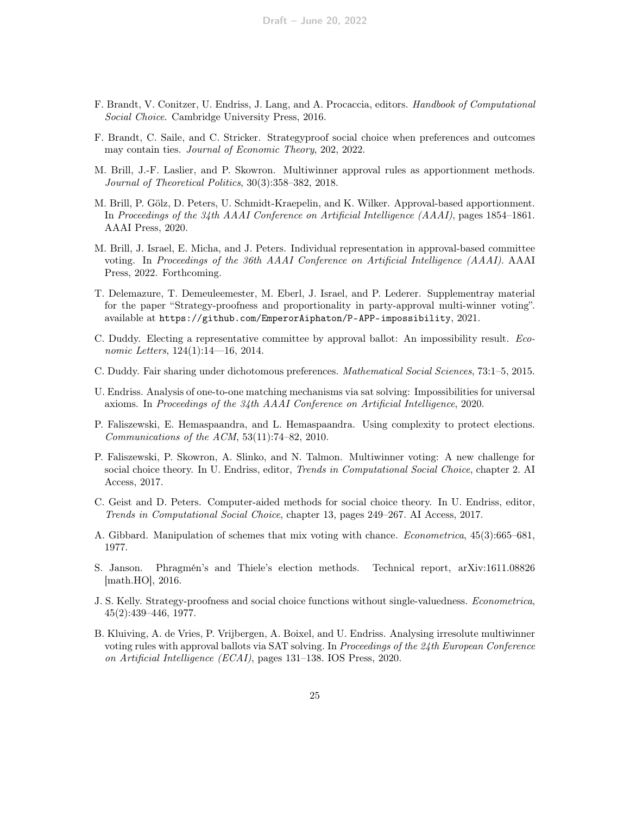- <span id="page-24-0"></span>F. Brandt, V. Conitzer, U. Endriss, J. Lang, and A. Procaccia, editors. Handbook of Computational Social Choice. Cambridge University Press, 2016.
- <span id="page-24-8"></span>F. Brandt, C. Saile, and C. Stricker. Strategyproof social choice when preferences and outcomes may contain ties. *Journal of Economic Theory*, 202, 2022.
- <span id="page-24-1"></span>M. Brill, J.-F. Laslier, and P. Skowron. Multiwinner approval rules as apportionment methods. Journal of Theoretical Politics, 30(3):358–382, 2018.
- <span id="page-24-2"></span>M. Brill, P. Gölz, D. Peters, U. Schmidt-Kraepelin, and K. Wilker. Approval-based apportionment. In Proceedings of the 34th AAAI Conference on Artificial Intelligence (AAAI), pages 1854–1861. AAAI Press, 2020.
- <span id="page-24-3"></span>M. Brill, J. Israel, E. Micha, and J. Peters. Individual representation in approval-based committee voting. In Proceedings of the 36th AAAI Conference on Artificial Intelligence (AAAI). AAAI Press, 2022. Forthcoming.
- <span id="page-24-9"></span>T. Delemazure, T. Demeuleemester, M. Eberl, J. Israel, and P. Lederer. Supplementray material for the paper "Strategy-proofness and proportionality in party-approval multi-winner voting". available at <https://github.com/EmperorAiphaton/P-APP-impossibility>, 2021.
- <span id="page-24-5"></span>C. Duddy. Electing a representative committee by approval ballot: An impossibility result. Economic Letters, 124(1):14—16, 2014.
- <span id="page-24-7"></span>C. Duddy. Fair sharing under dichotomous preferences. Mathematical Social Sciences, 73:1–5, 2015.
- <span id="page-24-12"></span>U. Endriss. Analysis of one-to-one matching mechanisms via sat solving: Impossibilities for universal axioms. In Proceedings of the 34th AAAI Conference on Artificial Intelligence, 2020.
- <span id="page-24-11"></span>P. Faliszewski, E. Hemaspaandra, and L. Hemaspaandra. Using complexity to protect elections. Communications of the ACM, 53(11):74–82, 2010.
- <span id="page-24-14"></span>P. Faliszewski, P. Skowron, A. Slinko, and N. Talmon. Multiwinner voting: A new challenge for social choice theory. In U. Endriss, editor, *Trends in Computational Social Choice*, chapter 2. AI Access, 2017.
- <span id="page-24-13"></span>C. Geist and D. Peters. Computer-aided methods for social choice theory. In U. Endriss, editor, Trends in Computational Social Choice, chapter 13, pages 249–267. AI Access, 2017.
- <span id="page-24-10"></span>A. Gibbard. Manipulation of schemes that mix voting with chance. Econometrica, 45(3):665–681, 1977.
- <span id="page-24-6"></span>S. Janson. Phragmén's and Thiele's election methods. Technical report, arXiv:1611.08826 [math.HO], 2016.
- <span id="page-24-15"></span>J. S. Kelly. Strategy-proofness and social choice functions without single-valuedness. Econometrica, 45(2):439–446, 1977.
- <span id="page-24-4"></span>B. Kluiving, A. de Vries, P. Vrijbergen, A. Boixel, and U. Endriss. Analysing irresolute multiwinner voting rules with approval ballots via SAT solving. In Proceedings of the 24th European Conference on Artificial Intelligence (ECAI), pages 131–138. IOS Press, 2020.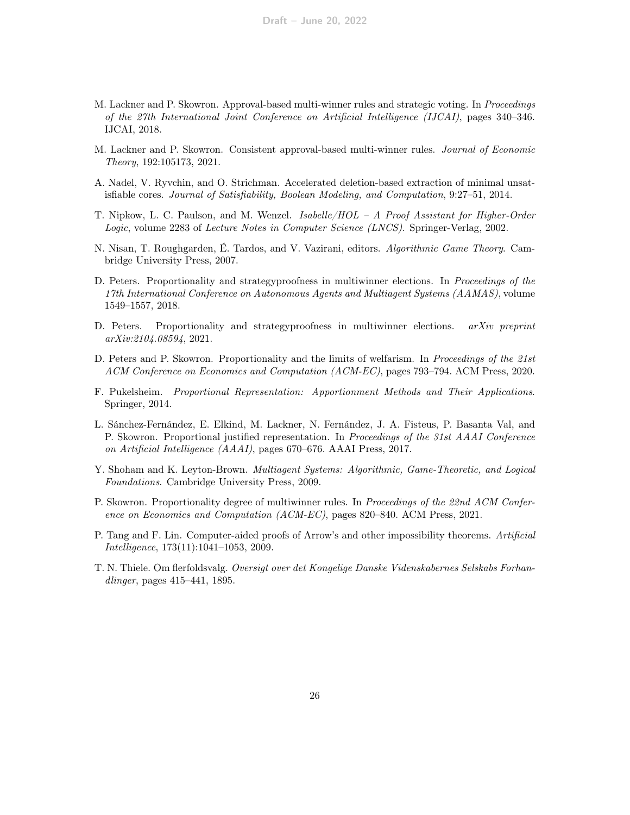- <span id="page-25-8"></span>M. Lackner and P. Skowron. Approval-based multi-winner rules and strategic voting. In Proceedings of the 27th International Joint Conference on Artificial Intelligence (IJCAI), pages 340–346. IJCAI, 2018.
- <span id="page-25-3"></span>M. Lackner and P. Skowron. Consistent approval-based multi-winner rules. Journal of Economic Theory, 192:105173, 2021.
- <span id="page-25-13"></span>A. Nadel, V. Ryvchin, and O. Strichman. Accelerated deletion-based extraction of minimal unsatisfiable cores. Journal of Satisfiability, Boolean Modeling, and Computation, 9:27–51, 2014.
- <span id="page-25-10"></span>T. Nipkow, L. C. Paulson, and M. Wenzel. Isabelle/HOL – A Proof Assistant for Higher-Order Logic, volume 2283 of Lecture Notes in Computer Science (LNCS). Springer-Verlag, 2002.
- <span id="page-25-0"></span>N. Nisan, T. Roughgarden, É. Tardos, and V. Vazirani, editors. Algorithmic Game Theory. Cambridge University Press, 2007.
- <span id="page-25-7"></span>D. Peters. Proportionality and strategyproofness in multiwinner elections. In Proceedings of the 17th International Conference on Autonomous Agents and Multiagent Systems (AAMAS), volume 1549–1557, 2018.
- <span id="page-25-9"></span>D. Peters. Proportionality and strategyproofness in multiwinner elections. *arXiv preprint* arXiv:2104.08594, 2021.
- <span id="page-25-6"></span>D. Peters and P. Skowron. Proportionality and the limits of welfarism. In Proceedings of the 21st ACM Conference on Economics and Computation (ACM-EC), pages 793–794. ACM Press, 2020.
- <span id="page-25-2"></span>F. Pukelsheim. Proportional Representation: Apportionment Methods and Their Applications. Springer, 2014.
- <span id="page-25-4"></span>L. Sánchez-Fernández, E. Elkind, M. Lackner, N. Fernández, J. A. Fisteus, P. Basanta Val, and P. Skowron. Proportional justified representation. In Proceedings of the 31st AAAI Conference on Artificial Intelligence (AAAI), pages 670–676. AAAI Press, 2017.
- <span id="page-25-1"></span>Y. Shoham and K. Leyton-Brown. Multiagent Systems: Algorithmic, Game-Theoretic, and Logical Foundations. Cambridge University Press, 2009.
- <span id="page-25-5"></span>P. Skowron. Proportionality degree of multiwinner rules. In Proceedings of the 22nd ACM Conference on Economics and Computation (ACM-EC), pages 820–840. ACM Press, 2021.
- <span id="page-25-12"></span>P. Tang and F. Lin. Computer-aided proofs of Arrow's and other impossibility theorems. Artificial Intelligence, 173(11):1041–1053, 2009.
- <span id="page-25-11"></span>T. N. Thiele. Om flerfoldsvalg. Oversigt over det Kongelige Danske Videnskabernes Selskabs Forhandlinger, pages 415–441, 1895.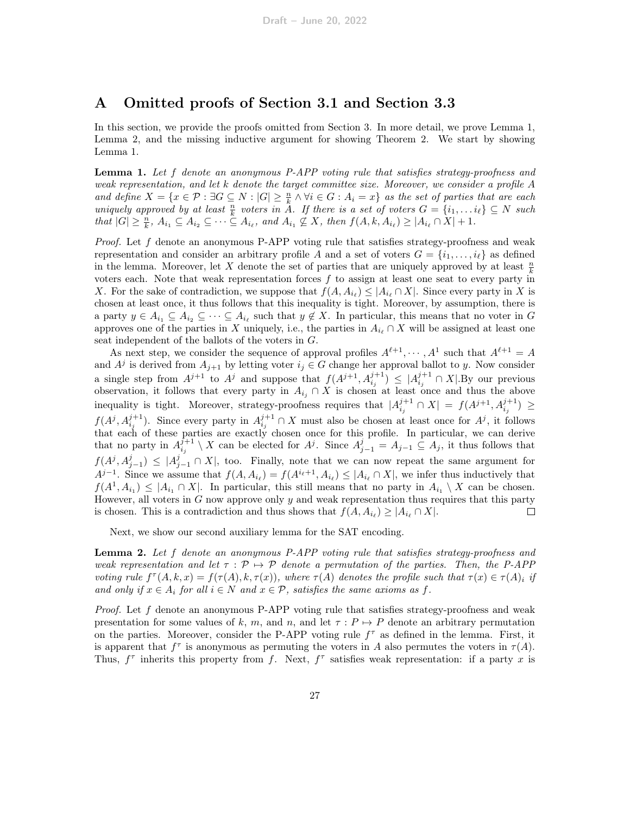# A Omitted proofs of Section [3.1](#page-8-0) and Section [3.3](#page-13-0)

In this section, we provide the proofs omitted from Section [3.](#page-6-1) In more detail, we prove Lemma [1,](#page-9-2) Lemma [2,](#page-10-1) and the missing inductive argument for showing Theorem [2.](#page-2-1) We start by showing Lemma [1.](#page-9-2)

Lemma 1. Let f denote an anonymous P-APP voting rule that satisfies strategy-proofness and weak representation, and let k denote the target committee size. Moreover, we consider a profile A and define  $X = \{x \in \mathcal{P} : \exists G \subseteq N : |G| \geq \frac{n}{k} \land \forall i \in G : A_i = x\}$  as the set of parties that are each uniquely approved by at least  $\frac{n}{k}$  voters in A. If there is a set of voters  $G = \{i_1, \ldots, i_\ell\} \subseteq N$  such that  $|G| \geq \frac{n}{k}$ ,  $A_{i_1} \subseteq A_{i_2} \subseteq \cdots \subseteq A_{i_\ell}$ , and  $A_{i_1} \not\subseteq X$ , then  $f(A, k, A_{i_\ell}) \geq |A_{i_\ell} \cap X| + 1$ .

*Proof.* Let  $f$  denote an anonymous P-APP voting rule that satisfies strategy-proofness and weak representation and consider an arbitrary profile A and a set of voters  $G = \{i_1, \ldots, i_\ell\}$  as defined in the lemma. Moreover, let X denote the set of parties that are uniquely approved by at least  $\frac{n}{k}$ voters each. Note that weak representation forces  $f$  to assign at least one seat to every party in X. For the sake of contradiction, we suppose that  $f(A, A_{i_\ell}) \leq |A_{i_\ell} \cap X|$ . Since every party in X is chosen at least once, it thus follows that this inequality is tight. Moreover, by assumption, there is a party  $y \in A_{i_1} \subseteq A_{i_2} \subseteq \cdots \subseteq A_{i_\ell}$  such that  $y \notin X$ . In particular, this means that no voter in G approves one of the parties in X uniquely, i.e., the parties in  $A_{i_{\ell}} \cap X$  will be assigned at least one seat independent of the ballots of the voters in G.

As next step, we consider the sequence of approval profiles  $A^{\ell+1}, \cdots, A^1$  such that  $A^{\ell+1} = A$ and  $A^j$  is derived from  $A_{j+1}$  by letting voter  $i_j \in G$  change her approval ballot to y. Now consider a single step from  $A^{j+1}$  to  $A^j$  and suppose that  $f(A^{j+1}, A_{i_j}^{j+1}) \leq |A_{i_j}^{j+1} \cap X|$ . By our previous observation, it follows that every party in  $A_{i_j} \cap X$  is chosen at least once and thus the above inequality is tight. Moreover, strategy-proofness requires that  $|A^{j+1}_{i_j} \cap X| = f(A^{j+1}, A^{j+1}_{i_j}) \ge$  $f(A^j, A^{j+1}_{i_j})$ . Since every party in  $A^{j+1}_{i_j} \cap X$  must also be chosen at least once for  $A^j$ , it follows that each of these parties are exactly chosen once for this profile. In particular, we can derive that no party in  $A_{i_j}^{j+1} \setminus X$  can be elected for  $A^j$ . Since  $A_{j-1}^j = A_{j-1} \subseteq A_j$ , it thus follows that  $f(A^j, A^j_{j-1}) \leq |A^j_{j-1} \cap X|$ , too. Finally, note that we can now repeat the same argument for  $A^{j-1}$ . Since we assume that  $f(A, A_{i_{\ell}}) = f(A^{i_{\ell}+1}, A_{i_{\ell}}) \leq |A_{i_{\ell}} \cap X|$ , we infer thus inductively that  $f(A^1, A_{i_1}) \leq |A_{i_1} \cap X|$ . In particular, this still means that no party in  $A_{i_1} \setminus X$  can be chosen. However, all voters in  $G$  now approve only  $y$  and weak representation thus requires that this party is chosen. This is a contradiction and thus shows that  $f(A, A_{i_\ell}) \geq |A_{i_\ell} \cap X|$ . □

Next, we show our second auxiliary lemma for the SAT encoding.

**Lemma 2.** Let f denote an anonymous P-APP voting rule that satisfies strategy-proofness and weak representation and let  $\tau : \mathcal{P} \mapsto \mathcal{P}$  denote a permutation of the parties. Then, the P-APP voting rule  $f^{\tau}(A, k, x) = f(\tau(A), k, \tau(x))$ , where  $\tau(A)$  denotes the profile such that  $\tau(x) \in \tau(A)_i$  if and only if  $x \in A_i$  for all  $i \in N$  and  $x \in \mathcal{P}$ , satisfies the same axioms as f.

*Proof.* Let  $f$  denote an anonymous P-APP voting rule that satisfies strategy-proofness and weak presentation for some values of k, m, and n, and let  $\tau : P \mapsto P$  denote an arbitrary permutation on the parties. Moreover, consider the P-APP voting rule  $f^{\tau}$  as defined in the lemma. First, it is apparent that  $f^{\tau}$  is anonymous as permuting the voters in A also permutes the voters in  $\tau(A)$ . Thus,  $f^{\tau}$  inherits this property from f. Next,  $f^{\tau}$  satisfies weak representation: if a party x is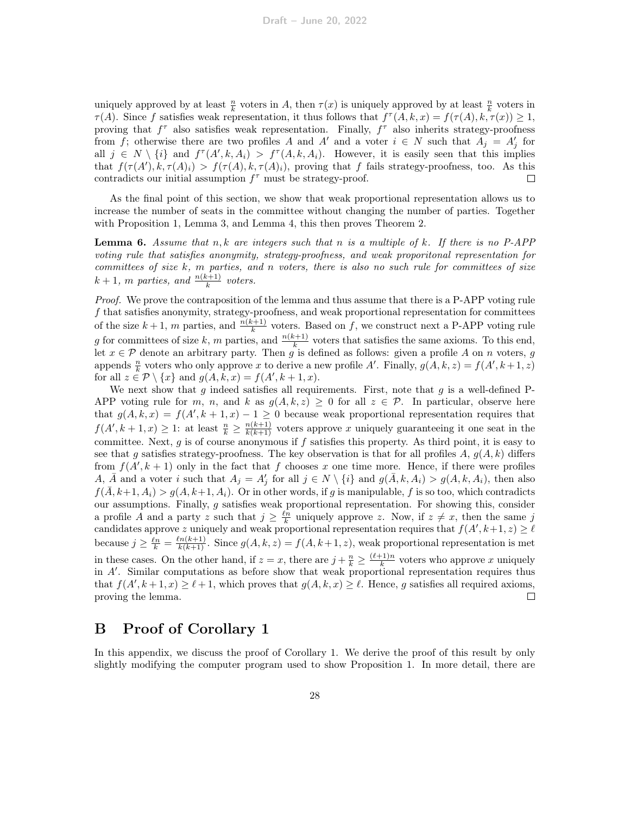uniquely approved by at least  $\frac{n}{k}$  voters in A, then  $\tau(x)$  is uniquely approved by at least  $\frac{n}{k}$  voters in  $\tau(A)$ . Since f satisfies weak representation, it thus follows that  $f^{\tau}(A, k, x) = f(\tau(A), k, \tau(x)) \geq 1$ , proving that  $f^{\tau}$  also satisfies weak representation. Finally,  $f^{\tau}$  also inherits strategy-proofness from f; otherwise there are two profiles A and A' and a voter  $i \in N$  such that  $A_j = A'_j$  for all  $j \in N \setminus \{i\}$  and  $f^{\tau}(A', k, A_i) > f^{\tau}(A, k, A_i)$ . However, it is easily seen that this implies that  $f(\tau(A'), k, \tau(A)_i) > f(\tau(A), k, \tau(A)_i)$ , proving that f fails strategy-proofness, too. As this contradicts our initial assumption  $f^{\tau}$  must be strategy-proof.  $\Box$ 

As the final point of this section, we show that weak proportional representation allows us to increase the number of seats in the committee without changing the number of parties. Together with Proposition [1,](#page-10-2) Lemma [3,](#page-13-2) and Lemma [4,](#page-14-0) this then proves Theorem [2.](#page-2-1)

**Lemma 6.** Assume that  $n, k$  are integers such that  $n$  is a multiple of  $k$ . If there is no P-APP voting rule that satisfies anonymity, strategy-proofness, and weak proporitonal representation for committees of size  $k$ ,  $m$  parties, and  $n$  voters, there is also no such rule for committees of size  $k+1$ , m parties, and  $\frac{n(k+1)}{k}$  voters.

Proof. We prove the contraposition of the lemma and thus assume that there is a P-APP voting rule f that satisfies anonymity, strategy-proofness, and weak proportional representation for committees of the size  $k+1$ , m parties, and  $\frac{n(k+1)}{k}$  voters. Based on f, we construct next a P-APP voting rule g for committees of size k, m parties, and  $\frac{n(k+1)}{k}$  voters that satisfies the same axioms. To this end, let  $x \in \mathcal{P}$  denote an arbitrary party. Then g is defined as follows: given a profile A on n voters, g appends  $\frac{n}{k}$  voters who only approve x to derive a new profile A'. Finally,  $g(A, k, z) = f(A', k + 1, z)$ for all  $z \in \mathcal{P} \setminus \{x\}$  and  $g(A, k, x) = f(A', k + 1, x)$ .

We next show that  $g$  indeed satisfies all requirements. First, note that  $g$  is a well-defined P-APP voting rule for m, n, and k as  $g(A, k, z) \geq 0$  for all  $z \in \mathcal{P}$ . In particular, observe here that  $g(A, k, x) = f(A', k + 1, x) - 1 \ge 0$  because weak proportional representation requires that  $f(A', k+1, x) \geq 1$ : at least  $\frac{n}{k} \geq \frac{n(k+1)}{k(k+1)}$  voters approve x uniquely guaranteeing it one seat in the committee. Next,  $g$  is of course anonymous if  $f$  satisfies this property. As third point, it is easy to see that g satisfies strategy-proofness. The key observation is that for all profiles A,  $g(A, k)$  differs from  $f(A', k + 1)$  only in the fact that f chooses x one time more. Hence, if there were profiles A,  $\overline{A}$  and a voter i such that  $A_j = A'_j$  for all  $j \in N \setminus \{i\}$  and  $g(\overline{A}, k, A_i) > g(A, k, A_i)$ , then also  $f(\overline{A}, k+1, A_i) > g(A, k+1, A_i)$ . Or in other words, if g is manipulable, f is so too, which contradicts our assumptions. Finally,  $g$  satisfies weak proportional representation. For showing this, consider a profile A and a party z such that  $j \geq \frac{\ell n}{k}$  uniquely approve z. Now, if  $z \neq x$ , then the same j candidates approve z uniquely and weak proportional representation requires that  $f(A', k+1, z) \geq \ell$ because  $j \geq \frac{\ell n}{k} = \frac{\ell n(k+1)}{k(k+1)}$ . Since  $g(A, k, z) = f(A, k+1, z)$ , weak proportional representation is met in these cases. On the other hand, if  $z = x$ , there are  $j + \frac{n}{k} \geq \frac{(\ell+1)n}{k}$  $\frac{(-1)^n}{k}$  voters who approve x uniquely in A'. Similar computations as before show that weak proportional representation requires thus that  $f(A', k+1, x) \ge \ell + 1$ , which proves that  $g(A, k, x) \ge \ell$ . Hence, g satisfies all required axioms, proving the lemma.  $\Box$ 

### B Proof of Corollary [1](#page-12-0)

In this appendix, we discuss the proof of Corollary [1.](#page-12-0) We derive the proof of this result by only slightly modifying the computer program used to show Proposition [1.](#page-10-2) In more detail, there are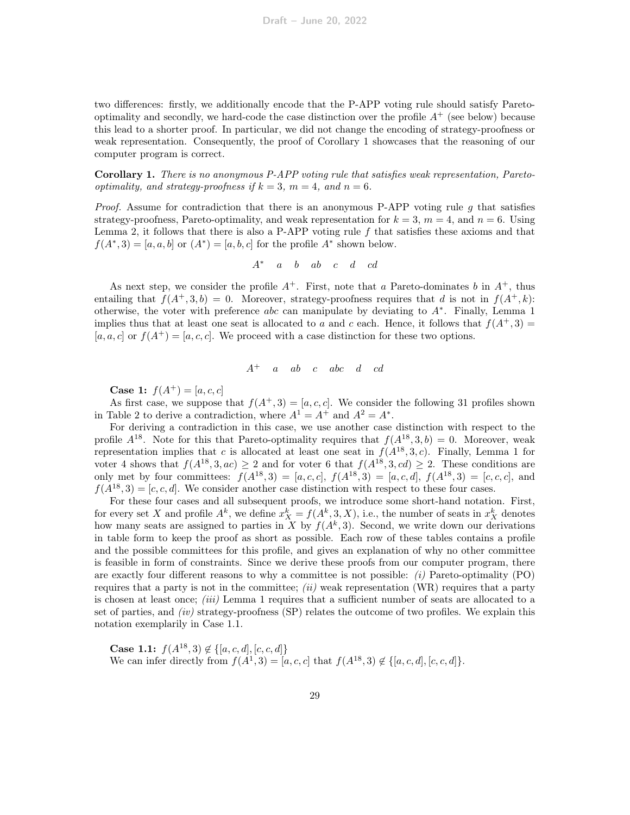two differences: firstly, we additionally encode that the P-APP voting rule should satisfy Paretooptimality and secondly, we hard-code the case distinction over the profile  $A^+$  (see below) because this lead to a shorter proof. In particular, we did not change the encoding of strategy-proofness or weak representation. Consequently, the proof of Corollary [1](#page-12-0) showcases that the reasoning of our computer program is correct.

Corollary 1. There is no anonymous P-APP voting rule that satisfies weak representation, Paretooptimality, and strategy-proofness if  $k = 3$ ,  $m = 4$ , and  $n = 6$ .

Proof. Assume for contradiction that there is an anonymous P-APP voting rule g that satisfies strategy-proofness, Pareto-optimality, and weak representation for  $k = 3$ ,  $m = 4$ , and  $n = 6$ . Using Lemma [2,](#page-10-1) it follows that there is also a P-APP voting rule  $f$  that satisfies these axioms and that  $f(A^*, 3) = [a, a, b]$  or  $(A^*) = [a, b, c]$  for the profile  $A^*$  shown below.

$$
A^* \quad a \quad b \quad ab \quad c \quad d \quad cd
$$

As next step, we consider the profile  $A^+$ . First, note that a Pareto-dominates b in  $A^+$ , thus entailing that  $f(A^+, 3, b) = 0$ . Moreover, strategy-proofness requires that d is not in  $f(A^+, k)$ : otherwise, the voter with preference abc can manipulate by deviating to  $A^*$ . Finally, Lemma [1](#page-9-2) implies thus that at least one seat is allocated to a and c each. Hence, it follows that  $f(A^+, 3) =$  $[a, a, c]$  or  $f(A^+) = [a, c, c]$ . We proceed with a case distinction for these two options.

$$
A^+ \quad a \quad ab \quad c \quad abc \quad d \quad cd
$$

**Case 1:**  $f(A^+) = [a, c, c]$ 

As first case, we suppose that  $f(A^+, 3) = [a, c, c]$ . We consider the following 31 profiles shown in Table [2](#page-29-0) to derive a contradiction, where  $A^1 = A^+$  and  $A^2 = A^*$ .

For deriving a contradiction in this case, we use another case distinction with respect to the profile  $A^{18}$ . Note for this that Pareto-optimality requires that  $f(A^{18},3,b) = 0$ . Moreover, weak representation implies that c is allocated at least one seat in  $f(A^{18},3,c)$ . Finally, Lemma [1](#page-9-2) for voter 4 shows that  $f(A^{18},3,ac) \geq 2$  and for voter 6 that  $f(A^{18},3,cd) \geq 2$ . These conditions are only met by four committees:  $f(A^{18},3) = [a, c, c], f(A^{18},3) = [a, c, d], f(A^{18},3) = [c, c, c],$  and  $f(A^{18},3) = [c, c, d]$ . We consider another case distinction with respect to these four cases.

For these four cases and all subsequent proofs, we introduce some short-hand notation. First, for every set X and profile  $A^k$ , we define  $x_X^k = f(A^k, 3, X)$ , i.e., the number of seats in  $x_X^k$  denotes how many seats are assigned to parties in X by  $f(A^k,3)$ . Second, we write down our derivations in table form to keep the proof as short as possible. Each row of these tables contains a profile and the possible committees for this profile, and gives an explanation of why no other committee is feasible in form of constraints. Since we derive these proofs from our computer program, there are exactly four different reasons to why a committee is not possible:  $(i)$  Pareto-optimality (PO) requires that a party is not in the committee;  $(ii)$  weak representation (WR) requires that a party is chosen at least once; (iii) Lemma [1](#page-9-2) requires that a sufficient number of seats are allocated to a set of parties, and  $(iv)$  strategy-proofness (SP) relates the outcome of two profiles. We explain this notation exemplarily in Case 1.1.

Case 1.1:  $f(A^{18},3) \notin \{[a,c,d],[c,c,d]\}$ We can infer directly from  $f(A^1, 3) = [a, c, c]$  that  $f(A^{18}, 3) \notin \{[a, c, d], [c, c, d]\}.$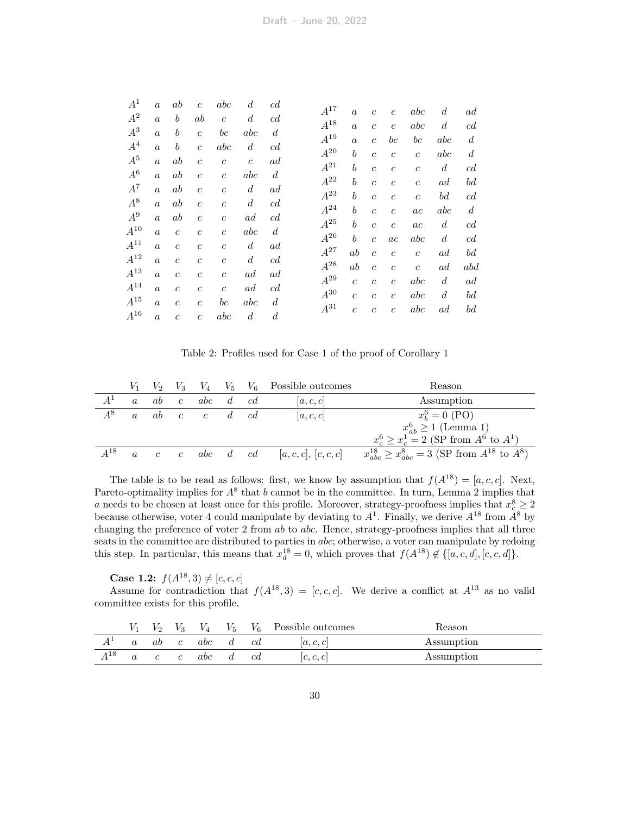| $A^1$    | $\alpha$         | ab               | $\overline{c}$   | abc              | $\boldsymbol{d}$ | c d              |          |                  |                  |                  |                |                  |     |
|----------|------------------|------------------|------------------|------------------|------------------|------------------|----------|------------------|------------------|------------------|----------------|------------------|-----|
| $A^2$    | $\boldsymbol{a}$ | b                | ab               | $\overline{c}$   | $\overline{d}$   | c d              | $A^{17}$ | $\alpha$         | $\boldsymbol{c}$ | $\boldsymbol{c}$ | abc            | $\boldsymbol{d}$ | ad  |
| $A^3$    | $\alpha$         | $\boldsymbol{b}$ | $\overline{c}$   | $_{bc}$          | abc              | $\boldsymbol{d}$ | $A^{18}$ | $\alpha$         | $\overline{c}$   | $\mathfrak{c}$   | abc            | $\overline{d}$   |     |
| $A^4$    |                  |                  |                  |                  |                  |                  | $A^{19}$ | $\alpha$         | $\overline{c}$   | $_{bc}$          | $_{bc}$        | abc              |     |
|          | $\alpha$         | $\boldsymbol{b}$ | $\overline{c}$   | abc              | $\boldsymbol{d}$ | c d              | $A^{20}$ | $\boldsymbol{b}$ | $\overline{c}$   | $\boldsymbol{c}$ | $\mathfrak{c}$ | abc              |     |
| $A^5$    | $\boldsymbol{a}$ | ab               | $\overline{c}$   | $\boldsymbol{c}$ | $\boldsymbol{c}$ | ad               | $A^{21}$ | $\boldsymbol{b}$ | $\overline{c}$   | $\overline{c}$   | $\mathfrak{c}$ | $\boldsymbol{d}$ |     |
| $A^6$    | $\overline{a}$   | ab               | $\overline{c}$   | $\overline{c}$   | abc              | $\boldsymbol{d}$ | $A^{22}$ | $\boldsymbol{b}$ | $\overline{c}$   | $\boldsymbol{c}$ | $\mathfrak{c}$ | ad               |     |
| $A^7$    | $\boldsymbol{a}$ | ab               | $\overline{c}$   | $\boldsymbol{c}$ | $\boldsymbol{d}$ | ad               | $A^{23}$ | $\boldsymbol{b}$ | $\overline{c}$   | $\mathfrak{c}$   | $\mathfrak{c}$ | $^{bd}$          |     |
| $A^8$    | $\boldsymbol{a}$ | ab               | $\overline{c}$   | $\boldsymbol{c}$ | $\boldsymbol{d}$ | c d              | $A^{24}$ |                  |                  |                  |                |                  |     |
| $A^9$    | $\boldsymbol{a}$ | ab               | $\mathfrak{c}$   | $\boldsymbol{c}$ | ad               | c d              |          | $\boldsymbol{b}$ | $\overline{c}$   | $\overline{c}$   | ac             | abc              |     |
| $A^{10}$ | $\alpha$         | $\mathfrak{c}$   | $\mathfrak{c}$   | $\overline{c}$   | abc              | $\boldsymbol{d}$ | $A^{25}$ | $\boldsymbol{b}$ | $\boldsymbol{c}$ | $\boldsymbol{c}$ | ac             | $\boldsymbol{d}$ |     |
| $A^{11}$ | $\alpha$         | $\overline{c}$   | $\overline{c}$   | $\overline{c}$   | $\boldsymbol{d}$ | ad               | $A^{26}$ | $\boldsymbol{b}$ | $\overline{c}$   | ac               | abc            | $\overline{d}$   |     |
| $A^{12}$ |                  |                  |                  |                  |                  |                  | $A^{27}$ | $_{ab}$          | $\overline{c}$   | $\overline{c}$   | $\overline{c}$ | ad               |     |
|          | $\boldsymbol{a}$ | $\boldsymbol{c}$ | $\boldsymbol{c}$ | $\boldsymbol{c}$ | $\boldsymbol{d}$ | c d              | $A^{28}$ | ab               | $\overline{c}$   | $\boldsymbol{c}$ | $\overline{c}$ | ad               | abd |
| $A^{13}$ | $\alpha$         | $\overline{c}$   | $\mathfrak{c}$   | $\overline{c}$   | ad               | ad               | $A^{29}$ | $\overline{c}$   | $\overline{c}$   | $\overline{c}$   | abc            | d                |     |
| $A^{14}$ | $\alpha$         | $\overline{c}$   | $\overline{c}$   | $\overline{c}$   | ad               | c d              | $A^{30}$ | $\overline{c}$   | $\overline{c}$   | $\overline{c}$   | abc            | $\overline{d}$   |     |
| $A^{15}$ | $\alpha$         | $\mathfrak{c}$   | $\mathfrak{c}$   | $_{bc}$          | abc              | $\boldsymbol{d}$ | $A^{31}$ |                  |                  |                  |                |                  |     |
| $A^{16}$ | $\alpha$         | $\overline{c}$   | $\overline{c}$   | abc              | $\boldsymbol{d}$ | $\boldsymbol{d}$ |          | $\boldsymbol{c}$ | $\boldsymbol{c}$ | $\overline{c}$   | abc            | ad               |     |
|          |                  |                  |                  |                  |                  |                  |          |                  |                  |                  |                |                  |     |

<span id="page-29-0"></span>Table 2: Profiles used for Case 1 of the proof of Corollary [1](#page-12-0)

|          |                  |    |               |          |        | $V_1$ $V_2$ $V_3$ $V_4$ $V_5$ $V_6$ Possible outcomes | Reason                                                             |
|----------|------------------|----|---------------|----------|--------|-------------------------------------------------------|--------------------------------------------------------------------|
| $A^1$    |                  | ab | $\mathcal{C}$ | abc      | $d$ cd | [a, c, c]                                             | Assumption                                                         |
| $A^8$    |                  | ab | $c \quad c$   |          | $d$ cd | a,c,c                                                 | $x_b^6 = 0$ (PO)                                                   |
|          |                  |    |               |          |        |                                                       | $x_{ab}^6 \ge 1$ (Lemma 1)                                         |
|          |                  |    |               |          |        |                                                       | $x_c^6 \ge x_c^1 = 2$ (SP from $A^6$ to $A^1$ )                    |
| $A^{18}$ | $\boldsymbol{a}$ |    | $c \quad c$   | abc d cd |        | [a,c,c], [c,c,c]                                      | $x_{abc}^{18} \geq x_{abc}^{8} = 3$ (SP from $A^{18}$ to $A^{8}$ ) |

The table is to be read as follows: first, we know by assumption that  $f(A^{18}) = [a, c, c]$ . Next, Pareto-optimality implies for  $A^8$  that b cannot be in the committee. In turn, Lemma [2](#page-10-1) implies that a needs to be chosen at least once for this profile. Moreover, strategy-proofness implies that  $x_c^8 \ge 2$ because otherwise, voter 4 could manipulate by deviating to  $A<sup>1</sup>$ . Finally, we derive  $A<sup>18</sup>$  from  $A<sup>8</sup>$  by changing the preference of voter 2 from  $ab$  to  $abc$ . Hence, strategy-proofness implies that all three seats in the committee are distributed to parties in abc; otherwise, a voter can manipulate by redoing this step. In particular, this means that  $x_d^{18} = 0$ , which proves that  $f(A^{18}) \notin \{[a, c, d], [c, c, d]\}.$ 

**Case 1.2:**  $f(A^{18}, 3) \neq [c, c, c]$ 

Assume for contradiction that  $f(A^{18},3) = [c, c, c]$ . We derive a conflict at  $A^{13}$  as no valid committee exists for this profile.

|     |    |                | V 4 | $V_{5}$ |    | $V_6$ Possible outcomes | Reason     |
|-----|----|----------------|-----|---------|----|-------------------------|------------|
|     | αb | $\mathfrak{c}$ | abc |         | сd | [a, c, c]               | Assumption |
| 418 |    |                | abc |         | сd | c, c, c                 | Assumption |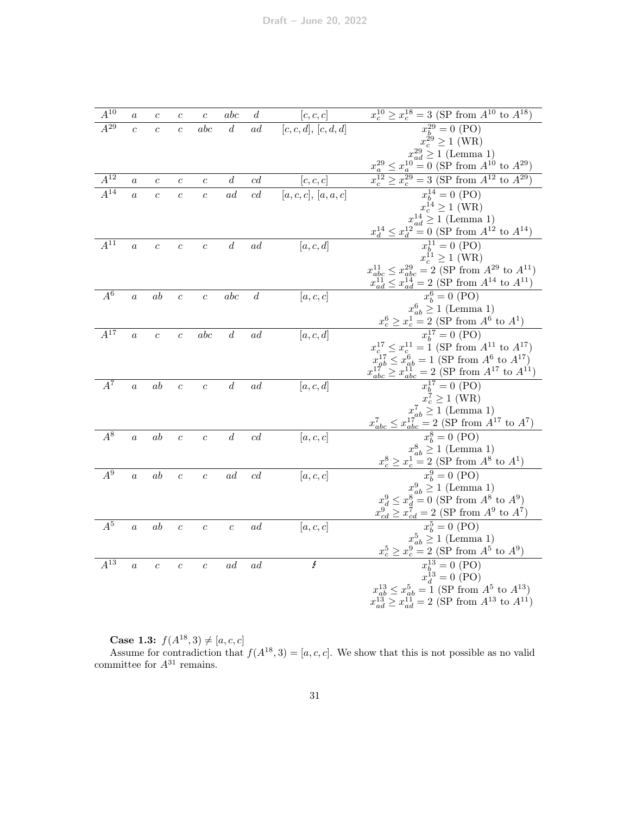| $A^{10}$            | $\boldsymbol{a}$ | $\boldsymbol{c}$ | $\boldsymbol{c}$ | $\boldsymbol{c}$ | abc              | $\boldsymbol{d}$ | [c, c, c]            | $x_c^{10} \ge x_c^{18} = 3$ (SP from $A^{10}$ to $A^{18}$ )                                                                    |
|---------------------|------------------|------------------|------------------|------------------|------------------|------------------|----------------------|--------------------------------------------------------------------------------------------------------------------------------|
| $\overline{A^{29}}$ | $\overline{c}$   | $\overline{c}$   | $\ddot{c}$       | abc              | $\boldsymbol{d}$ | ad               | [c, c, d], [c, d, d] | $x_b^{29} = 0$ (PO)                                                                                                            |
|                     |                  |                  |                  |                  |                  |                  |                      | $x_c^{29} \ge 1$ (WR)                                                                                                          |
|                     |                  |                  |                  |                  |                  |                  |                      | $x_{ad}^{29} \ge 1$ (Lemma 1)                                                                                                  |
|                     |                  |                  |                  |                  |                  |                  |                      | $x_a^{29} \le x_a^{10} = 0$ (SP from $A^{10}$ to $A^{29}$ )                                                                    |
| $A^{12}$            | $\boldsymbol{a}$ | $\boldsymbol{c}$ | $\boldsymbol{c}$ | $\boldsymbol{c}$ | $\boldsymbol{d}$ | c d              | [c, c, c]            | $\geq x_c^{29} = 3$ (SP from $A^{12}$ to $A^{29}$ )                                                                            |
| $\overline{A^{14}}$ | $\overline{a}$   | $\overline{c}$   | $\overline{c}$   | $\overline{c}$   | ad               | cd               | [a,c,c], [a,a,c]     | $x_b^{14} = 0$ (PO)                                                                                                            |
|                     |                  |                  |                  |                  |                  |                  |                      | $x_c^{14} \geq 1$ (WR)                                                                                                         |
|                     |                  |                  |                  |                  |                  |                  |                      | $x_{ad}^{14} \ge 1$ (Lemma 1)                                                                                                  |
|                     |                  |                  |                  |                  |                  |                  |                      | $x_d^{14} \le x_d^{12} = 0$ (SP from $A^{12}$ to $A^{14}$ )                                                                    |
| $\overline{A^{11}}$ | $\alpha$         | $\overline{c}$   | $\overline{c}$   | $\overline{c}$   | $\boldsymbol{d}$ | ad               | [a, c, d]            | $x_b^{11} = 0$ (PO)                                                                                                            |
|                     |                  |                  |                  |                  |                  |                  |                      | $x_c^{11} \geq 1$ (WR)                                                                                                         |
|                     |                  |                  |                  |                  |                  |                  |                      | $x_{abc}^{11} \le x_{abc}^{29} = 2$ (SP from $A^{29}$ to $A^{11}$ )                                                            |
|                     |                  |                  |                  |                  |                  |                  |                      | $x_{ad}^{11} \leq x_{ad}^{14} = 2$ (SP from $A^{14}$ to $A^{11}$ )                                                             |
| $\overline{A^6}$    | $\boldsymbol{a}$ | ab               | $\overline{c}$   | $\overline{c}$   | abc              | $\boldsymbol{d}$ | [a, c, c]            | $x_h^6 = 0$ (PO)                                                                                                               |
|                     |                  |                  |                  |                  |                  |                  |                      | $x_{ab}^6 \ge 1$ (Lemma 1)                                                                                                     |
|                     |                  |                  |                  |                  |                  |                  |                      | $x_c^6 \ge x_c^1 = 2$ (SP from $A^6$ to $A^1$ )<br>$x_b^{17} = 0$ (PO)                                                         |
| $\overline{A^{17}}$ | $\overline{a}$   | $\boldsymbol{c}$ | $\overline{c}$   | abc              | $\boldsymbol{d}$ | <sub>ad</sub>    | [a, c, d]            |                                                                                                                                |
|                     |                  |                  |                  |                  |                  |                  |                      | $x_c^{17} \le x_c^{11} = 1$ (SP from $A^{11}$ to $A^{17}$ )<br>$x_{ab}^{17} \le x_{ab}^{6} = 1$ (SP from $A^{6}$ to $A^{17}$ ) |
|                     |                  |                  |                  |                  |                  |                  |                      | $x_{abc}^{17} \ge x_{abc}^{11} = 2$ (SP from $A^{17}$ to $A^{11}$ )                                                            |
| $\overline{A^7}$    |                  | ab               |                  |                  | $\boldsymbol{d}$ | ad               |                      | $x_b^{17} = 0$ (PO)                                                                                                            |
|                     | $\overline{a}$   |                  | $\overline{c}$   | $\overline{c}$   |                  |                  | [a, c, d]            | $x_c^7 \geq 1$ (WR)                                                                                                            |
|                     |                  |                  |                  |                  |                  |                  |                      | $x_{ab}^7 \ge 1$ (Lemma 1)                                                                                                     |
|                     |                  |                  |                  |                  |                  |                  |                      | $x_{abc}^7 \le x_{abc}^{17} = 2$ (SP from $A^{17}$ to $A^7$ )                                                                  |
| $\overline{A^8}$    | $\alpha$         | ab               | $\overline{c}$   | $\overline{c}$   | $\boldsymbol{d}$ | c d              | [a, c, c]            | $\overline{x_h^8} = 0$ (PO)                                                                                                    |
|                     |                  |                  |                  |                  |                  |                  |                      |                                                                                                                                |
|                     |                  |                  |                  |                  |                  |                  |                      | $x_{ab}^8 \ge 1$ (Lemma 1)<br>$x_c^8 \ge x_c^1 = 2$ (SP from $A^8$ to $A^1$ )                                                  |
| $A^9$               | $\boldsymbol{a}$ | ab               | $\boldsymbol{c}$ | $\boldsymbol{c}$ | ad               | c d              | [a, c, c]            | $x_b^9 = 0 \text{ (PO)}$                                                                                                       |
|                     |                  |                  |                  |                  |                  |                  |                      |                                                                                                                                |
|                     |                  |                  |                  |                  |                  |                  |                      | $x_{ab}^9 \ge 1$ (Lemma 1)<br>$x_d^9 \le x_d^8 = 0$ (SP from $A^8$ to $A^9$ )                                                  |
|                     |                  |                  |                  |                  |                  |                  |                      | $x_{cd}^{9} \ge x_{cd}^{7} = 2$ (SP from $A^{9}$ to $A^{7}$ )                                                                  |
| $A^5$               | $\boldsymbol{a}$ | ab               | $\overline{c}$   | $\overline{c}$   | $\overline{c}$   | $\it ad$         | [a, c, c]            | $x_h^5 = 0 \; (\overline{P}O)$                                                                                                 |
|                     |                  |                  |                  |                  |                  |                  |                      | $x_{ab}^5 \ge 1$ (Lemma 1)                                                                                                     |
|                     |                  |                  |                  |                  |                  |                  |                      | $x_c^5 \ge x_c^9 = 2$ (SP from $A^5$ to $A^9$ )                                                                                |
| $\overline{A^{13}}$ | $\boldsymbol{a}$ | $\boldsymbol{c}$ | $\overline{c}$   | $\overline{c}$   | ad               | ad               | Ł                    | $x_b^{13} = 0$ (PO)                                                                                                            |
|                     |                  |                  |                  |                  |                  |                  |                      | $x_d^{13} = 0$ (PO)                                                                                                            |
|                     |                  |                  |                  |                  |                  |                  |                      | $x_{ab}^{13} \le x_{ab}^5 = 1$ (SP from $A^5$ to $A^{13}$ )                                                                    |
|                     |                  |                  |                  |                  |                  |                  |                      | $x_{ad}^{13} \ge x_{ad}^{11} = 2$ (SP from $A^{13}$ to $A^{11}$ )                                                              |

**Case 1.3:**  $f(A^{18}, 3) \neq [a, c, c]$ 

Assume for contradiction that  $f(A^{18},3) = [a, c, c]$ . We show that this is not possible as no valid committee for  $A^{31}$  remains.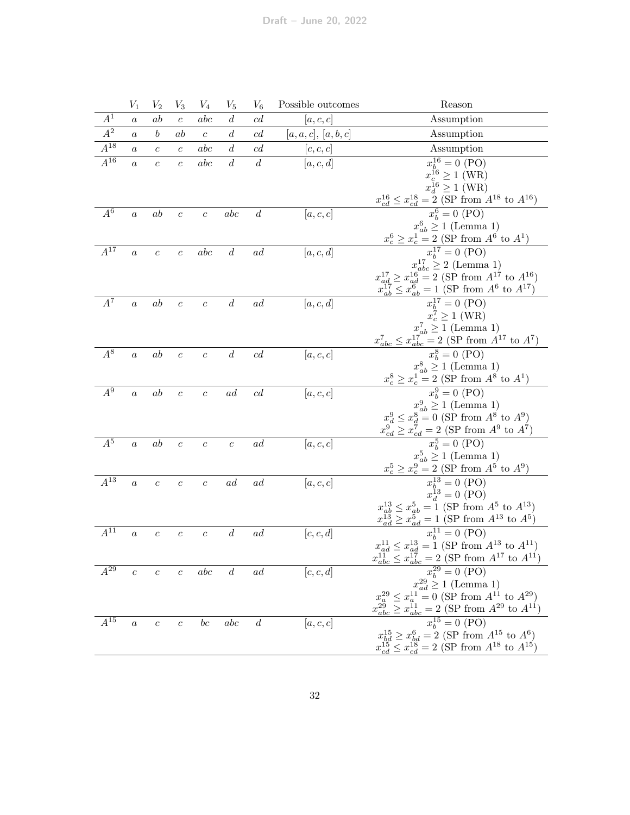|                     | $V_1$            | $V_2$            | $V_3$            | $\,V_4$          | $V_5$            | $V_6$            | Possible outcomes | Reason                                                                                                                                                       |
|---------------------|------------------|------------------|------------------|------------------|------------------|------------------|-------------------|--------------------------------------------------------------------------------------------------------------------------------------------------------------|
| $A^1$               | $\boldsymbol{a}$ | ab               | $\overline{c}$   | abc              | $\boldsymbol{d}$ | c d              | [a,c,c]           | Assumption                                                                                                                                                   |
| $A^2$               | $\it a$          | $\boldsymbol{b}$ | ab               | $\boldsymbol{c}$ | $\boldsymbol{d}$ | c d              | [a,a,c], [a,b,c]  | Assumption                                                                                                                                                   |
| $\overline{A^{18}}$ | $\boldsymbol{a}$ | $\overline{c}$   | $\overline{c}$   | abc              | $\boldsymbol{d}$ | c d              | [c, c, c]         | Assumption                                                                                                                                                   |
| $\overline{A^{16}}$ | $\boldsymbol{a}$ | $\boldsymbol{c}$ | $\overline{c}$   | abc              | $\boldsymbol{d}$ | $\boldsymbol{d}$ | [a, c, d]         | $x_b^{16} = 0$ (PO)                                                                                                                                          |
|                     |                  |                  |                  |                  |                  |                  |                   | $x_c^{16} \ge 1$ (WR)                                                                                                                                        |
|                     |                  |                  |                  |                  |                  |                  |                   | $x_d^{16} \ge 1$ (WR)                                                                                                                                        |
|                     |                  |                  |                  |                  |                  |                  |                   | $\frac{x_{cd}^{16} \le x_{cd}^{18} = 2 \text{ (SP from } A^{18} \text{ to } A^{16})}{x_b^6 = 0 \text{ (PO)}}$                                                |
| $A^6$               | $\boldsymbol{a}$ | ab               | $\boldsymbol{c}$ | $\boldsymbol{c}$ | abc              | $\boldsymbol{d}$ | [a, c, c]         |                                                                                                                                                              |
|                     |                  |                  |                  |                  |                  |                  |                   | $x_{ab}^6 \ge 1$ (Lemma 1)                                                                                                                                   |
|                     |                  |                  |                  |                  |                  |                  |                   | $rac{x_c^6 \ge x_c^{1}}{x_b^{17}} = \frac{1}{2}$ (SP from $A^6$ to $A^1$ )<br>$x_b^{17} = 0$ (PO)                                                            |
| $A^{17}$            | $\boldsymbol{a}$ | $\boldsymbol{c}$ | $\boldsymbol{c}$ | abc              | $\boldsymbol{d}$ | ad               | [a, c, d]         |                                                                                                                                                              |
|                     |                  |                  |                  |                  |                  |                  |                   | $x_{ad}^{17} \geq 2$ (Lemma 1)<br>$x_{ad}^{17} \geq x_{ad}^{16} = 2$ (SP from $A^{17}$ to $A^{16}$ )                                                         |
|                     |                  |                  |                  |                  |                  |                  |                   |                                                                                                                                                              |
| $A^7$               | $\boldsymbol{a}$ | ab               | $\boldsymbol{c}$ | $\overline{c}$   | $\boldsymbol{d}$ | $\,ad$           | [a, c, d]         | $\frac{x_{ab}^{17} \le x_{ab}^6 = 1 \text{ (SP from } A^6 \text{ to } A^{17})}{x_b^{17} = 0 \text{ (PO)}}$<br>$x_c^7 \ge 1 \text{ (WR)}$                     |
|                     |                  |                  |                  |                  |                  |                  |                   |                                                                                                                                                              |
|                     |                  |                  |                  |                  |                  |                  |                   |                                                                                                                                                              |
|                     |                  |                  |                  |                  |                  |                  |                   | $\begin{array}{c} x_{ab}^7 \geq 1 \text{ (Lemma 1)}\\ x_{abc}^7 \leq x_{abc}^{17} = 2 \text{ (SP from }A^{17} \text{ to }A^7) \end{array}$                   |
| $A^8$               | $\boldsymbol{a}$ | ab               | $\boldsymbol{c}$ | $\overline{c}$   | $\boldsymbol{d}$ | c d              | [a, c, c]         | $x_h^8 = 0$ (PO)                                                                                                                                             |
|                     |                  |                  |                  |                  |                  |                  |                   | $x_{ab}^8 \ge 1$ (Lemma 1)                                                                                                                                   |
|                     |                  |                  |                  |                  |                  |                  |                   |                                                                                                                                                              |
| $A^9$               | $\overline{a}$   | ab               | $\boldsymbol{c}$ | $\boldsymbol{c}$ | ad               | cd               | [a, c, c]         | $x_c^8 \ge x_c^{\frac{7}{1}} = \frac{1}{2}$ (SP from $A^8$ to $A^1$ )<br>$x_b^9 = 0$ (PO)                                                                    |
|                     |                  |                  |                  |                  |                  |                  |                   | $x_{ab}^9 \ge 1$ (Lemma 1)<br>$x_d^9 \le x_d^8 = 0$ (SP from $A^8$ to $A^9$ )                                                                                |
|                     |                  |                  |                  |                  |                  |                  |                   |                                                                                                                                                              |
|                     |                  |                  |                  |                  |                  |                  |                   | $x_{cd}^{9} \geq x_{cd}^{7} = 2$ (SP from $A^{9}$ to $A^{7}$ )                                                                                               |
| $A^5$               | $\alpha$         | ab               | $\boldsymbol{c}$ | $\boldsymbol{c}$ | $\boldsymbol{c}$ | ad               | [a, c, c]         | $\overline{x_h^5} = 0 \, (\overline{P}\overline{O})$                                                                                                         |
|                     |                  |                  |                  |                  |                  |                  |                   |                                                                                                                                                              |
| $A^{13}$            |                  |                  |                  |                  |                  | ad               |                   |                                                                                                                                                              |
|                     | $\boldsymbol{a}$ | $\boldsymbol{c}$ | $\overline{c}$   | $\boldsymbol{c}$ | ad               |                  | [a, c, c]         | $x_c^5 \ge x_c^9 = 2 \text{ (Lemma 1)}$ $x_c^5 \ge x_c^9 = 2 \text{ (SP from } A^5 \text{ to } A^9)$ $x_b^{13} = 0 \text{ (PO)}$ $x_d^{13} = 0 \text{ (PO)}$ |
|                     |                  |                  |                  |                  |                  |                  |                   | $x_{ab}^{13} \leq x_{ab}^5 = 1$ (SP from $A^5$ to $A^{13})$                                                                                                  |
|                     |                  |                  |                  |                  |                  |                  |                   | $x_{ad}^{13} \geq x_{ad}^{5} = 1$ (SP from $A^{13}$ to $A^{5}$ )                                                                                             |
| $A^{11}$            | $\boldsymbol{a}$ | $\boldsymbol{c}$ | $\boldsymbol{c}$ | $\boldsymbol{c}$ | $\boldsymbol{d}$ | ad               | [c, c, d]         | $x_b^{11} = 0$ (PO)                                                                                                                                          |
|                     |                  |                  |                  |                  |                  |                  |                   | $x_{ad}^{11} \leq x_{ad}^{13} = 1$ (SP from $A^{13}$ to $A^{11})$                                                                                            |
|                     |                  |                  |                  |                  |                  |                  |                   | $x_{abc}^{11} \leq x_{abc}^{17} = 2$ (SP from $A^{17}$ to $A^{11}$ )                                                                                         |
| $A^{29}$            | $\boldsymbol{c}$ | $\boldsymbol{c}$ | $\boldsymbol{c}$ | abc              | $\boldsymbol{d}$ | ad               | [c, c, d]         | $x_b^{29} = 0$ (PO)                                                                                                                                          |
|                     |                  |                  |                  |                  |                  |                  |                   | $x_{ad}^{29} \ge 1$ (Lemma 1)                                                                                                                                |
|                     |                  |                  |                  |                  |                  |                  |                   | $x_a^{29} \le x_a^{11} = 0$ (SP from $A^{11}$ to $A^{29}$ )                                                                                                  |
|                     |                  |                  |                  |                  |                  |                  |                   | $x_{abc}^{29} \ge x_{abc}^{11} = 2$ (SP from $A^{29}$ to $A^{11}$ )                                                                                          |
| $A^{15}$            | $\boldsymbol{a}$ | $\boldsymbol{c}$ | $\boldsymbol{c}$ | $_{bc}$          | abc              | $\overline{d}$   | [a, c, c]         | $x_b^{15} = 0$ (PO)                                                                                                                                          |
|                     |                  |                  |                  |                  |                  |                  |                   | $x_{bd}^{15} \ge x_{bd}^6 = 2$ (SP from $A^{15}$ to $A^6$ )<br>$x_{cd}^{15} \le x_{cd}^{18} = 2$ (SP from $A^{18}$ to $A^{15}$ )                             |
|                     |                  |                  |                  |                  |                  |                  |                   |                                                                                                                                                              |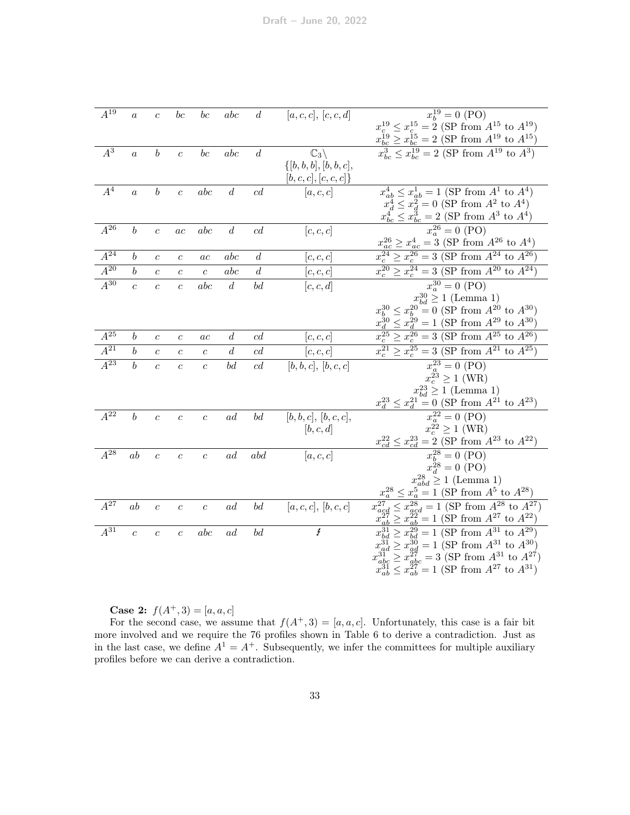| $A^{19}$            | $\boldsymbol{a}$ | $\boldsymbol{c}$ | $b\boldsymbol{c}$ | $b\boldsymbol{c}$ | abc              | $\boldsymbol{d}$               | [a,c,c], [c,c,d]          | $x_b^{19} = 0$ (PO)                                                                                                                      |
|---------------------|------------------|------------------|-------------------|-------------------|------------------|--------------------------------|---------------------------|------------------------------------------------------------------------------------------------------------------------------------------|
|                     |                  |                  |                   |                   |                  |                                |                           | $x_c^{19} \le x_c^{15} = 2$ (SP from $A^{15}$ to $A^{19}$ )                                                                              |
|                     |                  |                  |                   |                   |                  |                                |                           | $x_{bc}^{19} \ge x_{bc}^{15} = 2$ (SP from $A^{19}$ to $A^{15}$ )                                                                        |
| $A^3$               | $\boldsymbol{a}$ | $\boldsymbol{b}$ | $\overline{c}$    | $b\boldsymbol{c}$ | abc              | $\boldsymbol{d}$               | $\mathbb{C}_3\setminus$   | $x_{bc}^3 \leq x_{bc}^{19} = 2$ (SP from $A^{19}$ to $A^3$ )                                                                             |
|                     |                  |                  |                   |                   |                  |                                | $\{[b, b, b], [b, b, c],$ |                                                                                                                                          |
|                     |                  |                  |                   |                   |                  |                                | [b,c,c], [c,c,c]          |                                                                                                                                          |
| $A^4$               | $\boldsymbol{a}$ | $\boldsymbol{b}$ | $\boldsymbol{c}$  | abc               | $\boldsymbol{d}$ | c d                            | [a, c, c]                 | $x_{ab}^4 \le x_{ab}^1 = 1$ (SP from $A^1$ to $A^4$ )                                                                                    |
|                     |                  |                  |                   |                   |                  |                                |                           | $x_d^4 \le x_d^2 = 0$ (SP from $A^2$ to $A^4$ )                                                                                          |
|                     |                  |                  |                   |                   |                  |                                |                           | $x_{bc}^4 \leq x_{bc}^3 = 2$ (SP from $A^3$ to $A^4$ )                                                                                   |
| $A^{26}$            | $\boldsymbol{b}$ | $\boldsymbol{c}$ | ac                | abc               | $\boldsymbol{d}$ | cd                             | [c, c, c]                 | $x_a^{26} = 0$ (PO)                                                                                                                      |
|                     |                  |                  |                   |                   |                  |                                |                           | $x_{ac}^{26} \geq x_{ac}^4 = 3$ (SP from $A^{26}$ to $A^4$ )                                                                             |
| $A^{24}$            | $\boldsymbol{b}$ | $\boldsymbol{c}$ | $\,c\,$           | ac                | abc              | $\overline{d}$                 | c, c, c                   | $x_c^{24} \ge x_c^{26} = 3$ (SP from $A^{24}$ to $A^{26}$ )                                                                              |
| $\overline{A^{20}}$ | $\boldsymbol{b}$ | $\overline{c}$   | $\overline{c}$    | $\overline{c}$    | abc              | $\boldsymbol{d}$               | [c, c, c]                 | $x_c^{20}$<br>$\geq x_c^{24} = 3$ (SP from $A^{20}$ to $A^{24}$ )                                                                        |
| $\overline{A^{30}}$ | $\overline{c}$   | $\overline{c}$   | $\overline{c}$    | abc               | $\boldsymbol{d}$ | bd                             | [c, c, d]                 | $x_a^{30} = 0$ (PO)                                                                                                                      |
|                     |                  |                  |                   |                   |                  |                                |                           | $x_{bd}^{30} \ge 1$ (Lemma 1)                                                                                                            |
|                     |                  |                  |                   |                   |                  |                                |                           |                                                                                                                                          |
|                     |                  |                  |                   |                   |                  |                                |                           | $x_b^{30} \le x_b^{20} = 0$ (SP from $A^{20}$ to $A^{30}$ )<br>$x_d^{30} \le x_d^{29} = 1$ (SP from $A^{29}$ to $A^{30}$ )               |
| $A^{25}$            | $\boldsymbol{b}$ | $\boldsymbol{c}$ | $\,c\,$           | ac                | $\boldsymbol{d}$ | cd                             | [c,c,c]                   | $x_c^{25} \ge x_c^{26} = 3$ (SP from $A^{25}$ to $A^{26}$ )                                                                              |
|                     |                  |                  |                   |                   |                  |                                |                           |                                                                                                                                          |
| $A^{21}$            | $\boldsymbol{b}$ | $\boldsymbol{c}$ | $\boldsymbol{c}$  | $\boldsymbol{c}$  | $\boldsymbol{d}$ | c d                            | [c,c,c]                   | $\geq x^{25}$<br>$= 3$ (SP from $A^{21}$ to $A^{25}$ )<br>$x_c^{21}$                                                                     |
| $\overline{A^{23}}$ | $\boldsymbol{b}$ | $\overline{c}$   | $\overline{c}$    | $\overline{c}$    | bd               | c d                            |                           |                                                                                                                                          |
|                     |                  |                  |                   |                   |                  |                                | [b, b, c], [b, c, c]      | $x_a^{23} = 0$ (PO)<br>$x_c^{23} \ge 1$ (WR)                                                                                             |
|                     |                  |                  |                   |                   |                  |                                |                           |                                                                                                                                          |
|                     |                  |                  |                   |                   |                  |                                |                           | $x_{bd}^{23} \ge 1$ (Lemma 1)<br>$x_d^{23} \le x_d^{21} = 0$ (SP from $A^{21}$ to $A^{23}$ )                                             |
| $A^{22}$            | $\boldsymbol{b}$ | $\boldsymbol{c}$ | $\boldsymbol{c}$  | $\boldsymbol{c}$  | ad               | bd                             | [b, b, c], [b, c, c],     | $x_a^{22} = 0$ (PO)                                                                                                                      |
|                     |                  |                  |                   |                   |                  |                                | [b, c, d]                 | $x_c^{22} \ge 1$ (WR)                                                                                                                    |
|                     |                  |                  |                   |                   |                  |                                |                           | $x_{cd}^{22} \leq x_{cd}^{23} = 2$ (SP from $A^{23}$ to $A^{22}$ )                                                                       |
| $A^{28}$            | ab               | $\overline{c}$   | $\overline{c}$    | $\boldsymbol{c}$  | ad               | abd                            | [a, c, c]                 | $x_b^{28} = 0$ (PO)                                                                                                                      |
|                     |                  |                  |                   |                   |                  |                                |                           | $x_d^2^8 = 0$ (PO)                                                                                                                       |
|                     |                  |                  |                   |                   |                  |                                |                           | $x_{abd}^{28} \ge 1$ (Lemma 1)                                                                                                           |
|                     |                  |                  |                   |                   |                  |                                |                           | $x_a^{28} \le x_a^5 = 1$ (SP from $A^5$ to $A^{28}$ )                                                                                    |
| $A^{\overline{27}}$ | ab               | $\boldsymbol{c}$ | $\overline{c}$    | $\boldsymbol{c}$  | ad               | bd                             | [a,c,c], [b,c,c]          | $x_{acd}^{27} \le x_{acd}^{28} = 1$ (SP from $A^{28}$ to $A^{27}$ )<br>$x^{\overline{27}}$                                               |
|                     |                  |                  |                   |                   |                  |                                |                           | $\geq x_{ab}^{22} = 1$ (SP from $A^{27}$ to $A^{22}$ )                                                                                   |
| $\overline{A^{31}}$ | $\boldsymbol{c}$ | $\overline{c}$   | $\overline{c}$    | abc               | ad               | $\boldsymbol{b}\boldsymbol{d}$ | $\rlap /$                 | $x_{bd}^{29} = 1$ (SP from $A^{31}$ to $A^{29}$ )                                                                                        |
|                     |                  |                  |                   |                   |                  |                                |                           | $x_{ad}^{31} \ge x_{ad}^{30} = 1$ (SP from $A^{31}$ to $A^{30}$ )                                                                        |
|                     |                  |                  |                   |                   |                  |                                |                           | $x_{abc}^{31} \ge x_{abc}^{27} = 3$ (SP from $A^{31}$ to $A^{27}$ )<br>$x_{ab}^{31} \le x_{ab}^{27} = 1$ (SP from $A^{27}$ to $A^{31}$ ) |

**Case 2:**  $f(A^+,3) = [a, a, c]$ 

For the second case, we assume that  $f(A^+, 3) = [a, a, c]$ . Unfortunately, this case is a fair bit more involved and we require the 76 profiles shown in Table [6](#page-33-0) to derive a contradiction. Just as in the last case, we define  $A^1 = A^+$ . Subsequently, we infer the committees for multiple auxiliary profiles before we can derive a contradiction.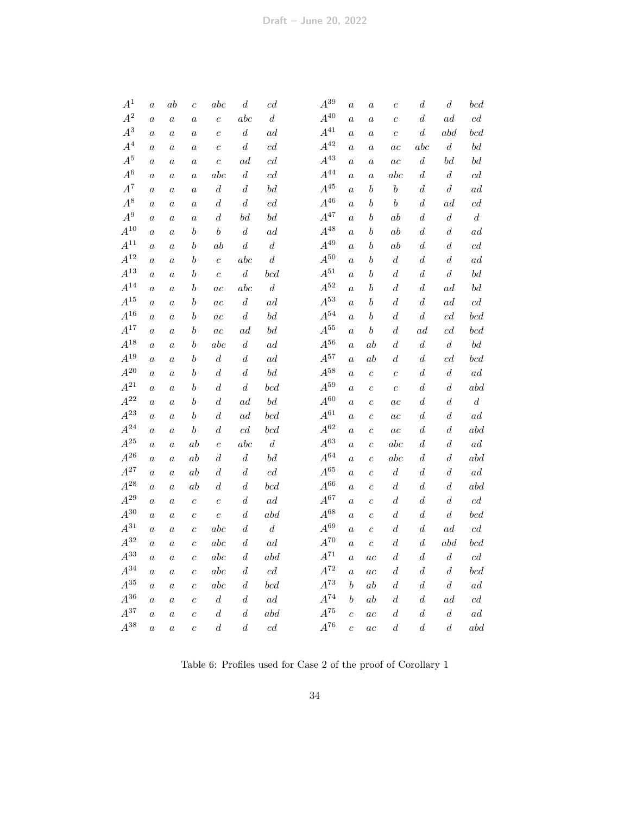| $A^1$              | $\boldsymbol{a}$ | $\boldsymbol{ab}$ | $\boldsymbol{c}$ | abc              | $\boldsymbol{d}$ | c d                                | $A^{39}$        | $\boldsymbol{a}$ | $\boldsymbol{a}$ | $\overline{c}$   | $\boldsymbol{d}$ | $\boldsymbol{d}$    | $bcd$            |
|--------------------|------------------|-------------------|------------------|------------------|------------------|------------------------------------|-----------------|------------------|------------------|------------------|------------------|---------------------|------------------|
| $A^2$              | $\boldsymbol{a}$ | $\boldsymbol{a}$  | $\boldsymbol{a}$ | $\boldsymbol{c}$ | abc              | $\boldsymbol{d}$                   | $A^{40}$        | $\boldsymbol{a}$ | $\boldsymbol{a}$ | $\overline{c}$   | $\boldsymbol{d}$ | $_{ad}$             | cd               |
| $\mathbb{A}^3$     | $\it a$          | $\it a$           | $\boldsymbol{a}$ | $\boldsymbol{c}$ | $\boldsymbol{d}$ | ad                                 | $A^{41}\,$      | $\boldsymbol{a}$ | $\boldsymbol{a}$ | $\boldsymbol{c}$ | $\boldsymbol{d}$ | abd                 | bcd              |
| $A^4$              | $\boldsymbol{a}$ | $\it a$           | $\boldsymbol{a}$ | $\boldsymbol{c}$ | $\boldsymbol{d}$ | $\operatorname{cd}$                | $A^{42}$        | $\boldsymbol{a}$ | $\boldsymbol{a}$ | $_{ac}$          | abc              | $\boldsymbol{d}$    | bd               |
| $A^5$              | $\boldsymbol{a}$ | $\boldsymbol{a}$  | $\boldsymbol{a}$ | $\boldsymbol{c}$ | ad               | cd                                 | $A^{43}\,$      | $\boldsymbol{a}$ | $\boldsymbol{a}$ | ac               | $\boldsymbol{d}$ | bd                  | bd               |
| $A^6\,$            | $\boldsymbol{a}$ | $\boldsymbol{a}$  | $\boldsymbol{a}$ | abc              | $\boldsymbol{d}$ | cd                                 | $A^{44}$        | $\boldsymbol{a}$ | $\boldsymbol{a}$ | abc              | $\boldsymbol{d}$ | $\boldsymbol{d}$    | c d              |
| $A^7$              | $\boldsymbol{a}$ | $\boldsymbol{a}$  | $\boldsymbol{a}$ | $\boldsymbol{d}$ | $\boldsymbol{d}$ | $\boldsymbol{b}\boldsymbol{d}$     | $A^{45}\,$      | $\boldsymbol{a}$ | $\boldsymbol{b}$ | $\boldsymbol{b}$ | d                | $\boldsymbol{d}$    | ad               |
| $A^8$              | $\boldsymbol{a}$ | $\boldsymbol{a}$  | $\boldsymbol{a}$ | $\boldsymbol{d}$ | $\boldsymbol{d}$ | $\operatorname{cd}$                | $A^{46}\,$      | $\boldsymbol{a}$ | $\boldsymbol{b}$ | $\boldsymbol{b}$ | $\boldsymbol{d}$ | ad                  | c d              |
| $A^9$              | $\boldsymbol{a}$ | $\boldsymbol{a}$  | $\boldsymbol{a}$ | $\boldsymbol{d}$ | bd               | bd                                 | $A^{47}$        | $\boldsymbol{a}$ | b                | ab               | $\boldsymbol{d}$ | $\boldsymbol{d}$    | $\boldsymbol{d}$ |
| $\mathcal{A}^{10}$ | $\boldsymbol{a}$ | $\boldsymbol{a}$  | $\boldsymbol{b}$ | $\boldsymbol{b}$ | $\boldsymbol{d}$ | $\,ad$                             | $A^{48}\,$      | $\boldsymbol{a}$ | $\boldsymbol{b}$ | ab               | $\boldsymbol{d}$ | $\boldsymbol{d}$    | ad               |
| $\mathbb{A}^{11}$  | $\boldsymbol{a}$ | $\boldsymbol{a}$  | $\boldsymbol{b}$ | $_{ab}$          | $\boldsymbol{d}$ | $\boldsymbol{d}$                   | $A^{49}$        | $\boldsymbol{a}$ | b                | ab               | $\boldsymbol{d}$ | $\boldsymbol{d}$    | c d              |
| $A^{12}\,$         | $\boldsymbol{a}$ | $\boldsymbol{a}$  | $\boldsymbol{b}$ | $\boldsymbol{c}$ | abc              | $\boldsymbol{d}$                   | $A^{50}$        | $\boldsymbol{a}$ | b                | $\boldsymbol{d}$ | $\boldsymbol{d}$ | $\boldsymbol{d}$    | ad               |
| $A^{13}$           | $\boldsymbol{a}$ | $\boldsymbol{a}$  | $\boldsymbol{b}$ | $\overline{c}$   | $\boldsymbol{d}$ | bcd                                | $A^{51}\,$      | $\boldsymbol{a}$ | b                | $\boldsymbol{d}$ | $\boldsymbol{d}$ | $\boldsymbol{d}$    | bd               |
| $A^{14}$           | $\boldsymbol{a}$ | $\boldsymbol{a}$  | $\boldsymbol{b}$ | ac               | abc              | $\boldsymbol{d}$                   | $A^{52}\,$      | $\boldsymbol{a}$ | b                | $\boldsymbol{d}$ | $\boldsymbol{d}$ | $_{ad}$             | bd               |
| $A^{15}\,$         | $\boldsymbol{a}$ | $\boldsymbol{a}$  | $\boldsymbol{b}$ | ac               | $\boldsymbol{d}$ | $\,ad$                             | $A^{\rm 53}$    | $\boldsymbol{a}$ | b                | $\boldsymbol{d}$ | $\boldsymbol{d}$ | ad                  | c d              |
| $A^{16}\,$         | $\boldsymbol{a}$ | $\boldsymbol{a}$  | $\boldsymbol{b}$ | ac               | $\boldsymbol{d}$ | $\boldsymbol{b}\boldsymbol{d}$     | $A^{54}$        | $\boldsymbol{a}$ | b                | $\boldsymbol{d}$ | $\boldsymbol{d}$ | $\operatorname{cd}$ | bcd              |
| $A^{17}\,$         | $\boldsymbol{a}$ | $\boldsymbol{a}$  | $\boldsymbol{b}$ | ac               | $^{ad}$          | $\boldsymbol{b}\boldsymbol{d}$     | $A^{55}\,$      | $\overline{a}$   | $\boldsymbol{b}$ | $\boldsymbol{d}$ | $^{ad}$          | cd                  | bcd              |
| $A^{\rm 18}$       | $\overline{a}$   | $\boldsymbol{a}$  | b                | abc              | $\boldsymbol{d}$ | $\hspace{0.5pt} ad \hspace{0.5pt}$ | $A^{56}\,$      | $\overline{a}$   | $_{ab}$          | $\boldsymbol{d}$ | $\boldsymbol{d}$ | $\boldsymbol{d}$    | bd               |
| $A^{19}$           | $\boldsymbol{a}$ | $\boldsymbol{a}$  | $_{b}$           | $\boldsymbol{d}$ | $\boldsymbol{d}$ | $\hspace{0.5pt} ad \hspace{0.5pt}$ | $A^{57}$        | $\overline{a}$   | $_{ab}$          | $\boldsymbol{d}$ | $_{d}$           | c d                 | bcd              |
| $A^{20}$           | $\boldsymbol{a}$ | $\boldsymbol{a}$  | $\boldsymbol{b}$ | $\boldsymbol{d}$ | $\boldsymbol{d}$ | $\boldsymbol{b}\boldsymbol{d}$     | $A^{\rm 58}$    | $\boldsymbol{a}$ | $\boldsymbol{c}$ | $\boldsymbol{c}$ | $\boldsymbol{d}$ | $\boldsymbol{d}$    | ad               |
| $A^{\mathrm{21}}$  | $\boldsymbol{a}$ | $\boldsymbol{a}$  | $\boldsymbol{b}$ | $\boldsymbol{d}$ | $\boldsymbol{d}$ | bcd                                | $A^{59}$        | $\overline{a}$   | $\boldsymbol{c}$ | $\overline{c}$   | $_{d}$           | $\boldsymbol{d}$    | abd              |
| $A^{22}$           | $\boldsymbol{a}$ | $\boldsymbol{a}$  | $\boldsymbol{b}$ | $\boldsymbol{d}$ | ad               | $\boldsymbol{b}\boldsymbol{d}$     | $A^{60}$        | $\overline{a}$   | $\overline{c}$   | $_{ac}$          | $_{d}$           | $\boldsymbol{d}$    | $\boldsymbol{d}$ |
| $A^{23}$           | $\boldsymbol{a}$ | $\boldsymbol{a}$  | $\boldsymbol{b}$ | $\boldsymbol{d}$ | ad               | bcd                                | $A^{61}$        | $\boldsymbol{a}$ | $\overline{c}$   | $_{ac}$          | $\boldsymbol{d}$ | $\boldsymbol{d}$    | $\,ad$           |
| $A^{24}$           | $\boldsymbol{a}$ | $\boldsymbol{a}$  | $\boldsymbol{b}$ | $\boldsymbol{d}$ | c d              | bcd                                | $A^{62}$        | $\overline{a}$   | $\boldsymbol{c}$ | $\overline{ac}$  | $\boldsymbol{d}$ | $\boldsymbol{d}$    | abd              |
| $A^{\mathrm{25}}$  | $\boldsymbol{a}$ | $\boldsymbol{a}$  | ab               | $\overline{c}$   | abc              | $\boldsymbol{d}$                   | $A^{63}$        | $\boldsymbol{a}$ | $\boldsymbol{c}$ | abc              | $\boldsymbol{d}$ | $\boldsymbol{d}$    | ad               |
| $A^{26}$           | $\boldsymbol{a}$ | $\boldsymbol{a}$  | ab               | $\boldsymbol{d}$ | $\boldsymbol{d}$ | $\boldsymbol{b}\boldsymbol{d}$     | $A^{64}$        | $\boldsymbol{a}$ | $\overline{c}$   | abc              | $\boldsymbol{d}$ | $\boldsymbol{d}$    | abd              |
| $A^{27}$           | $\boldsymbol{a}$ | $\boldsymbol{a}$  | ab               | $\boldsymbol{d}$ | $\boldsymbol{d}$ | $\operatorname{cd}$                | $A^{65}$        | $\boldsymbol{a}$ | $\overline{c}$   | $\boldsymbol{d}$ | $\boldsymbol{d}$ | $\boldsymbol{d}$    | ad               |
| $A^{28}$           | $\boldsymbol{a}$ | $\boldsymbol{a}$  | ab               | $\boldsymbol{d}$ | $\boldsymbol{d}$ | bcd                                | $A^{66}$        | $\boldsymbol{a}$ | $\boldsymbol{c}$ | $\boldsymbol{d}$ | $\boldsymbol{d}$ | $\boldsymbol{d}$    | abd              |
| $A^{29}$           | $\boldsymbol{a}$ | $\it a$           | $\boldsymbol{c}$ | $\boldsymbol{c}$ | $\boldsymbol{d}$ | $\,ad$                             | $A^{67}$        | $\boldsymbol{a}$ | $\overline{c}$   | $\boldsymbol{d}$ | $\boldsymbol{d}$ | $\boldsymbol{d}$    | cd               |
| $A^{30}$           | $\boldsymbol{a}$ | $\boldsymbol{a}$  | $\boldsymbol{c}$ | $\boldsymbol{c}$ | $\boldsymbol{d}$ | abd                                | $A^{68}$        | $\boldsymbol{a}$ | $\overline{c}$   | $\boldsymbol{d}$ | $\boldsymbol{d}$ | $\boldsymbol{d}$    | bcd              |
| $A^{31}$           | $\boldsymbol{a}$ | $\boldsymbol{a}$  | $\overline{c}$   | abc              | $\boldsymbol{d}$ | $\boldsymbol{d}$                   | $A^{69}$        | $\boldsymbol{a}$ | $\overline{c}$   | $\boldsymbol{d}$ | $\boldsymbol{d}$ | ad                  | cd               |
| $A^{32}$           | $\boldsymbol{a}$ | $\boldsymbol{a}$  | $\overline{c}$   | abc              | $\boldsymbol{d}$ | $\,ad$                             | $A^{70}$        | $\boldsymbol{a}$ | $\boldsymbol{c}$ | $\boldsymbol{d}$ | $\boldsymbol{d}$ | abd                 | bcd              |
| $A^{33}$           | $\boldsymbol{a}$ | $\boldsymbol{a}$  | $\overline{c}$   | abc              | $\boldsymbol{d}$ | abd                                | $A^{71}$        | $\boldsymbol{a}$ | ac               | $\boldsymbol{d}$ | $\boldsymbol{d}$ | $\boldsymbol{d}$    | $c\bar{d}$       |
| $A^{34}$           | $\boldsymbol{a}$ | $\boldsymbol{a}$  | $\overline{c}$   | abc              | $\boldsymbol{d}$ | $\operatorname{cd}$                | $A^{\rm 72}$    | $\boldsymbol{a}$ | ac               | $\boldsymbol{d}$ | $\boldsymbol{d}$ | $\boldsymbol{d}$    | bcd              |
| $A^{35}$           | $\boldsymbol{a}$ | $\boldsymbol{a}$  | $\overline{c}$   | abc              | $\boldsymbol{d}$ | bcd                                | ${\cal A}^{73}$ | $\boldsymbol{b}$ | $\it ab$         | $\boldsymbol{d}$ | $\boldsymbol{d}$ | $\boldsymbol{d}$    | ad               |
| $A^{36}$           | $\boldsymbol{a}$ | $\boldsymbol{a}$  | $\overline{c}$   | $\boldsymbol{d}$ | $\boldsymbol{d}$ | $\,ad$                             | $A^{74}$        | $\boldsymbol{b}$ | ab               | $\boldsymbol{d}$ | $\boldsymbol{d}$ | ad                  | c d              |
| $A^{37}$           | $\boldsymbol{a}$ | $\boldsymbol{a}$  | $\overline{c}$   | $\boldsymbol{d}$ | $\boldsymbol{d}$ | abd                                | $A^{75}$        | $\overline{c}$   | ac               | $\boldsymbol{d}$ | $\boldsymbol{d}$ | $\boldsymbol{d}$    | $\,ad$           |
| $A^{38}\,$         | $\alpha$         | $\boldsymbol{a}$  | $\overline{c}$   | $\boldsymbol{d}$ | $\boldsymbol{d}$ | cd                                 | $A^{76}$        | $\overline{c}$   | ac               | $\boldsymbol{d}$ | $\boldsymbol{d}$ | $\boldsymbol{d}$    | abd              |

<span id="page-33-0"></span>Table 6: Profiles used for Case 2 of the proof of Corollary [1](#page-12-0)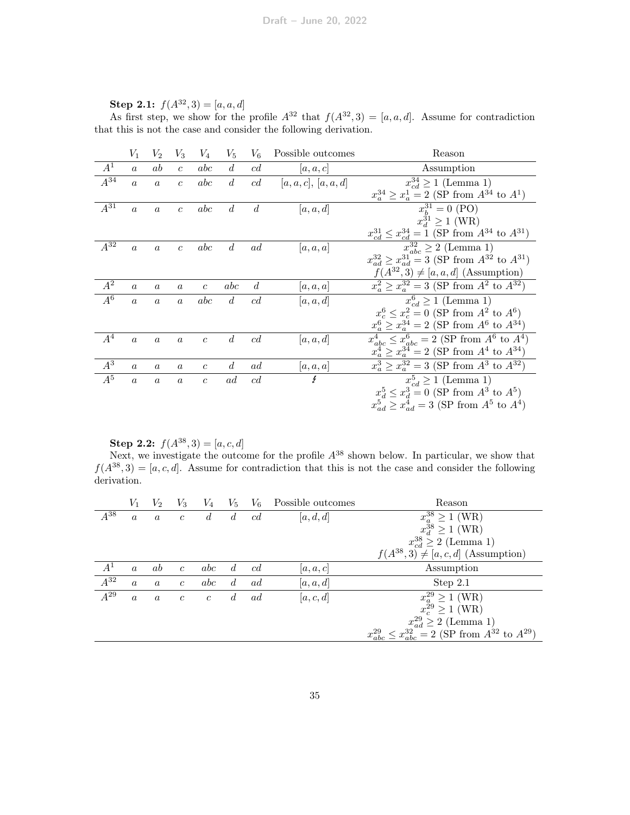|                     | $V_1$            | $\scriptstyle{V_2}$ | $V_3$            | $V_4$            | $V_5$            | $V_6$          | Possible outcomes | Reason                                                              |
|---------------------|------------------|---------------------|------------------|------------------|------------------|----------------|-------------------|---------------------------------------------------------------------|
| $A^1$               | $\boldsymbol{a}$ | ab                  | $\mathfrak{c}$   | abc              | d                | c d            | a, a, c           | Assumption                                                          |
| $A^{34}$            | $\boldsymbol{a}$ | $\overline{a}$      | $\overline{c}$   | abc              | $\boldsymbol{d}$ | cd             | [a,a,c], [a,a,d]  | $x_{cd}^{34} \ge 1$ (Lemma 1)                                       |
|                     |                  |                     |                  |                  |                  |                |                   | $x_a^{34} \ge x_a^1 = 2$ (SP from $A^{34}$ to $A^1$ )               |
| $\overline{A^{31}}$ | $\alpha$         | $\boldsymbol{a}$    | $\mathfrak{c}$   | abc              | $\overline{d}$   | $\overline{d}$ | a, a, d           | $x_b^{31} = 0$ (PO)                                                 |
|                     |                  |                     |                  |                  |                  |                |                   | $x_d^{31} \ge 1$ (WR)                                               |
|                     |                  |                     |                  |                  |                  |                |                   | $x_{cd}^{31} \le x_{cd}^{34} = 1$ (SP from $A^{34}$ to $A^{31}$ )   |
| $A^{32}$            | $\boldsymbol{a}$ | $\boldsymbol{a}$    | $\boldsymbol{c}$ | abc              | $\overline{d}$   | ad             | a, a, a           | $x_{abc}^{32} \geq 2$ (Lemma 1)                                     |
|                     |                  |                     |                  |                  |                  |                |                   | $x_{ad}^{32} \ge x_{ad}^{31} = 3$ (SP from $A^{32}$ to $A^{31}$ )   |
|                     |                  |                     |                  |                  |                  |                |                   | $f(A^{32},3) \neq [a,a,d]$ (Assumption)                             |
| $A^2$               | $\boldsymbol{a}$ | $\alpha$            | $\alpha$         | $\overline{c}$   | abc              | $d_{\cdot}$    | [a, a, a]         | $x_a^2 \ge x_a^{32} = 3$ (SP from $A^2$ to $A^{32}$ )               |
| $\overline{A^6}$    | $\alpha$         | $\boldsymbol{a}$    | $\alpha$         | abc              | $d_{\cdot}$      | c d            | [a, a, d]         | $x_{cd}^6 \ge 1$ (Lemma 1)                                          |
|                     |                  |                     |                  |                  |                  |                |                   | $x_c^6 \le x_c^2 = 0$ (SP from $A^2$ to $A^6$ )                     |
|                     |                  |                     |                  |                  |                  |                |                   | $x_a^6 \ge x_a^{34} = 2$ (SP from $A^6$ to $A^{34}$ )               |
| $A^4$               | $\boldsymbol{a}$ | $\boldsymbol{a}$    | $\boldsymbol{a}$ | $\boldsymbol{c}$ | $\overline{d}$   | c d            | [a, a, d]         | $\overline{x_{abc}^4} \leq x_{abc}^6 = 2$ (SP from $A^6$ to $A^4$ ) |
|                     |                  |                     |                  |                  |                  |                |                   | $x_a^4 \ge x_a^{34} = 2$ (SP from $A^4$ to $A^{34}$ )               |
| $A^3$               | $\alpha$         | $\boldsymbol{a}$    | $\alpha$         | $\overline{c}$   | $d_{\cdot}$      | ad             | [a,a,a]           | $x_a^3 \ge x_a^{32} = 3$ (SP from $A^3$ to $A^{32}$ )               |
| $A^5$               | $\alpha$         | $\boldsymbol{a}$    | $\boldsymbol{a}$ | $\overline{c}$   | ad               | c d            | £                 | $x_{cd}^5 \ge 1$ (Lemma 1)                                          |
|                     |                  |                     |                  |                  |                  |                |                   | $x_A^5 \le x_A^3 = 0$ (SP from $A^3$ to $A^5$ )                     |
|                     |                  |                     |                  |                  |                  |                |                   | $x_{ad}^5 \ge x_{ad}^4 = 3$ (SP from $A^5$ to $A^4$ )               |
|                     |                  |                     |                  |                  |                  |                |                   |                                                                     |

Step 2.1:  $f(A^{32}, 3) = [a, a, d]$ 

As first step, we show for the profile  $A^{32}$  that  $f(A^{32},3) = [a,a,d]$ . Assume for contradiction that this is not the case and consider the following derivation.

Step 2.2:  $f(A^{38},3) = [a, c, d]$ 

Next, we investigate the outcome for the profile  $A^{38}$  shown below. In particular, we show that  $f(A^{38},3) = [a, c, d]$ . Assume for contradiction that this is not the case and consider the following derivation.

|          | $V_1$            | $V_2$            | $V_3$          | $V_4$          | $V_5$          | $V_6$ | Possible outcomes | Reason                                                                    |
|----------|------------------|------------------|----------------|----------------|----------------|-------|-------------------|---------------------------------------------------------------------------|
| $A^{38}$ | $\boldsymbol{a}$ | $\alpha$         | $\mathfrak{c}$ | $\overline{d}$ | $\overline{d}$ | c d   | [a, d, d]         | $x_a^{38} \ge 1$ (WR)                                                     |
|          |                  |                  |                |                |                |       |                   | $x_d^{\bar{3}8} \ge 1$ (WR)                                               |
|          |                  |                  |                |                |                |       |                   | $x_{cd}^{38} \geq 2$ (Lemma 1)                                            |
|          |                  |                  |                |                |                |       |                   | $f(A^{38},3) \neq [a, c, d]$ (Assumption)                                 |
| $A^1$    | $\alpha$         | ab               | $\mathfrak{c}$ | abc            | d.             | c d   | [a, a, c]         | Assumption                                                                |
| $A^{32}$ | $\boldsymbol{a}$ | $\boldsymbol{a}$ | $\mathfrak{c}$ | abc            | $\overline{d}$ | ad    | [a, a, d]         | Step $2.1$                                                                |
| $A^{29}$ | $\boldsymbol{a}$ | $\boldsymbol{a}$ | $\mathfrak{c}$ | $\mathfrak{c}$ | d.             | ad    | [a, c, d]         | $x_a^{29} \ge 1$ (WR)                                                     |
|          |                  |                  |                |                |                |       |                   | $x_c^{\tilde{2}9} \ge 1$ (WR)                                             |
|          |                  |                  |                |                |                |       |                   | $x_{ad}^{29} \geq 2$ (Lemma 1)                                            |
|          |                  |                  |                |                |                |       |                   | $\leq x_{abc}^{32} = 2$ (SP from $A^{32}$ to $A^{29}$ )<br>$x_{abc}^{29}$ |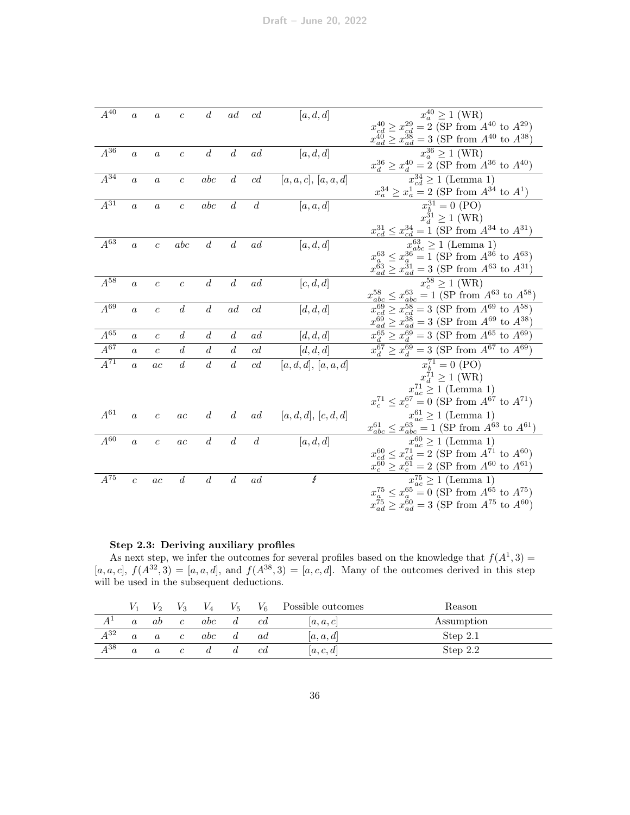| $A^{40}$            | $\boldsymbol{a}$ | $\boldsymbol{a}$ | $\boldsymbol{c}$ | $\boldsymbol{d}$ | ad               | c d              | [a, d, d]            | $x_a^{40} \ge 1$ (WR)                                               |
|---------------------|------------------|------------------|------------------|------------------|------------------|------------------|----------------------|---------------------------------------------------------------------|
|                     |                  |                  |                  |                  |                  |                  |                      | $x_{cd}^{40} \ge x_{cd}^{29} = 2$ (SP from $A^{40}$ to $A^{29}$ )   |
|                     |                  |                  |                  |                  |                  |                  |                      | $x_{ad}^{40} \ge x_{ad}^{38} = 3$ (SP from $A^{40}$ to $A^{38}$ )   |
| $A^{36}$            | $\boldsymbol{a}$ | $\boldsymbol{a}$ | $\boldsymbol{c}$ | d                | $\overline{d}$   | ad               | [a, d, d]            | $x_a^{36} \ge 1$ (WR)                                               |
|                     |                  |                  |                  |                  |                  |                  |                      | $x_d^{36} \ge x_d^{40} = 2$ (SP from $A^{36}$ to $A^{40}$ )         |
| $A^{34}$            | $\overline{a}$   | $\boldsymbol{a}$ | $\boldsymbol{c}$ | abc              | $\overline{d}$   | c d              | [a,a,c], [a,a,d]     | $x_{cd}^{34} \ge 1$ (Lemma 1)                                       |
|                     |                  |                  |                  |                  |                  |                  |                      | $x_a^{34} \ge x_a^1 = 2$ (SP from $A^{34}$ to $A^1$ )               |
| $\overline{A^{31}}$ | $\boldsymbol{a}$ | $\boldsymbol{a}$ | $\boldsymbol{c}$ | abc              | $\boldsymbol{d}$ | $\boldsymbol{d}$ | [a, a, d]            | $x_b^{31} = 0$ (PO)                                                 |
|                     |                  |                  |                  |                  |                  |                  |                      | $x_d^{31} \ge 1$ (WR)                                               |
|                     |                  |                  |                  |                  |                  |                  |                      | $x_{cd}^{31} \leq x_{cd}^{34} = 1$ (SP from $A^{34}$ to $A^{31}$ )  |
| $\overline{A^{63}}$ | $\boldsymbol{a}$ | $\overline{c}$   | abc              | $\boldsymbol{d}$ | $\boldsymbol{d}$ | ad               | [a, d, d]            | $x_{abc}^{63} \ge 1$ (Lemma 1)                                      |
|                     |                  |                  |                  |                  |                  |                  |                      | $x_a^{63} \le x_a^{36} = 1$ (SP from $A^{36}$ to $A^{63}$ )         |
|                     |                  |                  |                  |                  |                  |                  |                      | $x_{ad}^{63} \ge x_{ad}^{31} = 3$ (SP from $A^{63}$ to $A^{31}$ )   |
| $A^{58}$            | $\overline{a}$   | $\overline{c}$   | $\mathfrak{c}$   | $\boldsymbol{d}$ | $\boldsymbol{d}$ | ad               | [c, d, d]            | $x_c^{58} \ge 1$ (WR)                                               |
|                     |                  |                  |                  |                  |                  |                  |                      | $x_{abc}^{58} \le x_{abc}^{63} = 1$ (SP from $A^{63}$ to $A^{58}$ ) |
| $A^{69}$            | $\overline{a}$   | $\overline{c}$   | $\boldsymbol{d}$ | $\boldsymbol{d}$ | ad               | c d              | [d, d, d]            | $x_{cd}^{69} \ge x_{cd}^{58} = 3$ (SP from $A^{69}$ to $A^{58}$ )   |
|                     |                  |                  |                  |                  |                  |                  |                      | $x_{ad}^{69} \ge x_{ad}^{38} = 3$ (SP from $A^{69}$ to $A^{38}$ )   |
| $\overline{A^{65}}$ | $\boldsymbol{a}$ | $\mathfrak{c}$   | $\overline{d}$   | $\overline{d}$   | $\overline{d}$   | ad               | [d, d, d]            | $x_d^{65} \ge x_d^{69} = 3$ (SP from $A^{65}$ to $A^{69}$ )         |
| $A^{67}$            | $\boldsymbol{a}$ | $\boldsymbol{c}$ | $\overline{d}$   | d                | $\overline{d}$   | c d              | [d, d, d]            | $x_d^{67} \ge x_d^{69} = 3$ (SP from $A^{67}$ to $A^{69}$ )         |
| $A^{71}$            | $\alpha$         | ac               | $\boldsymbol{d}$ | $\boldsymbol{d}$ | $\boldsymbol{d}$ | cd               | $[a,d,d],\,[a,a,d]$  | $x_h^{71} = 0$ (PO)                                                 |
|                     |                  |                  |                  |                  |                  |                  |                      | $x_d^{71} \geq 1$ (WR)                                              |
|                     |                  |                  |                  |                  |                  |                  |                      | $x_{ac}^{71} \ge 1$ (Lemma 1)                                       |
|                     |                  |                  |                  |                  |                  |                  |                      | $x_c^{71} \le x_c^{67} = 0$ (SP from $A^{67}$ to $A^{71}$ )         |
| $A^{61}$            | $\boldsymbol{a}$ | $\boldsymbol{c}$ | ac               | d                | $\overline{d}$   | ad               | [a, d, d], [c, d, d] | $x_{ac}^{61} \ge 1$ (Lemma 1)                                       |
|                     |                  |                  |                  |                  |                  |                  |                      | $x_{abc}^{61} \le x_{abc}^{63} = 1$ (SP from $A^{63}$ to $A^{61}$ ) |
| $A^{60}$            | $\boldsymbol{a}$ | $\boldsymbol{c}$ | ac               | $\overline{d}$   | $\boldsymbol{d}$ | $\overline{d}$   | [a, d, d]            | $x_{ac}^{60} \ge 1$ (Lemma 1)                                       |
|                     |                  |                  |                  |                  |                  |                  |                      | $x_{cd}^{60} \le x_{cd}^{71} = 2$ (SP from $A^{71}$ to $A^{60}$ )   |
|                     |                  |                  |                  |                  |                  |                  |                      | $x_c^{60} \ge x_c^{61} = 2$ (SP from $A^{60}$ to $A^{61}$ )         |
| $A^{75}$            | $\boldsymbol{c}$ | ac               | $\boldsymbol{d}$ | $\boldsymbol{d}$ | $\boldsymbol{d}$ | ad               | Ł                    | $x_{ac}^{75} \ge 1$ (Lemma 1)                                       |
|                     |                  |                  |                  |                  |                  |                  |                      | $x_a^{75} \le x_a^{65} = 0$ (SP from $A^{65}$ to $A^{75}$ )         |
|                     |                  |                  |                  |                  |                  |                  |                      | $x_{ad}^{75} \ge x_{ad}^{60} = 3$ (SP from $A^{75}$ to $A^{60}$ )   |
|                     |                  |                  |                  |                  |                  |                  |                      |                                                                     |

# Step 2.3: Deriving auxiliary profiles

As next step, we infer the outcomes for several profiles based on the knowledge that  $f(A^1,3)$  =  $[a, a, c], f(A^{32}, 3) = [a, a, d],$  and  $f(A^{38}, 3) = [a, c, d].$  Many of the outcomes derived in this step will be used in the subsequent deductions.

|          |          | V 2              | V3             | $V_4$ | $V_{5}$ | V <sub>6</sub> | Possible outcomes | Reason     |
|----------|----------|------------------|----------------|-------|---------|----------------|-------------------|------------|
|          |          | ab               | $\mathfrak{c}$ | abc   |         | cd             | [a, a, c]         | Assumption |
| $A^{32}$ | $\alpha$ | $\boldsymbol{a}$ | $\mathfrak{c}$ | abc   |         | ad             | [a, a, d]         | Step 2.1   |
| $A^{38}$ | $\alpha$ | $\boldsymbol{a}$ | $\epsilon$     |       |         | сd             | [a, c, d]         | Step $2.2$ |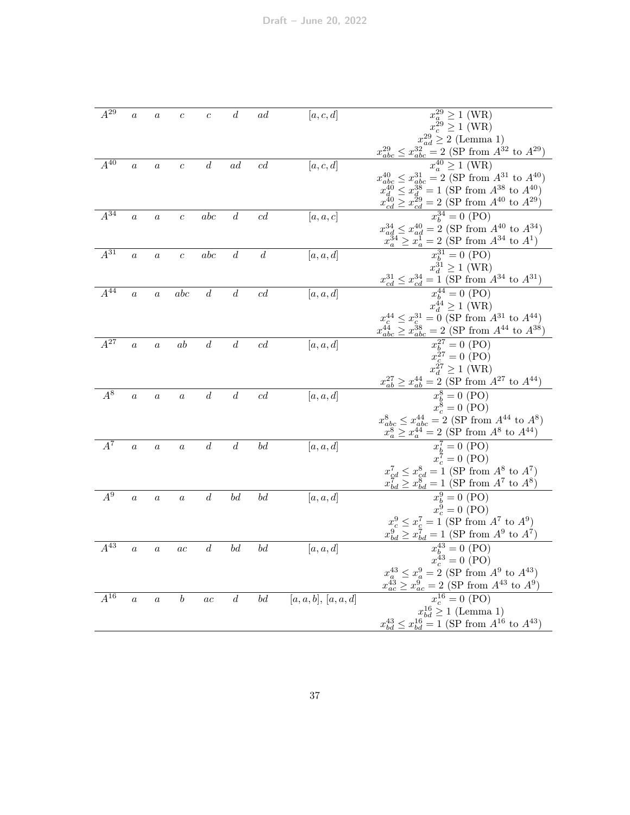| $A^{29}$ | $\boldsymbol{a}$ | $\boldsymbol{a}$ | $\boldsymbol{c}$ | $\boldsymbol{c}$ | $\boldsymbol{d}$               | ad               | [a, c, d]        | $x_a^{29} \ge 1$ (WR)                                                                   |
|----------|------------------|------------------|------------------|------------------|--------------------------------|------------------|------------------|-----------------------------------------------------------------------------------------|
|          |                  |                  |                  |                  |                                |                  |                  | $x_c^{\bar{2}9} \geq 1$ (WR)                                                            |
|          |                  |                  |                  |                  |                                |                  |                  | $x_{ad}^{29} \geq 2$ (Lemma 1)                                                          |
|          |                  |                  |                  |                  |                                |                  |                  | $x_{abc}^{29} \leq x_{ab}^{32}$<br>$\frac{32}{abc} = 2$ (SP from $A^{32}$ to $A^{29}$ ) |
| $A^{40}$ | $\boldsymbol{a}$ | $\boldsymbol{a}$ | $\boldsymbol{c}$ | $\boldsymbol{d}$ | ad                             | c d              | [a, c, d]        | $x_a^{40} \ge 1$ (WR)                                                                   |
|          |                  |                  |                  |                  |                                |                  |                  | $A_1 \leq x_{abc}^{31} = 2$ (SP from $A^{31}$ to $A^{40}$ )<br>$x_{abc}^{40}$           |
|          |                  |                  |                  |                  |                                |                  |                  | $x_d^{40} \le x_d^{38} = 1$ (SP from $A^{38}$ to $A^{40}$ )                             |
|          |                  |                  |                  |                  |                                |                  |                  | $x_{cd}^{40} \geq x_{cd}^{29} = 2$ (SP from $A^{40}$ to $A^{29}$ )                      |
| $A^{34}$ | $\overline{a}$   | $\boldsymbol{a}$ | $\boldsymbol{c}$ | abc              | $\overline{d}$                 | c d              | [a, a, c]        | $x_b^{34} = 0$ (PO)                                                                     |
|          |                  |                  |                  |                  |                                |                  |                  | $x_{ad}^{34} \leq x_{ad}^{40} = 2$ (SP from $A^{40}$ to $A^{34}$ )                      |
|          |                  |                  |                  |                  |                                |                  |                  | $x_a^{34} \ge x_a^1 = 2$ (SP from $A^{34}$ to $A^1$ )                                   |
| $A^{31}$ | $\boldsymbol{a}$ | $\boldsymbol{a}$ | $\overline{c}$   | abc              | $\boldsymbol{d}$               | $\boldsymbol{d}$ | [a, a, d]        | $x_b^{31} = 0$ (PO)                                                                     |
|          |                  |                  |                  |                  |                                |                  |                  | $x_d^{\tilde{3}1} \geq 1$ (WR)                                                          |
|          |                  |                  |                  |                  |                                |                  |                  | $x_{cd}^{31} \le x_{cd}^{34} = 1$ (SP from $A^{34}$ to $A^{31}$ )                       |
| $A^{44}$ | $\boldsymbol{a}$ | $\boldsymbol{a}$ | abc              | $\boldsymbol{d}$ | $\boldsymbol{d}$               | c d              | [a, a, d]        | $x_h^{44} = 0$ (PO)                                                                     |
|          |                  |                  |                  |                  |                                |                  |                  | $x_d^{44} \ge 1$ (WR)                                                                   |
|          |                  |                  |                  |                  |                                |                  |                  | $x_c^{44} \leq x_c^{31} = 0$ (SP from $A^{31}$ to $A^{44})$                             |
|          |                  |                  |                  |                  |                                |                  |                  | $x_{abc}^{44} \ge x_{abc}^{38} = 2$ (SP from $A^{44}$ to $A^{38}$ )                     |
| $A^{27}$ | $\overline{a}$   | $\boldsymbol{a}$ | ab               | $\boldsymbol{d}$ | $\boldsymbol{d}$               | c d              | [a, a, d]        | $x_h^{27} = 0$ (PO)                                                                     |
|          |                  |                  |                  |                  |                                |                  |                  | $x_c^{\bar{2}7} = 0$ (PO)                                                               |
|          |                  |                  |                  |                  |                                |                  |                  | $x_d^{27} \ge 1$ (WR)                                                                   |
|          |                  |                  |                  |                  |                                |                  |                  | $x_{ab}^{27} \ge x_{ab}^{44} = 2$ (SP from $A^{27}$ to $A^{44}$ )                       |
| $A^8$    | $\boldsymbol{a}$ | $\boldsymbol{a}$ | $\boldsymbol{a}$ | $\boldsymbol{d}$ | $\boldsymbol{d}$               | c d              | [a, a, d]        | $x_h^8 = 0$ (PO)                                                                        |
|          |                  |                  |                  |                  |                                |                  |                  | $x_c^8 = 0$ (PO)                                                                        |
|          |                  |                  |                  |                  |                                |                  |                  | $x_{abc}^8 \leq x_{abc}^{44} = 2$ (SP from $A^{44}$ to $A^8)$                           |
|          |                  |                  |                  |                  |                                |                  |                  | $x_a^8 \ge x_a^{44} = 2$ (SP from $A^8$ to $A^{44}$ )                                   |
| $A^7$    | $\boldsymbol{a}$ | $\boldsymbol{a}$ | $\boldsymbol{a}$ | $\boldsymbol{d}$ | $\boldsymbol{d}$               | bd               | [a, a, d]        | $x_h^7 = 0$ (PO)                                                                        |
|          |                  |                  |                  |                  |                                |                  |                  | $x_c^7 = 0$ (PO)                                                                        |
|          |                  |                  |                  |                  |                                |                  |                  | $x_{cd}^7 \le x_{cd}^8 = 1$ (SP from $A^8$ to $A^7$ )                                   |
|          |                  |                  |                  |                  |                                |                  |                  | $x_{bd}^7 \ge x_{bd}^8 = 1$ (SP from $A^7$ to $A^8$ )                                   |
| $A^9$    | $\boldsymbol{a}$ | $\boldsymbol{a}$ | $\boldsymbol{a}$ | $\boldsymbol{d}$ | $\boldsymbol{b}\boldsymbol{d}$ | bd               | [a, a, d]        | $x_h^9 = 0$ (PO)                                                                        |
|          |                  |                  |                  |                  |                                |                  |                  | $x_c^9 = 0$ (PO)                                                                        |
|          |                  |                  |                  |                  |                                |                  |                  | $x_c^9 \le x_c^7 = 1$ (SP from $A^7$ to $A^9$ )                                         |
|          |                  |                  |                  |                  |                                |                  |                  | $x_{bd}^9 \ge x_{bd}^7 = 1$ (SP from $A^9$ to $A^7$ )                                   |
| $A^{43}$ | $\boldsymbol{a}$ | $\boldsymbol{a}$ | ac               | $\boldsymbol{d}$ | bd                             | bd               | [a, a, d]        | $x_b^{43} = 0$ (PO)                                                                     |
|          |                  |                  |                  |                  |                                |                  |                  | $x_c^{43} = 0$ (PO)                                                                     |
|          |                  |                  |                  |                  |                                |                  |                  | $x_a^{43} \le x_a^9 = 2$ (SP from $A^9$ to $A^{43}$ )                                   |
|          |                  |                  |                  |                  |                                |                  |                  | $\geq x_{ac}^{9} = 2$ (SP from $A^{43}$ to $A^{9}$ )<br>$x_{ac}^{43}$                   |
| $A^{16}$ | $\boldsymbol{a}$ | $\boldsymbol{a}$ | $\boldsymbol{b}$ | ac               | $\boldsymbol{d}$               | bd               | [a,a,b], [a,a,d] | $x_c^{16} = 0$ (PO)                                                                     |
|          |                  |                  |                  |                  |                                |                  |                  | $x_{bd}^{16} \ge 1$ (Lemma 1)                                                           |
|          |                  |                  |                  |                  |                                |                  |                  | $x_{bd}^{43} \le x_{bd}^{16} = 1$ (SP from $A^{16}$ to $A^{43}$ )                       |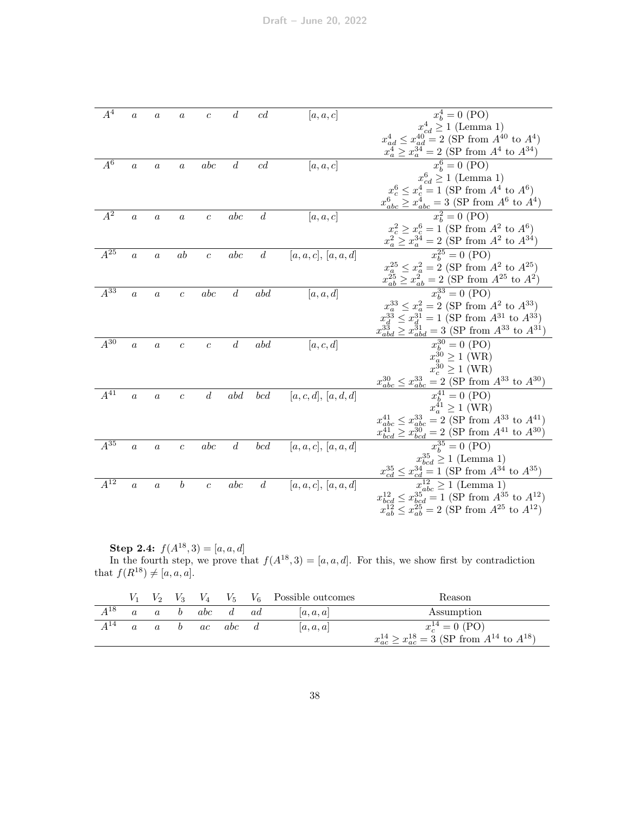| $A^4$               | $\boldsymbol{a}$ | $\boldsymbol{a}$ | $\it a$          | $\mathcal C$            | $\boldsymbol{d}$ | c d              | [a, a, c]        | $x_h^4 = 0$ (PO)                                                                                                   |
|---------------------|------------------|------------------|------------------|-------------------------|------------------|------------------|------------------|--------------------------------------------------------------------------------------------------------------------|
|                     |                  |                  |                  |                         |                  |                  |                  | $x_{cd}^4 \ge 1$ (Lemma 1)                                                                                         |
|                     |                  |                  |                  |                         |                  |                  |                  | $x_{ad}^4 \leq x_{ad}^{40} = 2$ (SP from $A^{40}$ to $A^4$ )                                                       |
|                     |                  |                  |                  |                         |                  |                  |                  | $x_a^4 \ge x_a^{34} = 2$ (SP from $A^4$ to $A^{34}$ )                                                              |
| $A^6$               | $\boldsymbol{a}$ | $\boldsymbol{a}$ | $\boldsymbol{a}$ | abc                     | $\boldsymbol{d}$ | c d              | [a, a, c]        | $x_b^6 = 0$ (PO)                                                                                                   |
|                     |                  |                  |                  |                         |                  |                  |                  | $x_{cd}^6 \ge 1$ (Lemma 1)                                                                                         |
|                     |                  |                  |                  |                         |                  |                  |                  | $x_c^6 \le x_c^4 = 1$ (SP from $A^4$ to $A^6$ )                                                                    |
|                     |                  |                  |                  |                         |                  |                  |                  | $x_{abc}^6 \ge x_{abc}^4 = 3$ (SP from $A^6$ to $A^4$ )                                                            |
| $A^2$               | $\boldsymbol{a}$ | $\boldsymbol{a}$ | $\boldsymbol{a}$ | $\boldsymbol{c}$        | abc              | $\boldsymbol{d}$ | [a, a, c]        | $x_h^2 = 0$ (PO)                                                                                                   |
|                     |                  |                  |                  |                         |                  |                  |                  | $x_c^2 \ge x_c^6 = 1$ (SP from $A^2$ to $A^6$ )                                                                    |
|                     |                  |                  |                  |                         |                  |                  |                  | $x_a^2 \ge x_a^{34} = 2$ (SP from $A^2$ to $A^{34}$ )                                                              |
| $A^{25}$            | $\alpha$         | $\boldsymbol{a}$ | ab               | $\boldsymbol{c}$        | abc              | $\boldsymbol{d}$ | [a,a,c], [a,a,d] | $x_h^{25} = 0 \text{ (PO)}$                                                                                        |
|                     |                  |                  |                  |                         |                  |                  |                  | $x_a^{25} \le x_a^2 = 2$ (SP from $A^2$ to $A^{25}$ )                                                              |
|                     |                  |                  |                  |                         |                  |                  |                  | $x_{ab}^{25} \ge x_{ab}^2 = 2$ (SP from $A^{25}$ to $A^2$ )                                                        |
| $A^{\overline{33}}$ | $\overline{a}$   | $\boldsymbol{a}$ | $\boldsymbol{c}$ | $_{abc}$                | $\boldsymbol{d}$ | abd              | [a, a, d]        | $x_k^{33} = 0$ (PO)                                                                                                |
|                     |                  |                  |                  |                         |                  |                  |                  | $x_a^{33} \le x_a^2 = 2$ (SP from $A^2$ to $A^{33}$ )                                                              |
|                     |                  |                  |                  |                         |                  |                  |                  | $x_d^{33} \le x_d^{31} = 1$ (SP from $A^{31}$ to $A^{33}$ )                                                        |
|                     |                  |                  |                  |                         |                  |                  |                  | $x_{abd}^{33} \ge x_{abd}^{31} = 3$ (SP from $A^{33}$ to $A^{31}$ )                                                |
| $A^{30}$            | $\overline{a}$   | $\boldsymbol{a}$ | $\overline{c}$   | $\overline{c}$          | $\boldsymbol{d}$ | abd              | [a, c, d]        | $x_b^{30} = 0$ (PO)                                                                                                |
|                     |                  |                  |                  |                         |                  |                  |                  | $x_a^{30} \ge 1$ (WR)                                                                                              |
|                     |                  |                  |                  |                         |                  |                  |                  | $x_c^{30} \ge 1$ (WR)                                                                                              |
|                     |                  |                  |                  |                         |                  |                  |                  | $\frac{x_{abc}^{30} \le x_{abc}^{33} = 2 \text{ (SP from } A^{33} \text{ to } A^{30})}{x_b^{41} = 0 \text{ (PO)}}$ |
| $A^{41}$            | $\overline{a}$   | $\boldsymbol{a}$ | $\boldsymbol{c}$ | $\boldsymbol{d}$        | abd              | bcd              | [a,c,d], [a,d,d] |                                                                                                                    |
|                     |                  |                  |                  |                         |                  |                  |                  | $x_a^{41} \ge 1$ (WR)                                                                                              |
|                     |                  |                  |                  |                         |                  |                  |                  | $x_{abc}^{41} \leq x_{abc}^{33} = 2$ (SP from $A^{33}$ to $A^{41}$ )                                               |
|                     |                  |                  |                  |                         |                  |                  |                  | $x_{bcd}^{41} \ge x_{bcd}^{30} = 2$ (SP from $A^{41}$ to $A^{30}$ )                                                |
| $A^{35}$            | $\overline{a}$   | $\boldsymbol{a}$ | $\overline{c}$   | abc                     | $\boldsymbol{d}$ | bcd              | [a,a,c], [a,a,d] | $\overline{x_b^{35}} = 0$ (PO)                                                                                     |
|                     |                  |                  |                  |                         |                  |                  |                  | $x_{bcd}^{35} \ge 1$ (Lemma 1)                                                                                     |
|                     |                  |                  |                  |                         |                  |                  |                  | $x_{cd}^{35} \leq x_{cd}^{34} = 1$ (SP from $A^{34}$ to $A^{35}$ )                                                 |
| $A^{12}$            | $\alpha$         | $\alpha$         | $\boldsymbol{b}$ | $\mathcal{C}_{0}^{(1)}$ | abc              | $\boldsymbol{d}$ | [a,a,c], [a,a,d] | $x_{abc}^{12} \ge 1$ (Lemma 1)                                                                                     |
|                     |                  |                  |                  |                         |                  |                  |                  | $x_{bcd}^{12} \le x_{bcd}^{35} = 1$ (SP from $A^{35}$ to $A^{12}$ )                                                |
|                     |                  |                  |                  |                         |                  |                  |                  | $x_{ab}^{12} \leq x_{ab}^{25} = 2$ (SP from $A^{25}$ to $A^{12}$ )                                                 |
|                     |                  |                  |                  |                         |                  |                  |                  |                                                                                                                    |

**Step 2.4:**  $f(A^{18},3) = [a, a, d]$ 

In the fourth step, we prove that  $f(A^{18},3) = [a,a,d]$ . For this, we show first by contradiction that  $f(R^{18}) \neq [a, a, a]$ .

|          | $V_2$    | V <sub>3</sub> | $V_4$ |            |     | $V_5$ $V_6$ Possible outcomes | Reason                                                             |
|----------|----------|----------------|-------|------------|-----|-------------------------------|--------------------------------------------------------------------|
| $A^{18}$ |          | b              | abc   |            | ad. | a, a, a                       | Assumption                                                         |
| $A^{14}$ | $\alpha$ | b.             | ac    | <i>abc</i> |     | a, a, a                       | $x_c^{14} = 0$ (PO)                                                |
|          |          |                |       |            |     |                               | $x_{ac}^{14} \geq x_{ac}^{18} = 3$ (SP from $A^{14}$ to $A^{18}$ ) |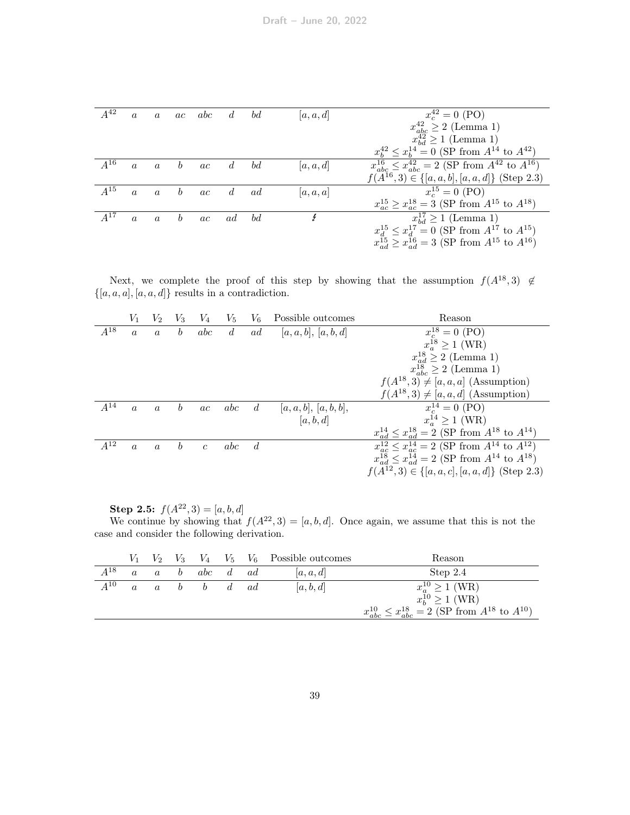| $A^{42}$ | $\alpha$ | $\alpha$         |                  | ac abc d bd |                |    | a, a, d | $x_c^{42} = 0$ (PO)                                                  |
|----------|----------|------------------|------------------|-------------|----------------|----|---------|----------------------------------------------------------------------|
|          |          |                  |                  |             |                |    |         | $x_{abc}^{42} \geq 2$ (Lemma 1)                                      |
|          |          |                  |                  |             |                |    |         | $x_{bd}^{42} \ge 1$ (Lemma 1)                                        |
|          |          |                  |                  |             |                |    |         | $x_b^{42} \le x_b^{14} = 0$ (SP from $A^{14}$ to $A^{42}$ )          |
| $A^{16}$ | $\alpha$ | $\boldsymbol{a}$ | $\boldsymbol{b}$ | ac          | $\overline{d}$ | bd | a, a, d | $x_{abc}^{16} \leq x_{abc}^{42} = 2$ (SP from $A^{42}$ to $A^{16}$ ) |
|          |          |                  |                  |             |                |    |         | $f(A^{16},3) \in \{[a,a,b], [a,a,d]\}\$ (Step 2.3)                   |
| $A^{15}$ | $\alpha$ | $\overline{a}$   | $\boldsymbol{b}$ | ac          | d              | ad | a, a, a | $x_c^{15} = 0$ (PO)                                                  |
|          |          |                  |                  |             |                |    |         | $x_{ac}^{15} \ge x_{ac}^{18} = 3$ (SP from $A^{15}$ to $A^{18}$ )    |
| $A^{17}$ | $\alpha$ | $\mathfrak{a}$   | $\boldsymbol{b}$ | ac          | ad             | bd | Ł       | $x_{bd}^{17} \ge 1$ (Lemma 1)                                        |
|          |          |                  |                  |             |                |    |         | $x_d^{15} \le x_d^{17} = 0$ (SP from $A^{17}$ to $A^{15}$ )          |
|          |          |                  |                  |             |                |    |         | $x_{ad}^{15} \ge x_{ad}^{16} = 3$ (SP from $A^{15}$ to $A^{16}$ )    |

Next, we complete the proof of this step by showing that the assumption  $f(A^{18},3) \notin$  $\{[a, a, a], [a, a, d]\}$  results in a contradiction.

|          | $V_1$            | V <sub>2</sub>   | $V_3$            | V4             | $V_{\rm 5}$    | $V_6$          | Possible outcomes    | Reason                                                             |
|----------|------------------|------------------|------------------|----------------|----------------|----------------|----------------------|--------------------------------------------------------------------|
| $A^{18}$ | $\boldsymbol{a}$ | $\boldsymbol{a}$ | $\boldsymbol{b}$ | abc            | $\overline{d}$ | ad             | [a,a,b], [a,b,d]     | $x_c^{18} = 0$ (PO)                                                |
|          |                  |                  |                  |                |                |                |                      | $x^{18}_{a} \ge 1$ (WR)                                            |
|          |                  |                  |                  |                |                |                |                      | $x_{ad}^{18} \geq 2$ (Lemma 1)                                     |
|          |                  |                  |                  |                |                |                |                      | $x_{abc}^{18} \geq 2$ (Lemma 1)                                    |
|          |                  |                  |                  |                |                |                |                      | $f(A^{18},3) \neq [a,a,a]$ (Assumption)                            |
|          |                  |                  |                  |                |                |                |                      | $f(A^{18},3) \neq [a,a,d]$ (Assumption)                            |
| $A^{14}$ | $\alpha$         | $\alpha$         | h                | ac             | abc            | $\overline{d}$ | a, a, b ,  a, b, b , | $x_c^{14} = 0$ (PO)                                                |
|          |                  |                  |                  |                |                |                | [a, b, d]            | $x_a^{14} \ge 1$ (WR)                                              |
|          |                  |                  |                  |                |                |                |                      | $x_{ad}^{14} \leq x_{ad}^{18} = 2$ (SP from $A^{18}$ to $A^{14}$ ) |
| $A^{12}$ | $\alpha$         | $\overline{a}$   | $\boldsymbol{b}$ | $\overline{c}$ | abc            | d              |                      | $x_{ac}^{12} \leq x_{ac}^{14} = 2$ (SP from $A^{14}$ to $A^{12}$ ) |
|          |                  |                  |                  |                |                |                |                      | $x_{ad}^{18} \leq x_{ad}^{14} = 2$ (SP from $A^{14}$ to $A^{18}$ ) |
|          |                  |                  |                  |                |                |                |                      | $f(A^{12},3) \in \{[a,a,c], [a,a,d]\}\$ (Step 2.3)                 |
|          |                  |                  |                  |                |                |                |                      |                                                                    |

Step 2.5:  $f(A^{22}, 3) = [a, b, d]$ 

We continue by showing that  $f(A^{22}, 3) = [a, b, d]$ . Once again, we assume that this is not the case and consider the following derivation.

|          |  |                                              |  | $V_1$ $V_2$ $V_3$ $V_4$ $V_5$ $V_6$ Possible outcomes | Reason                                                              |
|----------|--|----------------------------------------------|--|-------------------------------------------------------|---------------------------------------------------------------------|
| $A^{18}$ |  | a a b abc d ad                               |  | a,a,d                                                 | Step 2.4                                                            |
| $A^{10}$ |  | $a \quad a \quad b \quad b \quad d \quad ad$ |  | [a, b, d]                                             | $x_a^{10} \ge 1$ (WR)                                               |
|          |  |                                              |  |                                                       | $x_b^{10} \ge 1$ (WR)                                               |
|          |  |                                              |  |                                                       | $x_{abc}^{10} \le x_{abc}^{18} = 2$ (SP from $A^{18}$ to $A^{10}$ ) |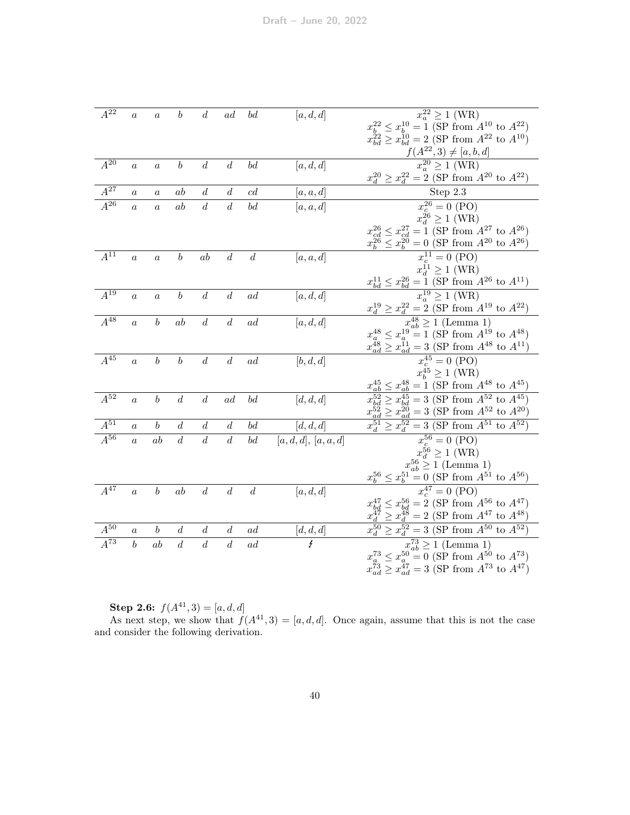| $A^{22}$            | $\boldsymbol{a}$ | $\boldsymbol{a}$ | b                | $\boldsymbol{d}$ | ad               | $^{bd}$          | [a, d, d]           | $x_a^{22} \ge 1$ (WR)                                                                                                                                                                |
|---------------------|------------------|------------------|------------------|------------------|------------------|------------------|---------------------|--------------------------------------------------------------------------------------------------------------------------------------------------------------------------------------|
|                     |                  |                  |                  |                  |                  |                  |                     | $x_b^{22} \le x_b^{10} = 1$ (SP from $A^{10}$ to $A^{22}$ )                                                                                                                          |
|                     |                  |                  |                  |                  |                  |                  |                     | $x_{bd}^{22} \ge x_{bd}^{10} = 2$ (SP from $A^{22}$ to $A^{10}$ )                                                                                                                    |
|                     |                  |                  |                  |                  |                  |                  |                     | $\frac{f(A^{22},3) \neq [a,b,d]}{x_a^{20} \geq 1 \text{ (WR)}}$                                                                                                                      |
| $A^{20}$            | $\boldsymbol{a}$ | $\boldsymbol{a}$ | $\boldsymbol{b}$ | $\boldsymbol{d}$ | $\boldsymbol{d}$ | $^{bd}$          | [a, d, d]           |                                                                                                                                                                                      |
|                     |                  |                  |                  |                  |                  |                  |                     | $x_d^{20} \ge x_d^{22} = 2$ (SP from $A^{20}$ to $A^{22}$ )                                                                                                                          |
| $A^{27}$            | $\boldsymbol{a}$ | $\boldsymbol{a}$ | ab               | $\boldsymbol{d}$ | $\boldsymbol{d}$ | c d              | [a,a,d]             | Step 2.3                                                                                                                                                                             |
| $\overline{A^{26}}$ | $\overline{a}$   | $\overline{a}$   | ab               | $\boldsymbol{d}$ | $\boldsymbol{d}$ | bd               | [a, a, d]           | $\overline{x_c^{26}} = 0$ (PO)                                                                                                                                                       |
|                     |                  |                  |                  |                  |                  |                  |                     | $x_d^{26} \ge 1$ (WR)                                                                                                                                                                |
|                     |                  |                  |                  |                  |                  |                  |                     | $x_{cd}^{26} \leq x_{cd}^{27} = 1$ (SP from $A^{27}$ to $A^{26}$ )                                                                                                                   |
|                     |                  |                  |                  |                  |                  |                  |                     |                                                                                                                                                                                      |
| $A^{11}$            | $\overline{a}$   | $\overline{a}$   | $\boldsymbol{b}$ | ab               | $\boldsymbol{d}$ | $\boldsymbol{d}$ | [a, a, d]           | $\frac{x_b^{26} \le x_b^{20} = 0 \text{ (SP from } A^{20} \text{ to } A^{26})}{x_c^{11} = 0 \text{ (PO)}}$                                                                           |
|                     |                  |                  |                  |                  |                  |                  |                     |                                                                                                                                                                                      |
|                     |                  |                  |                  |                  |                  |                  |                     | $x_{bd}^{11} \ge 1$ (WR)<br>$x_{bd}^{11} \le x_{bd}^{26} = 1$ (SP from $A^{26}$ to $A^{11}$ )<br>$x_a^{19} \ge 1$ (WR)                                                               |
| $A^{19}$            | $\boldsymbol{a}$ | $\boldsymbol{a}$ | $\boldsymbol{b}$ | $\boldsymbol{d}$ | $\boldsymbol{d}$ | ad               | [a, d, d]           |                                                                                                                                                                                      |
|                     |                  |                  |                  |                  |                  |                  |                     |                                                                                                                                                                                      |
| $A^{48}$            | $\boldsymbol{a}$ | $\boldsymbol{b}$ | ab               | $\boldsymbol{d}$ | $\boldsymbol{d}$ | ad               | [a,d,d]             | $x_d^{19} \ge x_d^{22} = 2$ (SP from $A^{19}$ to $A^{22}$ )<br>$x_{ab}^{48} \ge 1$ (Lemma 1)                                                                                         |
|                     |                  |                  |                  |                  |                  |                  |                     | $x_a^{48} \le x_a^{19} = 1$ (SP from $A^{19}$ to $A^{48}$ )                                                                                                                          |
|                     |                  |                  |                  |                  |                  |                  |                     | $x_{ad}^{48} \ge x_{ad}^{11} = 3$ (SP from $A^{48}$ to $A^{11}$ )                                                                                                                    |
| $A^{45}$            | $\alpha$         | $\boldsymbol{b}$ | $\boldsymbol{b}$ | $\boldsymbol{d}$ | $\boldsymbol{d}$ | $_{ad}$          | [b, d, d]           | $x_c^{45} = 0$ (PO)                                                                                                                                                                  |
|                     |                  |                  |                  |                  |                  |                  |                     | $x_b^{45} \ge 1$ (WR)                                                                                                                                                                |
|                     |                  |                  |                  |                  |                  |                  |                     | $x_{ab}^{45} \le x_{ab}^{48} = 1$ (SP from $A^{48}$ to $A^{45}$ )                                                                                                                    |
| $\overline{A^{52}}$ | $\boldsymbol{a}$ | $\boldsymbol{b}$ | $\boldsymbol{d}$ | $\boldsymbol{d}$ | ad               | $^{bd}$          | [d, d, d]           | $\geq x_{bd}^{45} = 3$ (SP from $A^{52}$ to $A^{45}$ )                                                                                                                               |
|                     |                  |                  |                  |                  |                  |                  |                     | $x_{ad}^{5\overline{2}} \ge x_{ad}^{2\overline{0}} = 3 \text{ (SP from } A^{52} \text{ to } A^{20})$<br>$x_{d}^{51} \ge x_{d}^{52} = 3 \text{ (SP from } A^{51} \text{ to } A^{52})$ |
| $A^{51}$            | $\boldsymbol{a}$ | $\boldsymbol{b}$ | $\boldsymbol{d}$ | $\boldsymbol{d}$ | $\boldsymbol{d}$ | $^{bd}$          | [d, d, d]           |                                                                                                                                                                                      |
| $A^{56}$            | $\alpha$         | ab               | $\boldsymbol{d}$ | $\boldsymbol{d}$ | $\boldsymbol{d}$ | bd               | [a,d,d], [a,a,d]    | $x_c^{56} = 0$ (PO)                                                                                                                                                                  |
|                     |                  |                  |                  |                  |                  |                  |                     | $x_d^{56} \ge 1$ (WR)                                                                                                                                                                |
|                     |                  |                  |                  |                  |                  |                  |                     | $x_{ab}^{56} \ge 1$ (Lemma 1)                                                                                                                                                        |
|                     |                  |                  |                  |                  |                  |                  |                     | $x_b^{56} \le x_b^{51} = 0$ (SP from $A^{51}$ to $A^{56}$ )                                                                                                                          |
| $A^{47}$            | $\alpha$         | $\boldsymbol{b}$ | ab               | $\boldsymbol{d}$ | $\boldsymbol{d}$ | $\boldsymbol{d}$ | [a, d, d]           | $x_c^{47} = 0$ (PO)                                                                                                                                                                  |
|                     |                  |                  |                  |                  |                  |                  |                     | $x_{bd}^{47} \le x_{bd}^{56} = 2$ (SP from $A^{56}$ to $A^{47}$ )                                                                                                                    |
|                     |                  |                  |                  |                  |                  |                  |                     | $x_d^{\tilde{4}\tilde{7}} \ge x_d^{\tilde{4}\tilde{8}} = 2$ (SP from $A^{47}$ to $A^{48}$ )                                                                                          |
| $A^{\overline{50}}$ | $\boldsymbol{a}$ | b                | $\boldsymbol{d}$ | $\boldsymbol{d}$ | d                | ad               | $\frac{[d,d,d]}{f}$ | $x_d^{50} \ge x_d^{52} = 3$ (SP from $A^{50}$ to $A^{52}$ )                                                                                                                          |
| $A^{73}$            | $\boldsymbol{b}$ | ab               | $\overline{d}$   | $\overline{d}$   | $\overline{d}$   | ad               |                     | $x_{ab}^{73} \ge 1$ (Lemma 1)                                                                                                                                                        |
|                     |                  |                  |                  |                  |                  |                  |                     | $x_a^{73} \le x_a^{50} = 0$ (SP from $A^{50}$ to $A^{73}$ )                                                                                                                          |
|                     |                  |                  |                  |                  |                  |                  |                     | $x_{ad}^{73} \ge x_{ad}^{47} = 3$ (SP from $A^{73}$ to $A^{47}$ )                                                                                                                    |

Step 2.6:  $f(A^{41}, 3) = [a, d, d]$ 

As next step, we show that  $f(A^{41},3) = [a, d, d]$ . Once again, assume that this is not the case and consider the following derivation.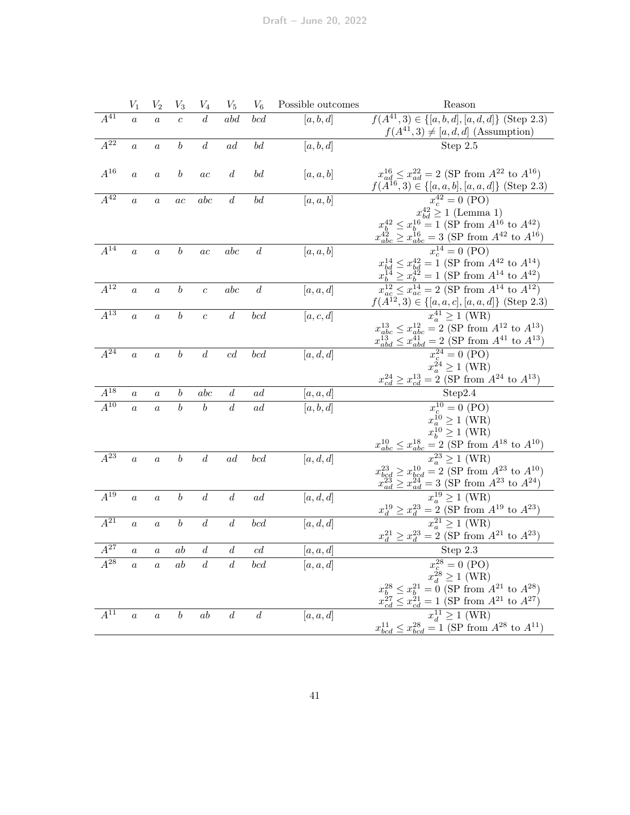|                     | $V_1$            | $V_2$            | $\scriptstyle{V_3}$ | $V_4$            | $V_5$            | $V_6$                          | Possible outcomes    | Reason                                                                                        |
|---------------------|------------------|------------------|---------------------|------------------|------------------|--------------------------------|----------------------|-----------------------------------------------------------------------------------------------|
| $A^{41}$            | $\overline{a}$   | $\overline{a}$   | $\overline{c}$      | $\boldsymbol{d}$ | abd              | bcd                            | [a, b, d]            | $f(A^{41}, 3) \in \{[a, b, d], [a, d, d]\}$ (Step 2.3)                                        |
|                     |                  |                  |                     |                  |                  |                                |                      | $f(A^{41},3) \neq [a,d,d]$ (Assumption)                                                       |
| $A^{22}$            | $\boldsymbol{a}$ | $\boldsymbol{a}$ | $\boldsymbol{b}$    | $\boldsymbol{d}$ | ad               | $\boldsymbol{b}\boldsymbol{d}$ | [a, b, d]            | Step 2.5                                                                                      |
|                     |                  |                  |                     |                  |                  |                                |                      |                                                                                               |
| $A^{16}$            | $\overline{a}$   | $\overline{a}$   | $\boldsymbol{b}$    | ac               | d                | $^{bd}$                        | [a, a, b]            | $x_{ad}^{16} \le x_{ad}^{22} = 2$ (SP from $A^{22}$ to $A^{16}$ )                             |
|                     |                  |                  |                     |                  |                  |                                |                      | $f(A^{16},3) \in \{[a,a,b], [a,a,d]\}$ (Step 2.3)                                             |
| $\overline{A^{42}}$ | $\boldsymbol{a}$ | $\boldsymbol{a}$ | $\overline{ac}$     | abc              | $\boldsymbol{d}$ | $\boldsymbol{b}\boldsymbol{d}$ | [a, a, b]            | $x_c^{42} = 0$ (PO)                                                                           |
|                     |                  |                  |                     |                  |                  |                                |                      | $x_{bd}^{42} \ge 1$ (Lemma 1)                                                                 |
|                     |                  |                  |                     |                  |                  |                                |                      | $x_b^{42} \le x_b^{16} = 1$ (SP from $A^{16}$ to $A^{42}$ )                                   |
|                     |                  |                  |                     |                  |                  |                                |                      | $x_{abc}^{42} \ge x_{abc}^{16} = 3$ (SP from $A^{42}$ to $A^{16}$ )                           |
| $A^{14}$            | $\boldsymbol{a}$ | $\overline{a}$   | $\boldsymbol{b}$    | $\overline{ac}$  | abc              | $\boldsymbol{d}$               | [a, a, b]            | $x_c^{14} = 0$ (PO)                                                                           |
|                     |                  |                  |                     |                  |                  |                                |                      | $x_{bd}^{14} \le x_{bd}^{42} = 1$ (SP from $A^{42}$ to $A^{14}$ )                             |
|                     |                  |                  |                     |                  |                  |                                |                      | $x_b^{\tilde{14}} \ge x_b^{\tilde{42}} = 1$ (SP from $A^{14}$ to $A^{42}$ )                   |
| $A^{12}$            | $\boldsymbol{a}$ | $\boldsymbol{a}$ | $\boldsymbol{b}$    | $\overline{c}$   | abc              | $\boldsymbol{d}$               | [a, a, d]            | $x_{ac}^{12} \le x_{ac}^{14} = 2$ (SP from $A^{14}$ to $A^{12}$ )                             |
|                     |                  |                  |                     |                  |                  |                                |                      | $f(A^{12}, 3) \in \{[a, a, c], [a, a, d]\}$ (Step 2.3)                                        |
| $A^{13}$            | $\alpha$         | $\boldsymbol{a}$ | $\boldsymbol{b}$    | $\overline{c}$   | $\boldsymbol{d}$ | bcd                            | [a, c, d]            | $x_a^{41} \geq 1$ (WR)                                                                        |
|                     |                  |                  |                     |                  |                  |                                |                      | $x_{abc}^{13} \le x_{abc}^{12} = 2$ (SP from $A^{12}$ to $A^{13}$ )                           |
|                     |                  |                  |                     |                  |                  |                                |                      | $x_{abd}^{13} \leq x_{abd}^{41} = 2$ (SP from $A^{41}$ to $A^{13}$ )                          |
| $A^{24}$            | $\boldsymbol{a}$ | $\overline{a}$   | $\boldsymbol{b}$    | $\boldsymbol{d}$ | cd               | bcd                            | $\left[a,d,d\right]$ | $x_c^{24} = 0$ (PO)                                                                           |
|                     |                  |                  |                     |                  |                  |                                |                      | $x_a^{24} \ge 1$ (WR)                                                                         |
|                     |                  |                  |                     |                  |                  |                                |                      | $x_{cd}^{24} \ge x_{cd}^{13} = 2$ (SP from $A^{24}$ to $A^{13}$ )                             |
| $A^{18}$            | $\boldsymbol{a}$ | $\boldsymbol{a}$ | $\it b$             | abc              | $\boldsymbol{d}$ | $\it{ad}$                      | [a,a,d]              | Step2.4                                                                                       |
| $\overline{A^{10}}$ | $\overline{a}$   | $\overline{a}$   | $\boldsymbol{b}$    | $\boldsymbol{b}$ | $\overline{d}$   | ad                             | [a, b, d]            | $x_c^{10} = 0$ (PO)                                                                           |
|                     |                  |                  |                     |                  |                  |                                |                      | $x_a^{10} \ge 1$ (WR)                                                                         |
|                     |                  |                  |                     |                  |                  |                                |                      | $x_b^{10} \ge 1$ (WR)                                                                         |
|                     |                  |                  |                     |                  |                  |                                |                      | $x_{abc}^{10} \leq x_{abc}^{18}$<br>$= 2$ (SP from $A^{18}$ to $A^{10}$ )                     |
| $\overline{A^{23}}$ | $\boldsymbol{a}$ | $\boldsymbol{a}$ | $\boldsymbol{b}$    | $\overline{d}$   | ad               | bcd                            | [a, d, d]            | $x_a^{23} \geq 1$ (WR)                                                                        |
|                     |                  |                  |                     |                  |                  |                                |                      | $x_{bcd}^{23} \ge x_{bcd}^{10} = 2$ (SP from $A^{23}$ to $A^{10}$ )                           |
|                     |                  |                  |                     |                  |                  |                                |                      | $x_{ad}^{2\overline{3}} \geq x_{ad}^{2\overline{4}}$<br>$= 3$ (SP from $A^{23}$ to $A^{24}$ ) |
| $\overline{A^{19}}$ | $\alpha$         | $\overline{a}$   | $\boldsymbol{b}$    | $\boldsymbol{d}$ | $\boldsymbol{d}$ | ad                             | [a, d, d]            | $x_a^{19} \geq 1$ (WR)                                                                        |
|                     |                  |                  |                     |                  |                  |                                |                      | $\geq x_d^{23} = 2$ (SP from $A^{19}$ to $A^{23}$ )                                           |
| $A^{21}$            | $\overline{a}$   | $\overline{a}$   | $\boldsymbol{b}$    | $\boldsymbol{d}$ | $\boldsymbol{d}$ | bcd                            | [a, d, d]            | $x_a^{21} \geq 1$ (WR)                                                                        |
|                     |                  |                  |                     |                  |                  |                                |                      | $x_d^{21} \ge x_d^{23} = 2$ (SP from $A^{21}$ to $A^{23}$ )                                   |
| $A^{27}$            | $\boldsymbol{a}$ | $\boldsymbol{a}$ | ab                  | $\boldsymbol{d}$ | $\boldsymbol{d}$ | $\operatorname{cd}$            | [a,a,d]              | Step 2.3                                                                                      |
| $A^{28}$            | $\overline{a}$   | $\overline{a}$   | ab                  | $\overline{d}$   | $\boldsymbol{d}$ | bcd                            | [a, a, d]            | $x_c^{28} = 0$ (PO)                                                                           |
|                     |                  |                  |                     |                  |                  |                                |                      | $x_d^{28} \ge 1$ (WR)                                                                         |
|                     |                  |                  |                     |                  |                  |                                |                      | $x_b^{28} \le x_b^{21} = 0$ (SP from $A^{21}$ to $A^{28}$ )                                   |
|                     |                  |                  |                     |                  |                  |                                |                      | $x_{cd}^{\check{2}7} \leq x_{cd}^{\check{2}1}$<br>$= 1$ (SP from $A^{21}$ to $A^{27}$ )       |
| $A^{11}$            | $\boldsymbol{a}$ | $\boldsymbol{a}$ | $\boldsymbol{b}$    | ab               | $\boldsymbol{d}$ | $\boldsymbol{d}$               | [a, a, d]            | $x_d^{11} \geq 1~(\text{WR})$                                                                 |
|                     |                  |                  |                     |                  |                  |                                |                      | $x_{bcd}^{11} \le x_{bcd}^{28} = 1$ (SP from $A^{28}$ to $A^{11}$ )                           |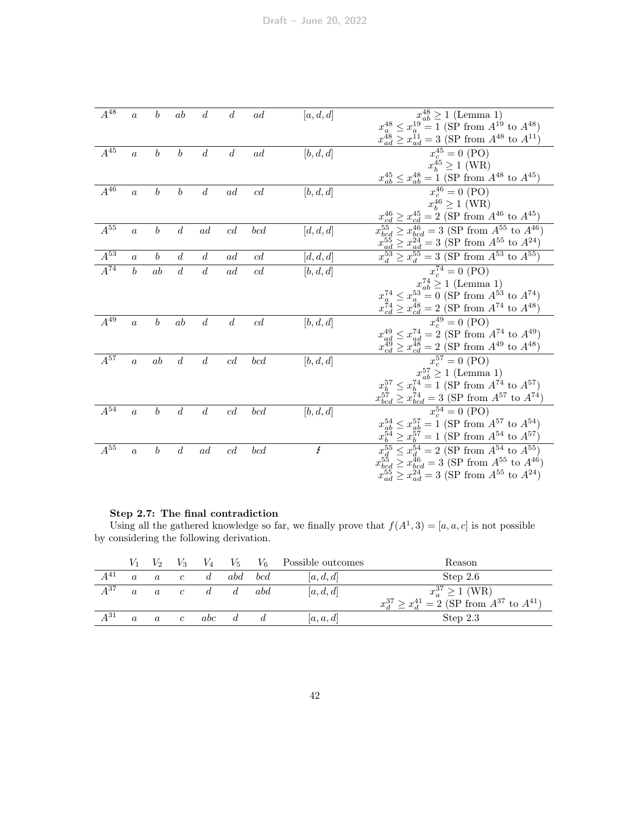| $A^{48}\,$ | $\boldsymbol{a}$ | $\boldsymbol{b}$ | ab               | $\boldsymbol{d}$ | $\boldsymbol{d}$ | ad  | [a, d, d] | $x_{ab}^{48} \ge 1$ (Lemma 1)                                                                                                                                                                        |
|------------|------------------|------------------|------------------|------------------|------------------|-----|-----------|------------------------------------------------------------------------------------------------------------------------------------------------------------------------------------------------------|
|            |                  |                  |                  |                  |                  |     |           | $x_a^{48} \le x_a^{19} = 1$ (SP from $A^{19}$ to $A^{48}$ )                                                                                                                                          |
|            |                  |                  |                  |                  |                  |     |           | $x_{ad}^{48} \ge x_{ad}^{11} = 3$ (SP from $A^{48}$ to $A^{11}$ )                                                                                                                                    |
| $A^{45}$   | $\boldsymbol{a}$ | $\boldsymbol{b}$ | $\it b$          | $\boldsymbol{d}$ | $\boldsymbol{d}$ | ad  | [b, d, d] | $x_c^{45} = 0$ (PO)                                                                                                                                                                                  |
|            |                  |                  |                  |                  |                  |     |           | $x_b^{45} \ge 1$ (WR)                                                                                                                                                                                |
|            |                  |                  |                  |                  |                  |     |           | $x_{ab}^{45} \le x_{ab}^{48} = 1$ (SP from $A^{48}$ to $A^{45}$ )                                                                                                                                    |
| $A^{46}$   | $\boldsymbol{a}$ | $\boldsymbol{b}$ | $\boldsymbol{b}$ | $\boldsymbol{d}$ | ad               | cd  | [b, d, d] | $x_c^{46} = 0$ (PO)                                                                                                                                                                                  |
|            |                  |                  |                  |                  |                  |     |           | $x_b^{46} \ge 1$ (WR)                                                                                                                                                                                |
|            |                  |                  |                  |                  |                  |     |           | $x_{cd}^{46} \ge x_{cd}^{45} = 2$ (SP from $A^{46}$ to $A^{45}$ )                                                                                                                                    |
| $A^{55}$   | $\alpha$         | $\boldsymbol{b}$ | $\boldsymbol{d}$ | ad               | c d              | bcd | [d, d, d] | $x_{bcd}^{55} \ge x_{bcd}^{46} = 3$ (SP from $A^{55}$ to $A^{46}$ )                                                                                                                                  |
|            |                  |                  |                  |                  |                  |     |           |                                                                                                                                                                                                      |
| $A^{53}$   | $\alpha$         | $\boldsymbol{b}$ | $\boldsymbol{d}$ | $\boldsymbol{d}$ | ad               | c d | [d, d, d] | $\frac{x_{ad}^{55}}{x_{d}^{53}} \ge \frac{x_{ad}^{24}}{x_{d}^{55}} = 3 \text{ (SP from } A^{55} \text{ to } A^{24})$<br>$x_{d}^{53} \ge x_{d}^{55} = 3 \text{ (SP from } A^{53} \text{ to } A^{55})$ |
| $A^{74}$   | $\boldsymbol{b}$ | ab               | $\boldsymbol{d}$ | $\boldsymbol{d}$ | ad               | c d | [b, d, d] | $x_c^{74} = 0$ (PO)                                                                                                                                                                                  |
|            |                  |                  |                  |                  |                  |     |           | $x_{ab}^{74} \ge 1$ (Lemma 1)                                                                                                                                                                        |
|            |                  |                  |                  |                  |                  |     |           | $x_a^{74} \le x_a^{53} = 0$ (SP from $A^{53}$ to $A^{74}$ )                                                                                                                                          |
|            |                  |                  |                  |                  |                  |     |           | $x_{cd}^{74} \ge x_{cd}^{48} = 2$ (SP from $A^{74}$ to $A^{48}$ )                                                                                                                                    |
| $A^{49}$   | $\boldsymbol{a}$ | $\boldsymbol{b}$ | ab               | $\boldsymbol{d}$ | $\boldsymbol{d}$ | c d | [b, d, d] | $\overline{x_c^{49}} = 0$ (PO)                                                                                                                                                                       |
|            |                  |                  |                  |                  |                  |     |           | $x_{ad}^{49} \le x_{ad}^{74} = 2$ (SP from $A^{74}$ to $A^{49}$ )                                                                                                                                    |
|            |                  |                  |                  |                  |                  |     |           | $x_{cd}^{49} \ge x_{cd}^{48} = 2$ (SP from $A^{49}$ to $A^{48}$ )                                                                                                                                    |
| $A^{57}$   | $\boldsymbol{a}$ | ab               | $\boldsymbol{d}$ | $\boldsymbol{d}$ | c d              | bcd | [b, d, d] | $x_c^{57} = 0$ (PO)                                                                                                                                                                                  |
|            |                  |                  |                  |                  |                  |     |           | $x_{ab}^{57} \ge 1$ (Lemma 1)                                                                                                                                                                        |
|            |                  |                  |                  |                  |                  |     |           | $x_b^{57} \le x_b^{74} = 1$ (SP from $A^{74}$ to $A^{57}$ )                                                                                                                                          |
|            |                  |                  |                  |                  |                  |     |           | $x_{bcd}^{57} \ge x_{bcd}^{74} = 3$ (SP from $A^{57}$ to $A^{74}$ )                                                                                                                                  |
| $A^{54}$   | $\boldsymbol{a}$ | $\boldsymbol{b}$ | $\boldsymbol{d}$ | $\boldsymbol{d}$ | c d              | bcd | [b, d, d] | $x_c^{54} = 0$ (PO)                                                                                                                                                                                  |
|            |                  |                  |                  |                  |                  |     |           | $x_{ab}^{54} \le x_{ab}^{57} = 1$ (SP from $A^{57}$ to $A^{54}$ )                                                                                                                                    |
|            |                  |                  |                  |                  |                  |     |           | $x_b^{54} \ge x_b^{57} = 1$ (SP from $A^{54}$ to $A^{57}$ )                                                                                                                                          |
| $A^{55}$   | $\boldsymbol{a}$ | $\boldsymbol{b}$ | $\boldsymbol{d}$ | ad               | c d              | bcd | Ł         | $x_d^{55} \le x_d^{54} = 2$ (SP from $A^{54}$ to $A^{55}$ )                                                                                                                                          |
|            |                  |                  |                  |                  |                  |     |           | $x_{bcd}^{55} \ge x_{bcd}^{46} = 3$ (SP from $A_{.}^{55}$ to $A_{.}^{46}$ )                                                                                                                          |
|            |                  |                  |                  |                  |                  |     |           | $x_{ad}^{55} \ge x_{ad}^{24} = 3$ (SP from $A^{55}$ to $A^{24}$ )                                                                                                                                    |
|            |                  |                  |                  |                  |                  |     |           |                                                                                                                                                                                                      |

#### Step 2.7: The final contradiction

Using all the gathered knowledge so far, we finally prove that  $f(A^1,3) = [a, a, c]$  is not possible by considering the following derivation.

|          |          | V <sub>2</sub> | $V_3$      | $V_4$      | $V_5$ |     | $V_6$ Possible outcomes | Reason                                                         |
|----------|----------|----------------|------------|------------|-------|-----|-------------------------|----------------------------------------------------------------|
| $A^{41}$ |          | $\alpha$       | $\epsilon$ |            | abd   | bcd | [a,d,d]                 | Step $2.6$                                                     |
| $A^{37}$ | $\alpha$ | $\alpha$       | $\epsilon$ |            |       | abd | [a,d,d]                 | $x_a^{37} \ge 1$ (WR)                                          |
|          |          |                |            |            |       |     |                         | $\geq x_d^{41} = 2$ (SP from $A^{37}$ to $A^{41}$ )<br>$x^{3}$ |
| $A^{31}$ | $\alpha$ | $\alpha$       | $\epsilon$ | <i>abc</i> |       |     | [a, a, d]               | Step $2.3$                                                     |